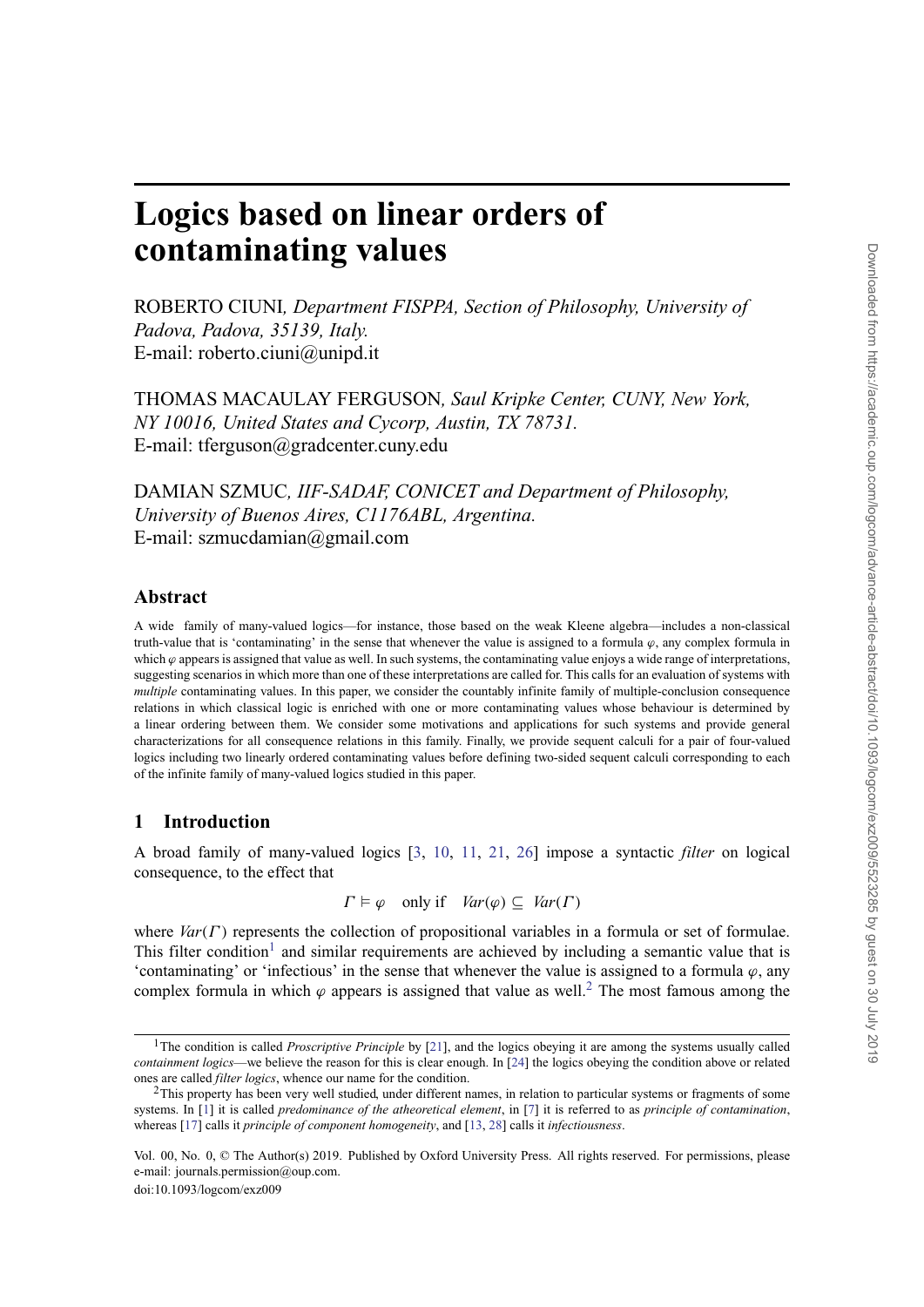# **Logics based on linear orders of contaminating values**

ROBERTO CIUNI*, Department FISPPA, Section of Philosophy, University of Padova, Padova, 35139, Italy.* E-mail: roberto.ciuni@unipd.it

THOMAS MACAULAY FERGUSON*, Saul Kripke Center, CUNY, New York, NY 10016, United States and Cycorp, Austin, TX 78731.* E-mail: tferguson@gradcenter.cuny.edu

DAMIAN SZMUC*, IIF-SADAF, CONICET and Department of Philosophy, University of Buenos Aires, C1176ABL, Argentina.* E-mail: szmucdamian@gmail.com

# **Abstract**

A wide family of many-valued logics—for instance, those based on the weak Kleene algebra—includes a non-classical truth-value that is 'contaminating' in the sense that whenever the value is assigned to a formula  $\varphi$ , any complex formula in which  $\varphi$  appears is assigned that value as well. In such systems, the contaminating value enjoys a wide range of interpretations, suggesting scenarios in which more than one of these interpretations are called for. This calls for an evaluation of systems with *multiple* contaminating values. In this paper, we consider the countably infinite family of multiple-conclusion consequence relations in which classical logic is enriched with one or more contaminating values whose behaviour is determined by a linear ordering between them. We consider some motivations and applications for such systems and provide general characterizations for all consequence relations in this family. Finally, we provide sequent calculi for a pair of four-valued logics including two linearly ordered contaminating values before defining two-sided sequent calculi corresponding to each of the infinite family of many-valued logics studied in this paper.

# **1 Introduction**

A broad family of many-valued logics [3, 10, 11, 21, 26] impose a syntactic *filter* on logical consequence, to the effect that

$$
\Gamma \models \varphi \quad \text{only if} \quad \text{Var}(\varphi) \subseteq \text{Var}(\Gamma)
$$

where  $Var(\Gamma)$  represents the collection of propositional variables in a formula or set of formulae. This filter condition<sup>1</sup> and similar requirements are achieved by including a semantic value that is 'contaminating' or 'infectious' in the sense that whenever the value is assigned to a formula  $\varphi$ , any complex formula in which  $\varphi$  appears is assigned that value as well.<sup>2</sup> The most famous among the

<sup>1</sup>The condition is called *Proscriptive Principle* by [21], and the logics obeying it are among the systems usually called *containment logics*—we believe the reason for this is clear enough. In [24] the logics obeying the condition above or related ones are called *filter logics*, whence our name for the condition.

 $2$ This property has been very well studied, under different names, in relation to particular systems or fragments of some systems. In [1] it is called *predominance of the atheoretical element*, in [7] it is referred to as *principle of contamination*, whereas [17] calls it *principle of component homogeneity*, and [13, 28] calls it *infectiousness*.

Vol. 00, No. 0, © The Author(s) 2019. Published by Oxford University Press. All rights reserved. For permissions, please e-mail: journals.permission@oup.com. doi:10.1093/logcom/exz009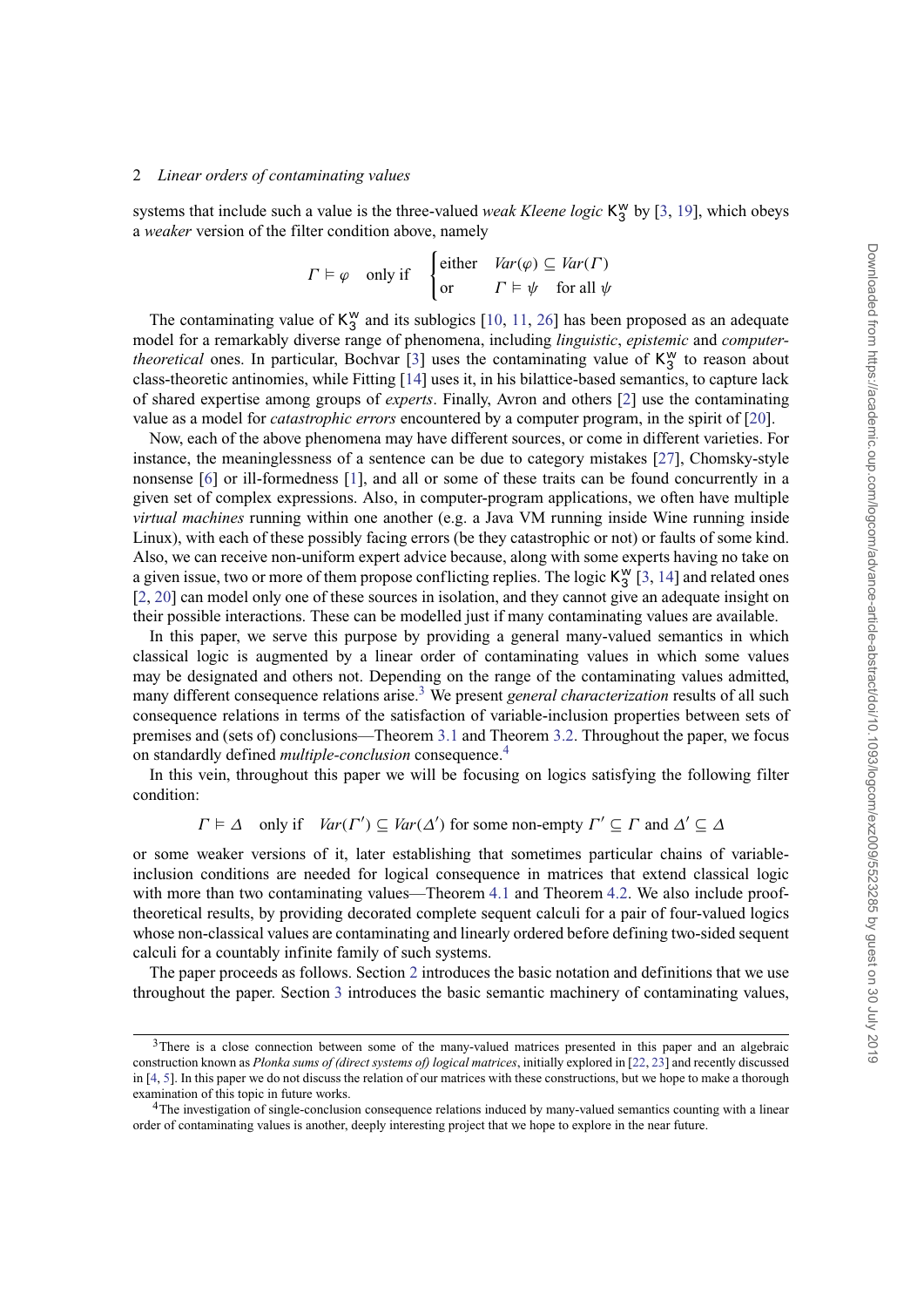systems that include such a value is the three-valued *weak Kleene logic*  $K_3^w$  by [3, 19], which obeys a *weaker* version of the filter condition above, namely

$$
\Gamma \vDash \varphi \quad \text{only if} \quad \begin{cases} \text{either} & \text{Var}(\varphi) \subseteq \text{Var}(\Gamma) \\ \text{or} & \Gamma \vDash \psi \quad \text{for all } \psi \end{cases}
$$

The contaminating value of  $K_3^w$  and its sublogics [10, 11, 26] has been proposed as an adequate model for a remarkably diverse range of phenomena, including *linguistic*, *epistemic* and *computertheoretical* ones. In particular, Bochvar [3] uses the contaminating value of  $K_3^w$  to reason about class-theoretic antinomies, while Fitting [14] uses it, in his bilattice-based semantics, to capture lack of shared expertise among groups of *experts*. Finally, Avron and others [2] use the contaminating value as a model for *catastrophic errors* encountered by a computer program, in the spirit of [20].

Now, each of the above phenomena may have different sources, or come in different varieties. For instance, the meaninglessness of a sentence can be due to category mistakes [27], Chomsky-style nonsense [6] or ill-formedness [1], and all or some of these traits can be found concurrently in a given set of complex expressions. Also, in computer-program applications, we often have multiple *virtual machines* running within one another (e.g. a Java VM running inside Wine running inside Linux), with each of these possibly facing errors (be they catastrophic or not) or faults of some kind. Also, we can receive non-uniform expert advice because, along with some experts having no take on a given issue, two or more of them propose conflicting replies. The logic  $K_3^w$  [3, 14] and related ones [2, 20] can model only one of these sources in isolation, and they cannot give an adequate insight on their possible interactions. These can be modelled just if many contaminating values are available.

In this paper, we serve this purpose by providing a general many-valued semantics in which classical logic is augmented by a linear order of contaminating values in which some values may be designated and others not. Depending on the range of the contaminating values admitted, many different consequence relations arise.<sup>3</sup> We present *general characterization* results of all such consequence relations in terms of the satisfaction of variable-inclusion properties between sets of premises and (sets of) conclusions—Theorem 3.1 and Theorem 3.2. Throughout the paper, we focus on standardly defined *multiple-conclusion* consequence.4

In this vein, throughout this paper we will be focusing on logics satisfying the following filter condition:

$$
\Gamma \models \Delta
$$
 only if  $Var(\Gamma') \subseteq Var(\Delta')$  for some non-empty  $\Gamma' \subseteq \Gamma$  and  $\Delta' \subseteq \Delta$ 

or some weaker versions of it, later establishing that sometimes particular chains of variableinclusion conditions are needed for logical consequence in matrices that extend classical logic with more than two contaminating values—Theorem 4.1 and Theorem 4.2. We also include prooftheoretical results, by providing decorated complete sequent calculi for a pair of four-valued logics whose non-classical values are contaminating and linearly ordered before defining two-sided sequent calculi for a countably infinite family of such systems.

The paper proceeds as follows. Section 2 introduces the basic notation and definitions that we use throughout the paper. Section 3 introduces the basic semantic machinery of contaminating values,

<sup>&</sup>lt;sup>3</sup>There is a close connection between some of the many-valued matrices presented in this paper and an algebraic construction known as *Płonka sums of (direct systems of) logical matrices*, initially explored in [22, 23] and recently discussed in [4, 5]. In this paper we do not discuss the relation of our matrices with these constructions, but we hope to make a thorough examination of this topic in future works.

 $4$ The investigation of single-conclusion consequence relations induced by many-valued semantics counting with a linear order of contaminating values is another, deeply interesting project that we hope to explore in the near future.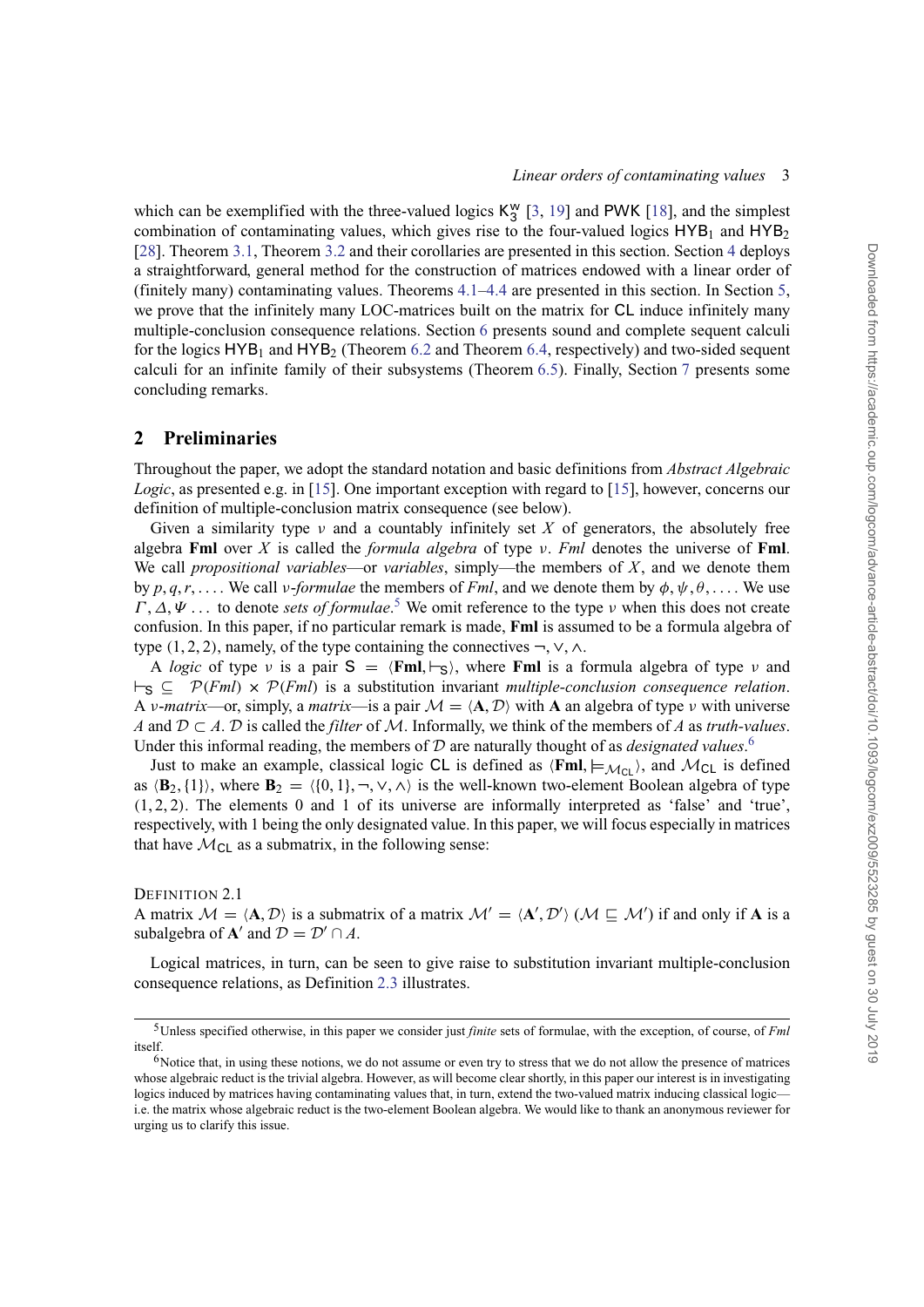which can be exemplified with the three-valued logics  $K_3^W$  [3, 19] and PWK [18], and the simplest combination of contaminating values, which gives rise to the four-valued logics  $HYB_1$  and  $HYB_2$ [28]. Theorem 3.1, Theorem 3.2 and their corollaries are presented in this section. Section 4 deploys a straightforward, general method for the construction of matrices endowed with a linear order of (finitely many) contaminating values. Theorems 4.1–4.4 are presented in this section. In Section 5, we prove that the infinitely many LOC-matrices built on the matrix for CL induce infinitely many multiple-conclusion consequence relations. Section 6 presents sound and complete sequent calculi for the logics  $HYB_1$  and  $HYB_2$  (Theorem 6.2 and Theorem 6.4, respectively) and two-sided sequent calculi for an infinite family of their subsystems (Theorem 6.5). Finally, Section 7 presents some concluding remarks.

# **2 Preliminaries**

Throughout the paper, we adopt the standard notation and basic definitions from *Abstract Algebraic Logic*, as presented e.g. in [15]. One important exception with regard to [15], however, concerns our definition of multiple-conclusion matrix consequence (see below).

Given a similarity type  $\nu$  and a countably infinitely set *X* of generators, the absolutely free algebra **Fml** over *X* is called the *formula algebra* of type ν. *Fml* denotes the universe of **Fml**. We call *propositional variables*—or *variables*, simply—the members of *X*, and we denote them by  $p, q, r, \ldots$  We call *v*-*formulae* the members of *Fml*, and we denote them by  $\phi, \psi, \theta, \ldots$  We use  $\Gamma$ ,  $\Delta$ ,  $\Psi$  ... to denote *sets of formulae*.<sup>5</sup> We omit reference to the type  $\nu$  when this does not create confusion. In this paper, if no particular remark is made, **Fml** is assumed to be a formula algebra of type  $(1, 2, 2)$ , namely, of the type containing the connectives  $\neg$ ,  $\vee$ ,  $\wedge$ .

A *logic* of type  $\nu$  is a pair  $S = \langle FmI, \vdash_S \rangle$ , where **Fml** is a formula algebra of type  $\nu$  and ⊢<sup>S</sup> ⊆ *P(Fml)* × *P(Fml)* is a substitution invariant *multiple-conclusion consequence relation*. A *v*-*matrix*—or, simply, a *matrix*—is a pair  $\mathcal{M} = \langle \mathbf{A}, \mathcal{D} \rangle$  with **A** an algebra of type *v* with universe *A* and *D* ⊂ *A*. *D* is called the *filter* of *M*. Informally, we think of the members of *A* as *truth-values*. Under this informal reading, the members of *D* are naturally thought of as *designated values*. 6

Just to make an example, classical logic CL is defined as  $\langle \mathbf{Fml}, \models_{\mathcal{M}_{\text{CL}}} \rangle$ , and  $\mathcal{M}_{\text{CL}}$  is defined as  $\langle \mathbf{B}_2, \{1\} \rangle$ , where  $\mathbf{B}_2 = \langle \{0, 1\}, \neg, \vee, \wedge \rangle$  is the well-known two-element Boolean algebra of type  $(1, 2, 2)$ . The elements 0 and 1 of its universe are informally interpreted as 'false' and 'true', respectively, with 1 being the only designated value. In this paper, we will focus especially in matrices that have  $\mathcal{M}_{\text{Cl}}$  as a submatrix, in the following sense:

# DEFINITION 2.1

A matrix  $M = \langle A, D \rangle$  is a submatrix of a matrix  $M' = \langle A', D' \rangle$  ( $M \subseteq M'$ ) if and only if **A** is a subalgebra of **A**′ and  $\mathcal{D} = \mathcal{D}' \cap A$ .

Logical matrices, in turn, can be seen to give raise to substitution invariant multiple-conclusion consequence relations, as Definition 2.3 illustrates.

<sup>5</sup>Unless specified otherwise, in this paper we consider just *finite* sets of formulae, with the exception, of course, of *Fml* itself.

 $6$ Notice that, in using these notions, we do not assume or even try to stress that we do not allow the presence of matrices whose algebraic reduct is the trivial algebra. However, as will become clear shortly, in this paper our interest is in investigating logics induced by matrices having contaminating values that, in turn, extend the two-valued matrix inducing classical logici.e. the matrix whose algebraic reduct is the two-element Boolean algebra. We would like to thank an anonymous reviewer for urging us to clarify this issue.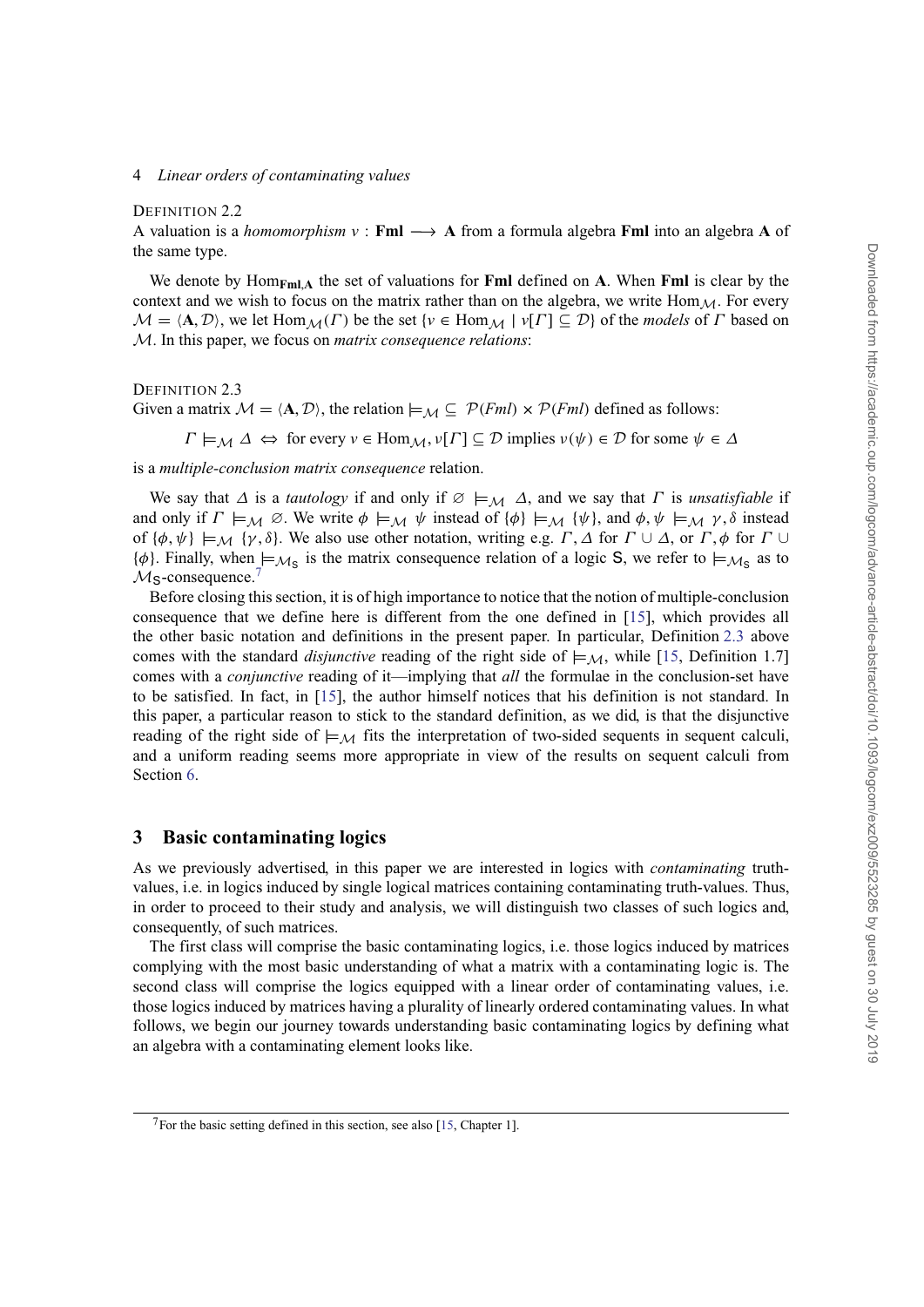#### DEFINITION 2.2

A valuation is a *homomorphism v* : **Fml** −→ **A** from a formula algebra **Fml** into an algebra **A** of the same type.

We denote by Hom**Fml**,**<sup>A</sup>** the set of valuations for **Fml** defined on **A**. When **Fml** is clear by the context and we wish to focus on the matrix rather than on the algebra, we write Hom*M*. For every  $\mathcal{M} = \langle \mathbf{A}, \mathcal{D} \rangle$ , we let  $\text{Hom}_{\mathcal{M}}(\Gamma)$  be the set  $\{v \in \text{Hom}_{\mathcal{M}} \mid v[\Gamma] \subseteq \mathcal{D}\}\$  of the *models* of  $\Gamma$  based on *M*. In this paper, we focus on *matrix consequence relations*:

## DEFINITION 2.3

Given a matrix  $M = \langle A, \mathcal{D} \rangle$ , the relation  $\models_M \subseteq \mathcal{P}(Fml) \times \mathcal{P}(Fml)$  defined as follows:

 $\Gamma \models_M \Delta \Leftrightarrow$  for every  $v \in \text{Hom}_M$ ,  $v[\Gamma] \subseteq \mathcal{D}$  implies  $v(\psi) \in \mathcal{D}$  for some  $\psi \in \Delta$ 

is a *multiple-conclusion matrix consequence* relation.

We say that  $\Delta$  is a *tautology* if and only if  $\varnothing \models_M \Delta$ , and we say that  $\Gamma$  is *unsatisfiable* if and only if  $\Gamma \models_M \emptyset$ . We write  $\phi \models_M \psi$  instead of  $\{\phi\} \models_M \{\psi\}$ , and  $\phi, \psi \models_M \gamma, \delta$  instead of  $\{\phi, \psi\} \models_M \{\gamma, \delta\}$ . We also use other notation, writing e.g.  $\Gamma, \Delta$  for  $\Gamma \cup \Delta$ , or  $\Gamma, \phi$  for  $\Gamma \cup$  $\{\phi\}$ . Finally, when  $\models_{\mathcal{M}_S}$  is the matrix consequence relation of a logic S, we refer to  $\models_{\mathcal{M}_S}$  as to  $M<sub>S</sub>$ -consequence.<sup>7</sup>

Before closing this section, it is of high importance to notice that the notion of multiple-conclusion consequence that we define here is different from the one defined in [15], which provides all the other basic notation and definitions in the present paper. In particular, Definition 2.3 above comes with the standard *disjunctive* reading of the right side of  $\models M$ , while [15, Definition 1.7] comes with a *conjunctive* reading of it—implying that *all* the formulae in the conclusion-set have to be satisfied. In fact, in [15], the author himself notices that his definition is not standard. In this paper, a particular reason to stick to the standard definition, as we did, is that the disjunctive reading of the right side of  $\models$ <sub>*M*</sub> fits the interpretation of two-sided sequents in sequent calculi, and a uniform reading seems more appropriate in view of the results on sequent calculi from Section 6.

# **3 Basic contaminating logics**

As we previously advertised, in this paper we are interested in logics with *contaminating* truthvalues, i.e. in logics induced by single logical matrices containing contaminating truth-values. Thus, in order to proceed to their study and analysis, we will distinguish two classes of such logics and, consequently, of such matrices.

The first class will comprise the basic contaminating logics, i.e. those logics induced by matrices complying with the most basic understanding of what a matrix with a contaminating logic is. The second class will comprise the logics equipped with a linear order of contaminating values, i.e. those logics induced by matrices having a plurality of linearly ordered contaminating values. In what follows, we begin our journey towards understanding basic contaminating logics by defining what an algebra with a contaminating element looks like.

 $7$ For the basic setting defined in this section, see also [15, Chapter 1].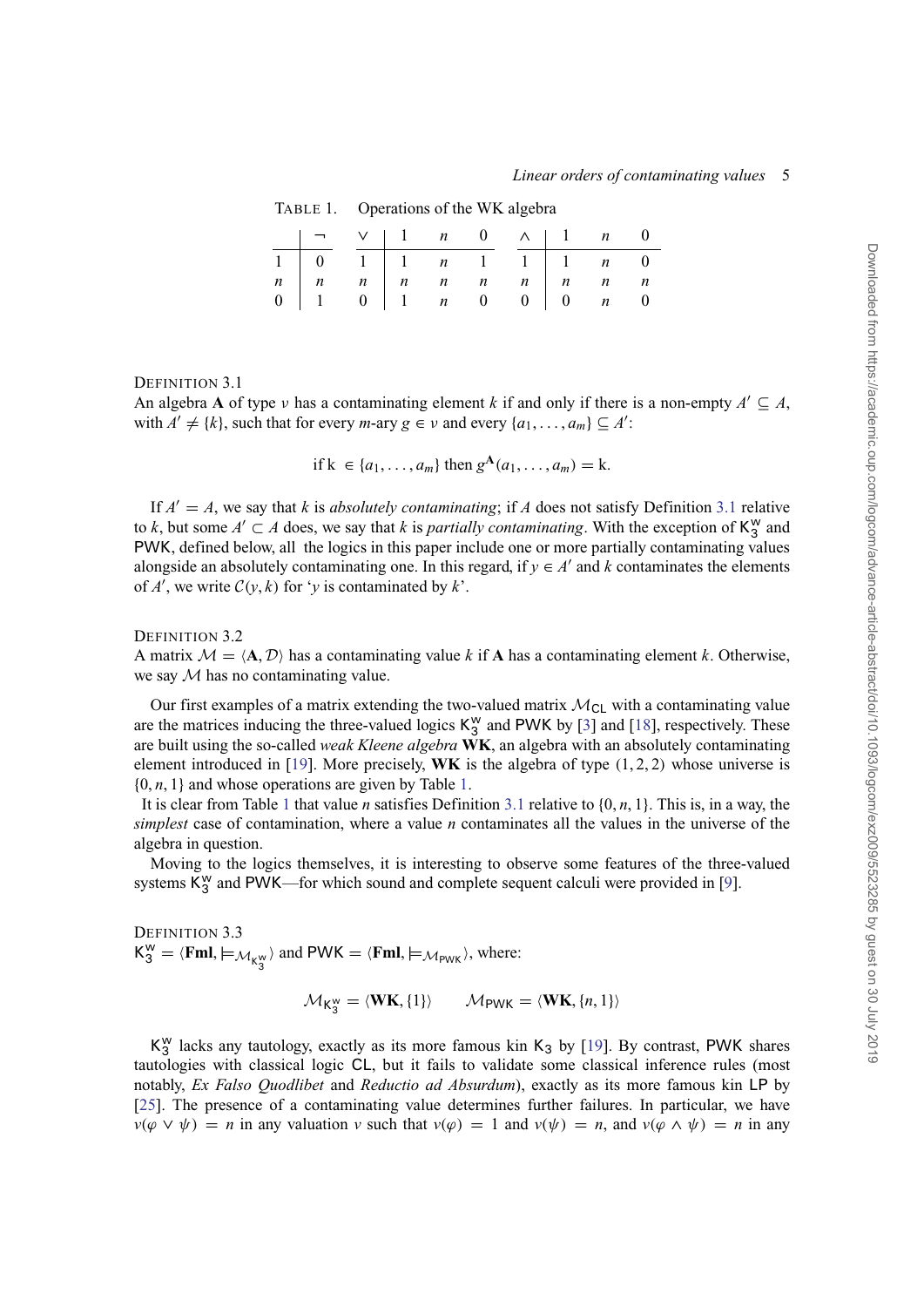TABLE 1. Operations of the WK algebra

|  |  |  | $\begin{array}{c ccccccccc}\n\multicolumn{3}{c c }{\fbox{$\sim$}} & \begin{array}{c c c c c} \multicolumn{3}{c }{\fbox{$\sim$}} & \multicolumn{3}{c }{\fbox{$\sim$}} & \multicolumn{3}{c }{\fbox{$\sim$}} & \multicolumn{3}{c }{\fbox{$\sim$}} & \multicolumn{3}{c }{\fbox{$\sim$}} & \multicolumn{3}{c }{\fbox{$\sim$}} & \multicolumn{3}{c }{\fbox{$\sim$}} & \multicolumn{3}{c }{\fbox{$\sim$}} & \multicolumn{3}{c }{\fbox{$\sim$}} & \$ |  |  |
|--|--|--|----------------------------------------------------------------------------------------------------------------------------------------------------------------------------------------------------------------------------------------------------------------------------------------------------------------------------------------------------------------------------------------------------------------------------------------------|--|--|
|  |  |  |                                                                                                                                                                                                                                                                                                                                                                                                                                              |  |  |
|  |  |  |                                                                                                                                                                                                                                                                                                                                                                                                                                              |  |  |
|  |  |  |                                                                                                                                                                                                                                                                                                                                                                                                                                              |  |  |

DEFINITION 3.1

An algebra **A** of type v has a contaminating element k if and only if there is a non-empty  $A' \subseteq A$ , with  $A' \neq \{k\}$ , such that for every *m*-ary  $g \in \nu$  and every  $\{a_1, \ldots, a_m\} \subseteq A'$ :

if  $k \in \{a_1, \ldots, a_m\}$  then  $g^{\bf A}(a_1, \ldots, a_m) = k$ .

If  $A' = A$ , we say that *k* is *absolutely contaminating*; if *A* does not satisfy Definition 3.1 relative to *k*, but some  $A' \subset A$  does, we say that *k* is *partially contaminating*. With the exception of  $K_3^w$  and PWK, defined below, all the logics in this paper include one or more partially contaminating values alongside an absolutely contaminating one. In this regard, if  $y \in A'$  and *k* contaminates the elements of  $A'$ , we write  $C(y, k)$  for '*y* is contaminated by  $k'$ .

DEFINITION 3.2 A matrix  $\mathcal{M} = \langle \mathbf{A}, \mathcal{D} \rangle$  has a contaminating value *k* if **A** has a contaminating element *k*. Otherwise, we say *M* has no contaminating value.

Our first examples of a matrix extending the two-valued matrix  $\mathcal{M}_{CL}$  with a contaminating value are the matrices inducing the three-valued logics  $K_3^w$  and PWK by [3] and [18], respectively. These are built using the so-called *weak Kleene algebra* **WK**, an algebra with an absolutely contaminating element introduced in [19]. More precisely, **WK** is the algebra of type *(*1, 2, 2*)* whose universe is {0, *n*, 1} and whose operations are given by Table 1.

It is clear from Table 1 that value *n* satisfies Definition 3.1 relative to {0, *n*, 1}. This is, in a way, the *simplest* case of contamination, where a value *n* contaminates all the values in the universe of the algebra in question.

Moving to the logics themselves, it is interesting to observe some features of the three-valued systems  $\overline{K_3^w}$  and PWK—for which sound and complete sequent calculi were provided in [9].

DEFINITION 3.3  $K_3^w = \langle \mathbf{Fml}, \models_{\mathcal{M}_{K_3^w}} \rangle$  and  $\mathsf{PWK} = \langle \mathbf{Fml}, \models_{\mathcal{M}_{\mathsf{PWK}}} \rangle$ , where:

$$
\mathcal{M}_{K_3^W} = \langle \mathbf{W} \mathbf{K}, \{1\} \rangle \qquad \mathcal{M}_{\mathsf{PWK}} = \langle \mathbf{W} \mathbf{K}, \{n, 1\} \rangle
$$

 $K_3^w$  lacks any tautology, exactly as its more famous kin  $K_3$  by [19]. By contrast, PWK shares tautologies with classical logic CL, but it fails to validate some classical inference rules (most notably, *Ex Falso Quodlibet* and *Reductio ad Absurdum*), exactly as its more famous kin LP by [25]. The presence of a contaminating value determines further failures. In particular, we have  $v(\varphi \lor \psi) = n$  in any valuation *v* such that  $v(\varphi) = 1$  and  $v(\psi) = n$ , and  $v(\varphi \land \psi) = n$  in any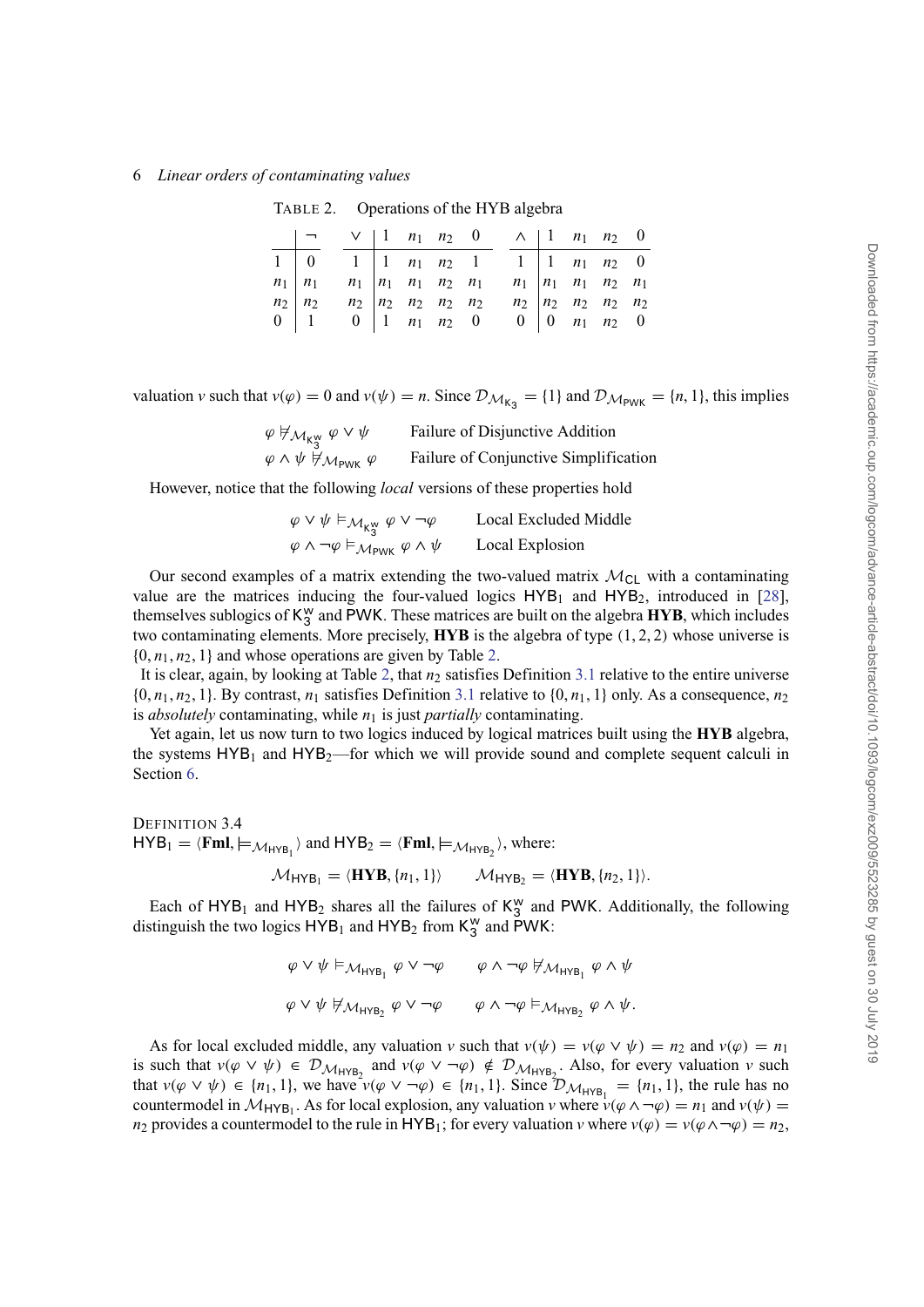TABLE 2. Operations of the HYB algebra

|  |  |  |  |  |  | $\begin{array}{ccc c}\n- & \vee & 1 & n_1 & n_2 & 0 & \wedge & 1 & n_1 & n_2 & 0\n\end{array}$                          |  |
|--|--|--|--|--|--|-------------------------------------------------------------------------------------------------------------------------|--|
|  |  |  |  |  |  | $1 \begin{array}{ c c c c c c c c } \hline 1 & 0 & 1 & 1 & n_1 & n_2 & 1 & 1 & 1 & n_1 & n_2 & 0 \\ \hline \end{array}$ |  |
|  |  |  |  |  |  | $n_1   n_1   n_1   n_1   n_1 n_2 n_1   n_1   n_1 n_2 n_1$                                                               |  |
|  |  |  |  |  |  |                                                                                                                         |  |
|  |  |  |  |  |  |                                                                                                                         |  |

valuation *v* such that  $v(\varphi) = 0$  and  $v(\psi) = n$ . Since  $\mathcal{D}_{\mathcal{M}_{K_2}} = \{1\}$  and  $\mathcal{D}_{\mathcal{M}_{PWK}} = \{n, 1\}$ , this implies

 $\varphi \not \models_{\mathcal{M}_{\mathsf{K}_3^\mathsf{W}}}$ Failure of Disjunctive Addition Failure of Conjunctive Simplification

However, notice that the following *local* versions of these properties hold

$$
\varphi \lor \psi \vDash_{\mathcal{M}_{K_3^w}} \varphi \lor \neg \varphi
$$
 Local Excluded Middle  
\n $\varphi \land \neg \varphi \vDash_{\mathcal{M}_{PWK}} \varphi \land \psi$  Local Explosion

Our second examples of a matrix extending the two-valued matrix  $\mathcal{M}_{CL}$  with a contaminating value are the matrices inducing the four-valued logics  $HYB_1$  and  $HYB_2$ , introduced in [28], themselves sublogics of  $K_3^w$  and PWK. These matrices are built on the algebra  $HYB$ , which includes two contaminating elements. More precisely, **HYB** is the algebra of type *(*1, 2, 2*)* whose universe is  $\{0, n_1, n_2, 1\}$  and whose operations are given by Table 2.

It is clear, again, by looking at Table 2, that *n*<sup>2</sup> satisfies Definition 3.1 relative to the entire universe  $\{0, n_1, n_2, 1\}$ . By contrast,  $n_1$  satisfies Definition 3.1 relative to  $\{0, n_1, 1\}$  only. As a consequence,  $n_2$ is *absolutely* contaminating, while *n*<sup>1</sup> is just *partially* contaminating.

Yet again, let us now turn to two logics induced by logical matrices built using the **HYB** algebra, the systems  $HYB_1$  and  $HYB_2$ —for which we will provide sound and complete sequent calculi in Section 6.

DEFINITION 3.4  $HYB_1 = \langle \mathbf{Fml}, \models_{\mathcal{M}_{HYB_1}} \rangle$  and  $HYB_2 = \langle \mathbf{Fml}, \models_{\mathcal{M}_{HYB_2}} \rangle$ , where:

 $M_{\text{HYB}_1} = \langle \text{HYB}, \{n_1, 1\} \rangle$   $M_{\text{HYB}_2} = \langle \text{HYB}, \{n_2, 1\} \rangle.$ 

Each of  $HYB_1$  and  $HYB_2$  shares all the failures of  $K_3^w$  and PWK. Additionally, the following distinguish the two logics  $HYB_1$  and  $HYB_2$  from  $K_3^w$  and  $\text{PWK}:$ 

$$
\varphi \lor \psi \vDash_{\mathcal{M}_{HYB_1}} \varphi \lor \neg \varphi \qquad \varphi \land \neg \varphi \nvDash_{\mathcal{M}_{HYB_1}} \varphi \land \psi
$$
  

$$
\varphi \lor \psi \nvDash_{\mathcal{M}_{HYB_2}} \varphi \lor \neg \varphi \qquad \varphi \land \neg \varphi \vDash_{\mathcal{M}_{HYB_2}} \varphi \land \psi.
$$

As for local excluded middle, any valuation *v* such that  $v(\psi) = v(\varphi \lor \psi) = n_2$  and  $v(\varphi) = n_1$ is such that  $v(\varphi \lor \psi) \in \mathcal{D}_{\mathcal{M}_{HVB_2}}$  and  $v(\varphi \lor \neg \varphi) \notin \mathcal{D}_{\mathcal{M}_{HVB_2}}$ . Also, for every valuation *v* such that  $v(\varphi \lor \psi) \in \{n_1, 1\}$ , we have  $v(\varphi \lor \neg \varphi) \in \{n_1, 1\}$ . Since  $\mathcal{D}_{\mathcal{M}_{\mathsf{HVB}_1}} = \{n_1, 1\}$ , the rule has no countermodel in  $\mathcal{M}_{HYB_1}$ . As for local explosion, any valuation *v* where  $v(\varphi \wedge \neg \varphi) = n_1$  and  $v(\psi) =$ *n*<sub>2</sub> provides a countermodel to the rule in HYB<sub>1</sub>; for every valuation *v* where  $v(\varphi) = v(\varphi \land \neg \varphi) = n_2$ ,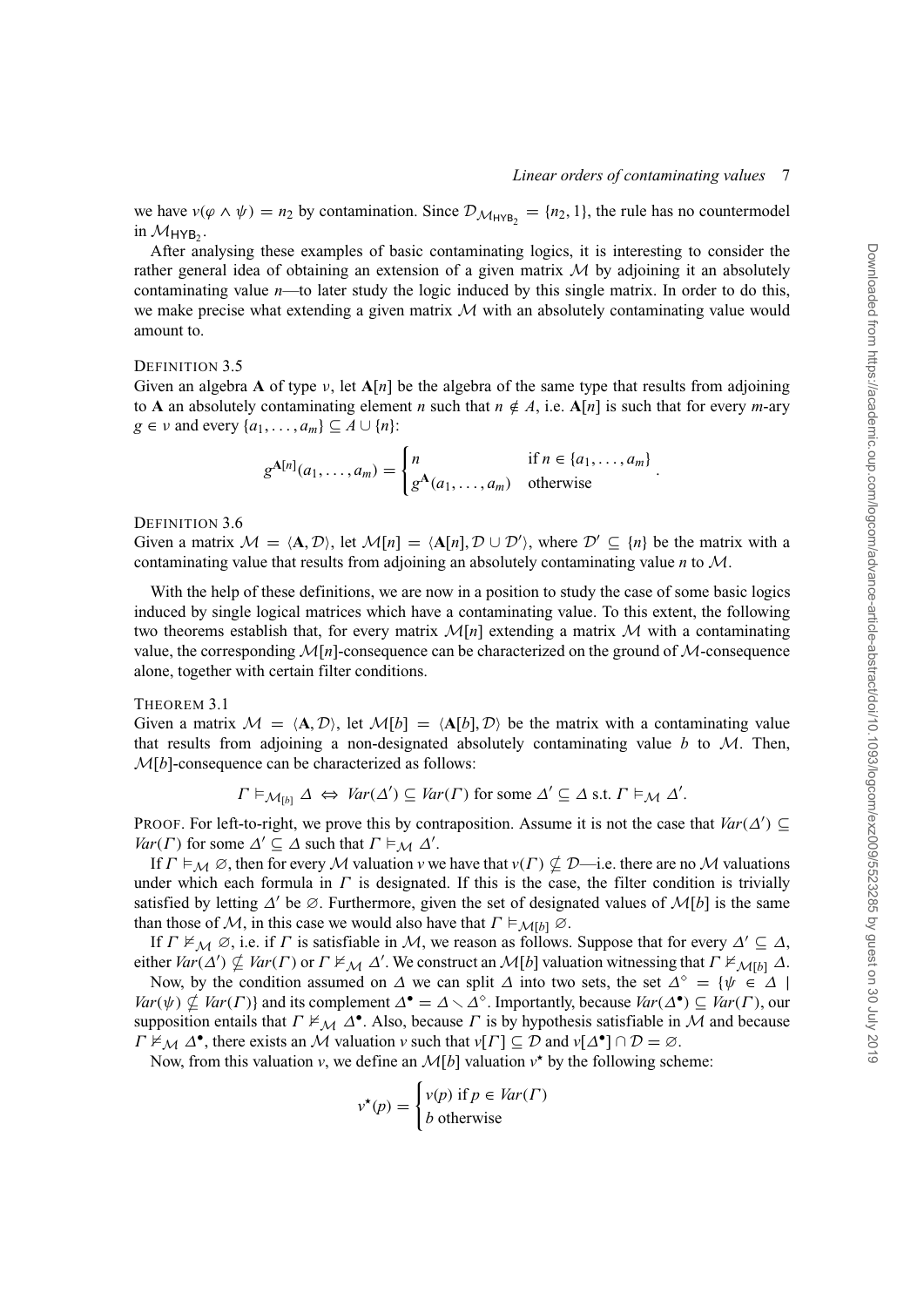we have  $v(\varphi \wedge \psi) = n_2$  by contamination. Since  $\mathcal{D}_{\mathcal{M}_{HVB_2}} = \{n_2, 1\}$ , the rule has no countermodel in  $M_{HYB_2}$ .

After analysing these examples of basic contaminating logics, it is interesting to consider the rather general idea of obtaining an extension of a given matrix *M* by adjoining it an absolutely contaminating value *n*—to later study the logic induced by this single matrix. In order to do this, we make precise what extending a given matrix *M* with an absolutely contaminating value would amount to.

# DEFINITION 3.5

Given an algebra **A** of type *ν*, let  $A[n]$  be the algebra of the same type that results from adjoining to **A** an absolutely contaminating element *n* such that  $n \notin A$ , i.e.  $\mathbf{A}[n]$  is such that for every *m*-ary  $g \in \nu$  and every  $\{a_1, \ldots, a_m\} \subseteq A \cup \{n\}$ :

$$
g^{\mathbf{A}[n]}(a_1,\ldots,a_m)=\begin{cases} n & \text{if } n \in \{a_1,\ldots,a_m\} \\ g^{\mathbf{A}}(a_1,\ldots,a_m) & \text{otherwise} \end{cases}.
$$

# DEFINITION 3.6

Given a matrix  $M = \langle A, D \rangle$ , let  $M[n] = \langle A[n], D \cup D' \rangle$ , where  $D' \subseteq \{n\}$  be the matrix with a contaminating value that results from adjoining an absolutely contaminating value *n* to *M*.

With the help of these definitions, we are now in a position to study the case of some basic logics induced by single logical matrices which have a contaminating value. To this extent, the following two theorems establish that, for every matrix *M*[*n*] extending a matrix *M* with a contaminating value, the corresponding  $\mathcal{M}[n]$ -consequence can be characterized on the ground of  $\mathcal{M}$ -consequence alone, together with certain filter conditions.

# THEOREM 3.1

Given a matrix  $\mathcal{M} = \langle \mathbf{A}, \mathcal{D} \rangle$ , let  $\mathcal{M}[b] = \langle \mathbf{A}[b], \mathcal{D} \rangle$  be the matrix with a contaminating value that results from adjoining a non-designated absolutely contaminating value *b* to *M*. Then,  $M[b]$ -consequence can be characterized as follows:

$$
\Gamma \vDash_{\mathcal{M}_{[b]}} \Delta \Leftrightarrow \text{Var}(\Delta') \subseteq \text{Var}(\Gamma) \text{ for some } \Delta' \subseteq \Delta \text{ s.t. } \Gamma \vDash_{\mathcal{M}} \Delta'.
$$

PROOF. For left-to-right, we prove this by contraposition. Assume it is not the case that  $Var(\Delta') \subseteq$ *Var(Γ)* for some  $\Delta' \subseteq \Delta$  such that  $\Gamma \models_M \Delta'$ .

If  $\Gamma \models_M \varnothing$ , then for every *M* valuation *v* we have that  $v(\Gamma) \nsubseteq \mathcal{D}$ —i.e. there are no *M* valuations under which each formula in  $\Gamma$  is designated. If this is the case, the filter condition is trivially satisfied by letting  $\Delta'$  be  $\varnothing$ . Furthermore, given the set of designated values of  $\mathcal{M}[b]$  is the same than those of *M*, in this case we would also have that  $\Gamma \models_{\mathcal{M}[b]} \varnothing$ .

If  $\Gamma \nvDash_{\mathcal{M}} \emptyset$ , i.e. if  $\Gamma$  is satisfiable in  $\mathcal{M}$ , we reason as follows. Suppose that for every  $\Delta' \subseteq \Delta$ , either  $Var(\Delta') \nsubseteq Var(\Gamma)$  or  $\Gamma \nvDash_{\mathcal{M}} \Delta'$ . We construct an  $\mathcal{M}[b]$  valuation witnessing that  $\Gamma \nvDash_{\mathcal{M}[b]} \Delta$ .

Now, by the condition assumed on  $\Delta$  we can split  $\Delta$  into two sets, the set  $\Delta^\diamond = \{ \psi \in \Delta \mid \psi \in \Delta \}$ *Var*( $\psi$ )  $\subseteq$  *Var*( $\Gamma$ )} and its complement  $\Delta$ <sup>•</sup> =  $\Delta \setminus \Delta$ <sup>°</sup>. Importantly, because *Var*( $\Delta$ <sup>•</sup>) ⊆ *Var*( $\Gamma$ ), our supposition entails that  $\Gamma \nvDash_{\mathcal{M}} \Delta^{\bullet}$ . Also, because  $\Gamma$  is by hypothesis satisfiable in  $\mathcal M$  and because  $\Gamma \nvDash_{\mathcal{M}} \Delta^{\bullet}$ , there exists an  $\mathcal M$  valuation  $\nu$  such that  $\nu[\Gamma] \subseteq \mathcal D$  and  $\nu[\Delta^{\bullet}] \cap \mathcal D = \emptyset$ .

Now, from this valuation *v*, we define an  $M[b]$  valuation  $v^*$  by the following scheme:

$$
v^*(p) = \begin{cases} v(p) & \text{if } p \in \text{Var}(\Gamma) \\ b & \text{otherwise} \end{cases}
$$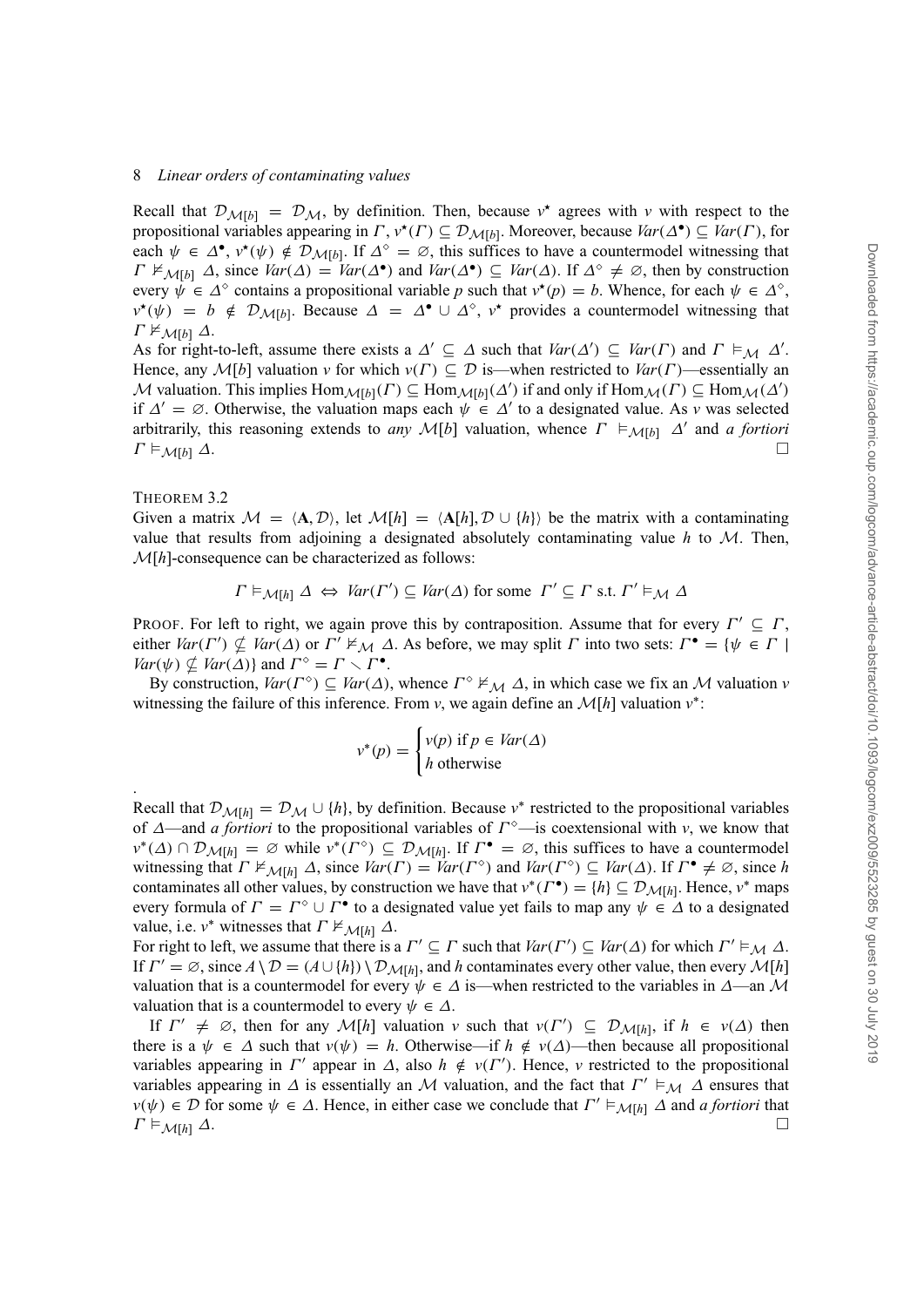Recall that  $D_{\mathcal{M}{b}} = D_{\mathcal{M}}$ , by definition. Then, because  $v^*$  agrees with *v* with respect to the propositional variables appearing in  $\Gamma$ ,  $v^*(\Gamma) \subseteq \mathcal{D}_{\mathcal{M}[b]}$ . Moreover, because  $Var(\Delta^{\bullet}) \subseteq Var(\Gamma)$ , for each  $\psi \in \Delta^{\bullet}$ ,  $v^{\star}(\psi) \notin \mathcal{D}_{\mathcal{M}[b]}$ . If  $\Delta^{\diamond} = \emptyset$ , this suffices to have a countermodel witnessing that  $\Gamma \not\models \mathcal{M}[b]$   $\Delta$ , since  $\text{Var}(\Delta) = \text{Var}(\Delta^{\bullet})$  and  $\text{Var}(\Delta^{\bullet}) \subseteq \text{Var}(\Delta)$ . If  $\Delta^{\diamond} \neq \emptyset$ , then by construction every  $\psi \in \Delta^{\diamond}$  contains a propositional variable p such that  $v^*(p) = b$ . Whence, for each  $\psi \in \Delta^{\diamond}$ ,  $v^{\star}(\psi) = b \notin \mathcal{D}_{\mathcal{M}[b]}$ . Because  $\Delta = \Delta^{\bullet} \cup \Delta^{\diamond}$ ,  $v^{\star}$  provides a countermodel witnessing that  $Γ \nvDash$ <sub>*M*[*b*]</sub> Δ.

As for right-to-left, assume there exists a  $\Delta' \subseteq \Delta$  such that  $Var(\Delta') \subseteq Var(\Gamma)$  and  $\Gamma \models_M \Delta'$ . Hence, any  $\mathcal{M}[b]$  valuation *v* for which  $v(\Gamma) \subseteq \mathcal{D}$  is—when restricted to *Var*( $\Gamma$ )—essentially an *M* valuation. This implies  $\text{Hom}_{\mathcal{M}[b]}(\Gamma) \subseteq \text{Hom}_{\mathcal{M}[b]}(\Delta')$  if and only if  $\text{Hom}_{\mathcal{M}}(\Gamma) \subseteq \text{Hom}_{\mathcal{M}}(\Delta')$ if  $\Delta' = \emptyset$ . Otherwise, the valuation maps each  $\psi \in \Delta'$  to a designated value. As *v* was selected arbitrarily, this reasoning extends to *any M*[*b*] valuation, whence  $\Gamma \models_{\mathcal{M}[b]} \Delta'$  and *a fortiori*  $\Gamma \models_{\mathcal{M}[b]} \Delta$ .  $\Gamma \vDash_{\mathcal{M}[b]} \Delta.$ 

# THEOREM 3.2

.

Given a matrix  $\mathcal{M} = \langle \mathbf{A}, \mathcal{D} \rangle$ , let  $\mathcal{M}[h] = \langle \mathbf{A}[h], \mathcal{D} \cup \{h\} \rangle$  be the matrix with a contaminating value that results from adjoining a designated absolutely contaminating value *h* to *M*. Then, *M*[*h*]-consequence can be characterized as follows:

$$
\Gamma \models_{\mathcal{M}[h]} \Delta \Leftrightarrow \text{Var}(\Gamma') \subseteq \text{Var}(\Delta) \text{ for some } \Gamma' \subseteq \Gamma \text{ s.t. } \Gamma' \models_{\mathcal{M}} \Delta
$$

PROOF. For left to right, we again prove this by contraposition. Assume that for every  $\Gamma' \subseteq \Gamma$ , either  $Var(\Gamma') \nsubseteq Var(\Delta)$  or  $\Gamma' \nvDash_{\mathcal{M}} \Delta$ . As before, we may split  $\Gamma$  into two sets:  $\Gamma^{\bullet} = \{ \psi \in \Gamma \mid \Psi \in \Gamma \mid \Psi \in \mathcal{M} \}$  $Var(\psi) \nsubseteq Var(\Delta)$ } and  $\Gamma^{\diamond} = \Gamma \setminus \Gamma^{\bullet}$ .

By construction,  $Var(\Gamma^{\circ}) \subseteq Var(\Delta)$ , whence  $\Gamma^{\circ} \nvDash_{\mathcal{M}} \Delta$ , in which case we fix an  $\mathcal M$  valuation  $\nu$ witnessing the failure of this inference. From *v*, we again define an *M*[*h*] valuation *v*∗:

$$
v^*(p) = \begin{cases} v(p) & \text{if } p \in \text{Var}(\Delta) \\ h & \text{otherwise} \end{cases}
$$

Recall that  $\mathcal{D}_{\mathcal{M}[h]} = \mathcal{D}_{\mathcal{M}} \cup \{h\}$ , by definition. Because  $v^*$  restricted to the propositional variables of Δ—and *a fortiori* to the propositional variables of Γ°—is coextensional with *v*, we know that  $v^*(\Delta) \cap \mathcal{D}_{\mathcal{M}[h]} = \emptyset$  while  $v^*(\Gamma^{\circ}) \subseteq \mathcal{D}_{\mathcal{M}[h]}$ . If  $\Gamma^{\bullet} = \emptyset$ , this suffices to have a countermodel witnessing that  $\Gamma \nvDash_{\mathcal{M}[h]} \Delta$ , since  $\text{Var}(\Gamma) = \text{Var}(\Gamma^{\circ})$  and  $\text{Var}(\Gamma^{\circ}) \subseteq \text{Var}(\Delta)$ . If  $\Gamma^{\bullet} \neq \emptyset$ , since *h* contaminates all other values, by construction we have that  $v^*(\Gamma^{\bullet}) = \{h\} \subseteq \mathcal{D}_{\mathcal{M}[h]}$ . Hence,  $v^*$  maps every formula of  $\Gamma = \Gamma^{\diamond} \cup \Gamma^{\bullet}$  to a designated value yet fails to map any  $\psi \in \Lambda$  to a designated value, i.e.  $v^*$  witnesses that  $\Gamma \nvDash_{\mathcal{M}[h]} \Delta$ .

For right to left, we assume that there is a  $\Gamma' \subseteq \Gamma$  such that  $Var(\Gamma') \subseteq Var(\Delta)$  for which  $\Gamma' \models_M \Delta$ . If  $\Gamma' = \emptyset$ , since  $A \setminus D = (A \cup \{h\}) \setminus D_{\mathcal{M}[h]}$ , and *h* contaminates every other value, then every  $\mathcal{M}[h]$ valuation that is a countermodel for every  $\psi \in \Delta$  is—when restricted to the variables in  $\Delta$ —an *M* valuation that is a countermodel to every  $\psi \in \Delta$ .

If  $\Gamma' \neq \emptyset$ , then for any *M*[*h*] valuation *v* such that  $v(\Gamma') \subseteq \mathcal{D}_{\mathcal{M}[h]}$ , if  $h \in v(\Delta)$  then there is a  $\psi \in \Delta$  such that  $v(\psi) = h$ . Otherwise—if  $h \notin v(\Delta)$ —then because all propositional variables appearing in  $\Gamma'$  appear in  $\Delta$ , also  $h \notin \nu(\Gamma')$ . Hence,  $\nu$  restricted to the propositional variables appearing in  $\Delta$  is essentially an  $\mathcal M$  valuation, and the fact that  $\Gamma' \vDash_{\mathcal M} \Delta$  ensures that *v*( $\psi$ ) ∈ *D* for some  $\psi$  ∈  $\Delta$ . Hence, in either case we conclude that  $\Gamma' \models_{\mathcal{M}[h]} \Delta$  and *a fortiori* that  $\Gamma \models_{\mathcal{M}[h]} \Delta$ .  $\Gamma \models_{\mathcal{M}[h]} \Delta.$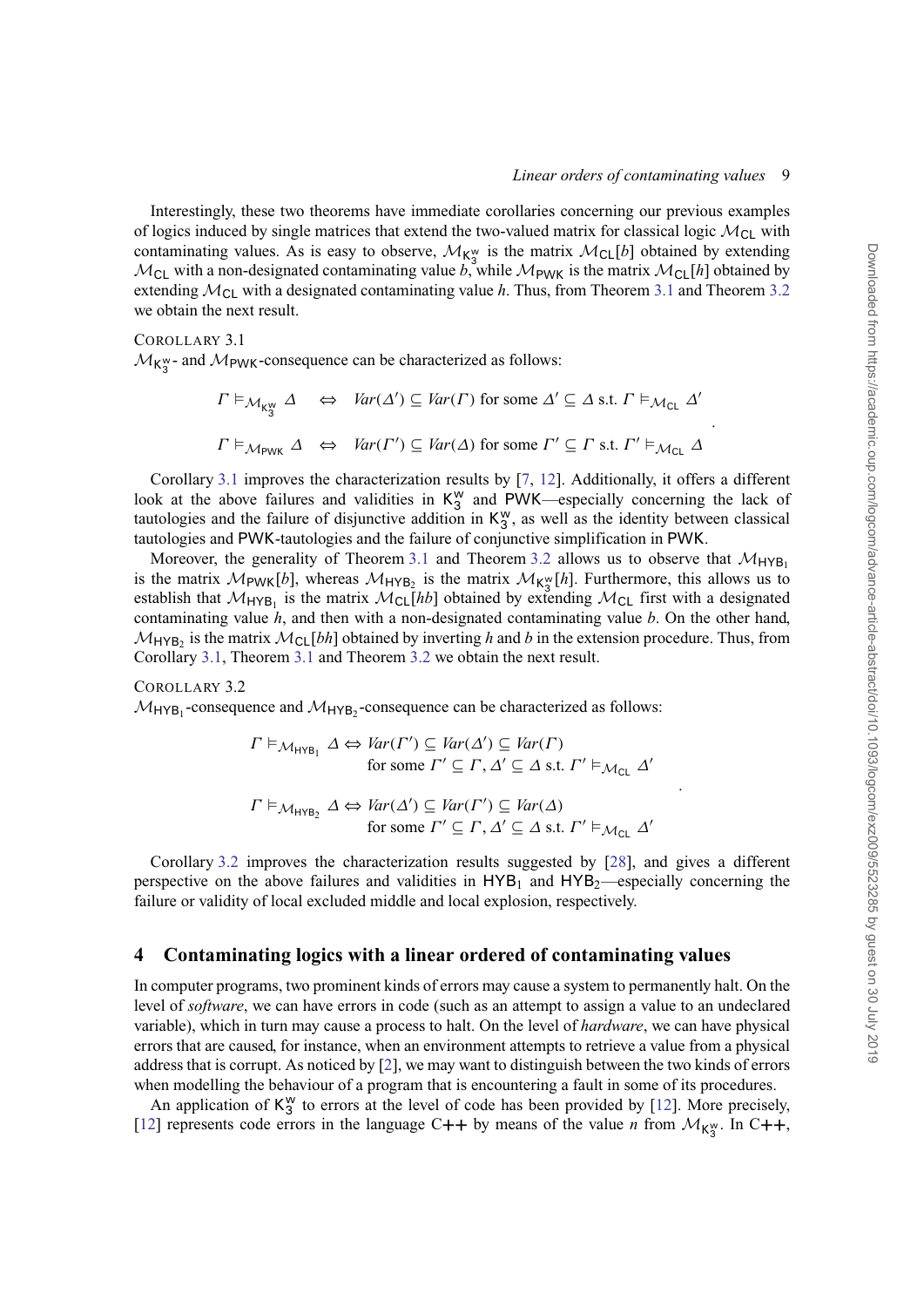.

.

Interestingly, these two theorems have immediate corollaries concerning our previous examples of logics induced by single matrices that extend the two-valued matrix for classical logic  $\mathcal{M}_{\text{Cl}}$  with contaminating values. As is easy to observe,  $\mathcal{M}_{K_3^w}$  is the matrix  $\mathcal{M}_{CL}[b]$  obtained by extending  $M_{CL}$  with a non-designated contaminating value *b*, while  $M_{PWK}$  is the matrix  $M_{CL}[h]$  obtained by extending  $M_{CL}$  with a designated contaminating value *h*. Thus, from Theorem 3.1 and Theorem 3.2 we obtain the next result.

COROLLARY 3.1

 $\mathcal{M}_{K_3^w}$ - and  $\mathcal{M}_{\text{PWK}}$ -consequence can be characterized as follows:

$$
\Gamma \vDash_{\mathcal{M}_{K_3^w}} \Delta \quad \Leftrightarrow \quad \text{Var}(\Delta') \subseteq \text{Var}(\Gamma) \text{ for some } \Delta' \subseteq \Delta \text{ s.t. } \Gamma \vDash_{\mathcal{M}_{\text{CL}}} \Delta'
$$
\n
$$
\Gamma \vDash_{\mathcal{M}_{\text{PWK}}} \Delta \quad \Leftrightarrow \quad \text{Var}(\Gamma') \subseteq \text{Var}(\Delta) \text{ for some } \Gamma' \subseteq \Gamma \text{ s.t. } \Gamma' \vDash_{\mathcal{M}_{\text{CL}}} \Delta
$$

Corollary 3.1 improves the characterization results by [7, 12]. Additionally, it offers a different look at the above failures and validities in  $K_3^w$  and PWK—especially concerning the lack of tautologies and the failure of disjunctive addition in  $K_3^w$ , as well as the identity between classical tautologies and PWK-tautologies and the failure of conjunctive simplification in PWK.

Moreover, the generality of Theorem 3.1 and Theorem 3.2 allows us to observe that  $M_{HYB}$ is the matrix  $M_{\text{PWK}}[b]$ , whereas  $M_{\text{HYB}_2}$  is the matrix  $M_{\text{K}_3^{\text{w}}}[\hbar]$ . Furthermore, this allows us to establish that  $M_{HVB_1}$  is the matrix  $M_{CL}[hb]$  obtained by extending  $M_{CL}$  first with a designated contaminating value *h*, and then with a non-designated contaminating value *b*. On the other hand,  $M_{HYB2}$  is the matrix  $M_{CL}[bh]$  obtained by inverting *h* and *b* in the extension procedure. Thus, from Corollary 3.1, Theorem 3.1 and Theorem 3.2 we obtain the next result.

# COROLLARY 3.2

 $M_{HYB_1}$ -consequence and  $M_{HYB_2}$ -consequence can be characterized as follows:

$$
\Gamma \vDash_{\mathcal{M}_{HVB_1}} \Delta \Leftrightarrow \text{Var}(\Gamma') \subseteq \text{Var}(\Delta') \subseteq \text{Var}(\Gamma)
$$
  
for some  $\Gamma' \subseteq \Gamma$ ,  $\Delta' \subseteq \Delta$  s.t.  $\Gamma' \vDash_{\mathcal{M}_{CL}} \Delta'$   

$$
\Gamma \vDash_{\mathcal{M}_{HVB_2}} \Delta \Leftrightarrow \text{Var}(\Delta') \subseteq \text{Var}(\Gamma') \subseteq \text{Var}(\Delta)
$$

for some  $\Gamma' \subseteq \Gamma$ ,  $\Delta' \subseteq \Delta$  s.t.  $\Gamma' \models_{\mathcal{M}_{\text{CL}}} \Delta'$ 

Corollary 3.2 improves the characterization results suggested by [28], and gives a different perspective on the above failures and validities in  $HYB_1$  and  $HYB_2$ —especially concerning the failure or validity of local excluded middle and local explosion, respectively.

# **4 Contaminating logics with a linear ordered of contaminating values**

In computer programs, two prominent kinds of errors may cause a system to permanently halt. On the level of *software*, we can have errors in code (such as an attempt to assign a value to an undeclared variable), which in turn may cause a process to halt. On the level of *hardware*, we can have physical errors that are caused, for instance, when an environment attempts to retrieve a value from a physical address that is corrupt. As noticed by [2], we may want to distinguish between the two kinds of errors when modelling the behaviour of a program that is encountering a fault in some of its procedures.

An application of  $K_3^w$  to errors at the level of code has been provided by [12]. More precisely, [12] represents code errors in the language C++ by means of the value *n* from  $\mathcal{M}_{K_3^w}$ . In C++,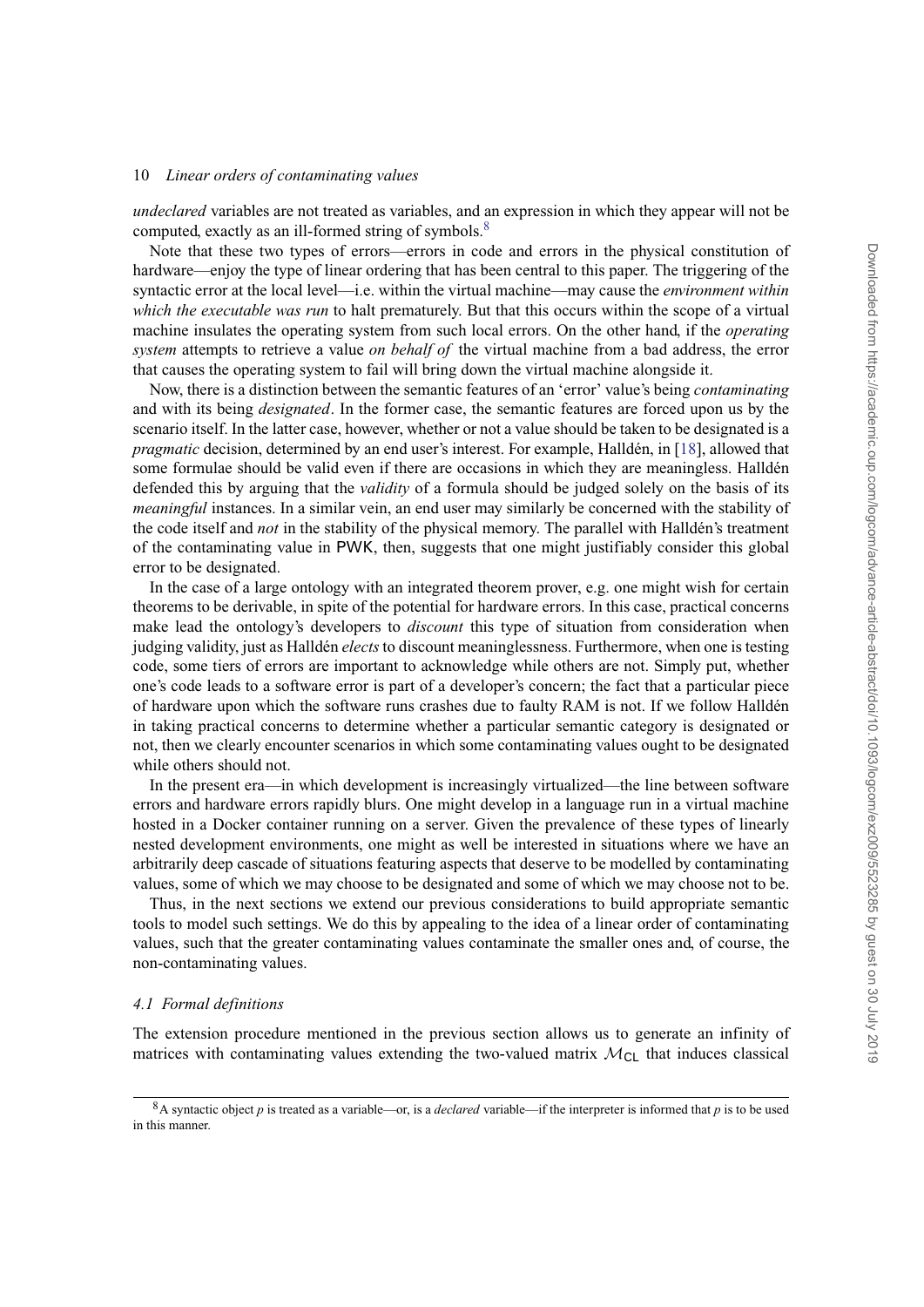*undeclared* variables are not treated as variables, and an expression in which they appear will not be computed, exactly as an ill-formed string of symbols.<sup>8</sup>

Note that these two types of errors—errors in code and errors in the physical constitution of hardware—enjoy the type of linear ordering that has been central to this paper. The triggering of the syntactic error at the local level—i.e. within the virtual machine—may cause the *environment within which the executable was run* to halt prematurely. But that this occurs within the scope of a virtual machine insulates the operating system from such local errors. On the other hand, if the *operating system* attempts to retrieve a value *on behalf of* the virtual machine from a bad address, the error that causes the operating system to fail will bring down the virtual machine alongside it.

Now, there is a distinction between the semantic features of an 'error' value's being *contaminating* and with its being *designated*. In the former case, the semantic features are forced upon us by the scenario itself. In the latter case, however, whether or not a value should be taken to be designated is a *pragmatic* decision, determined by an end user's interest. For example, Halldén, in [18], allowed that some formulae should be valid even if there are occasions in which they are meaningless. Halldén defended this by arguing that the *validity* of a formula should be judged solely on the basis of its *meaningful* instances. In a similar vein, an end user may similarly be concerned with the stability of the code itself and *not* in the stability of the physical memory. The parallel with Halldén's treatment of the contaminating value in PWK, then, suggests that one might justifiably consider this global error to be designated.

In the case of a large ontology with an integrated theorem prover, e.g. one might wish for certain theorems to be derivable, in spite of the potential for hardware errors. In this case, practical concerns make lead the ontology's developers to *discount* this type of situation from consideration when judging validity, just as Halldén *elects* to discount meaninglessness. Furthermore, when one is testing code, some tiers of errors are important to acknowledge while others are not. Simply put, whether one's code leads to a software error is part of a developer's concern; the fact that a particular piece of hardware upon which the software runs crashes due to faulty RAM is not. If we follow Halldén in taking practical concerns to determine whether a particular semantic category is designated or not, then we clearly encounter scenarios in which some contaminating values ought to be designated while others should not.

In the present era—in which development is increasingly virtualized—the line between software errors and hardware errors rapidly blurs. One might develop in a language run in a virtual machine hosted in a Docker container running on a server. Given the prevalence of these types of linearly nested development environments, one might as well be interested in situations where we have an arbitrarily deep cascade of situations featuring aspects that deserve to be modelled by contaminating values, some of which we may choose to be designated and some of which we may choose not to be.

Thus, in the next sections we extend our previous considerations to build appropriate semantic tools to model such settings. We do this by appealing to the idea of a linear order of contaminating values, such that the greater contaminating values contaminate the smaller ones and, of course, the non-contaminating values.

# *4.1 Formal definitions*

The extension procedure mentioned in the previous section allows us to generate an infinity of matrices with contaminating values extending the two-valued matrix  $\mathcal{M}_{\text{Cl}}$  that induces classical

 $8A$  syntactic object *p* is treated as a variable—or, is a *declared* variable—if the interpreter is informed that *p* is to be used in this manner.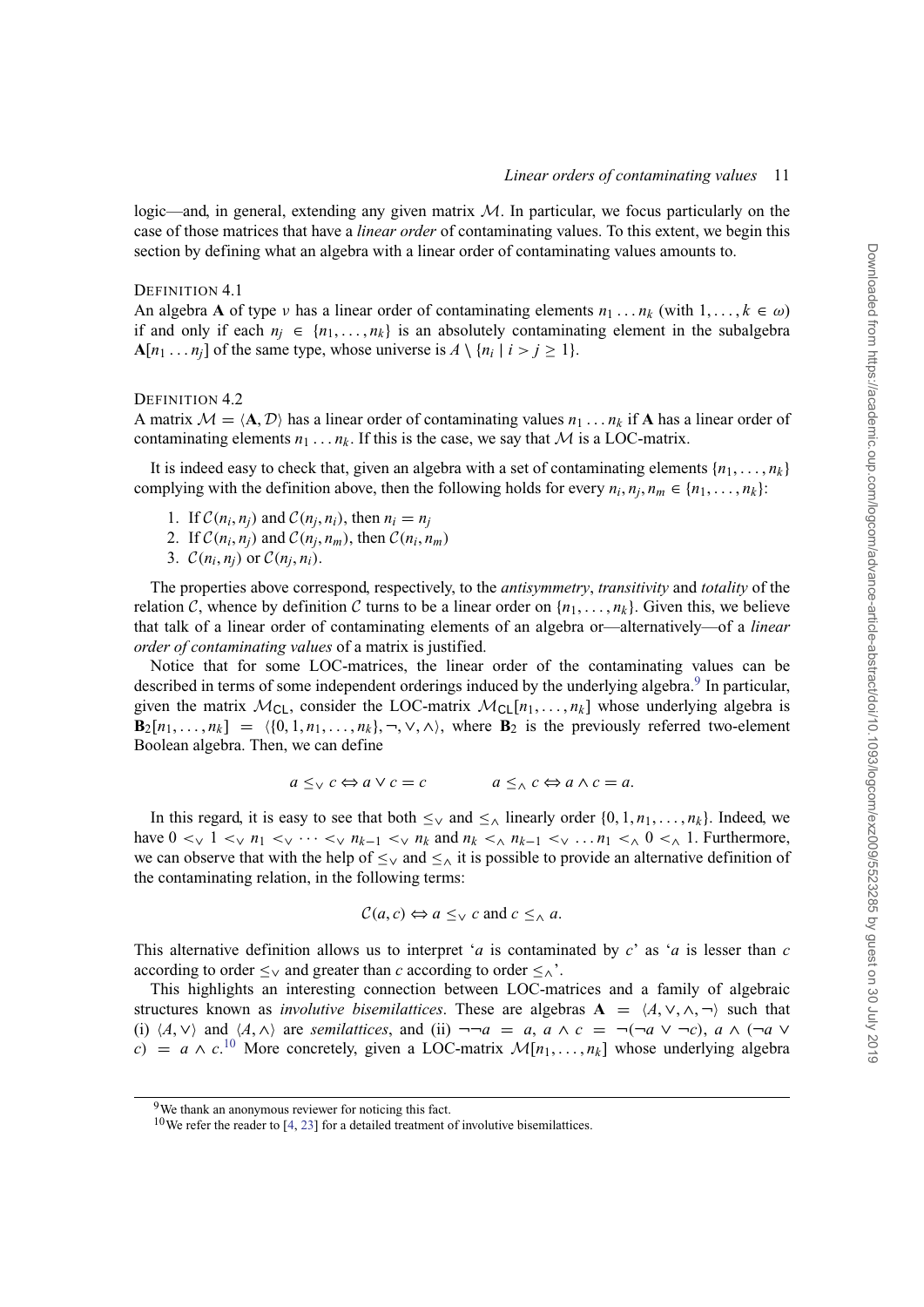logic—and, in general, extending any given matrix *M*. In particular, we focus particularly on the case of those matrices that have a *linear order* of contaminating values. To this extent, we begin this section by defining what an algebra with a linear order of contaminating values amounts to.

# DEFINITION 4.1

An algebra **A** of type v has a linear order of contaminating elements  $n_1 \, ... \, n_k$  (with  $1, ..., k \in \omega$ ) if and only if each  $n_i \in \{n_1, \ldots, n_k\}$  is an absolutely contaminating element in the subalgebra  ${\bf A}[n_1 \dots n_i]$  of the same type, whose universe is  $A \setminus \{n_i \mid i > j \ge 1\}.$ 

# DEFINITION 4.2

A matrix  $M = \langle A, D \rangle$  has a linear order of contaminating values  $n_1 \dots n_k$  if A has a linear order of contaminating elements  $n_1 \nldots n_k$ . If this is the case, we say that M is a LOC-matrix.

It is indeed easy to check that, given an algebra with a set of contaminating elements  $\{n_1, \ldots, n_k\}$ complying with the definition above, then the following holds for every  $n_i$ ,  $n_j$ ,  $n_m \in \{n_1, \ldots, n_k\}$ :

- 1. If  $C(n_i, n_i)$  and  $C(n_i, n_i)$ , then  $n_i = n_i$
- 2. If  $C(n_i, n_i)$  and  $C(n_i, n_m)$ , then  $C(n_i, n_m)$
- 3.  $C(n_i, n_j)$  or  $C(n_i, n_i)$ .

The properties above correspond, respectively, to the *antisymmetry*, *transitivity* and *totality* of the relation *C*, whence by definition *C* turns to be a linear order on  $\{n_1, \ldots, n_k\}$ . Given this, we believe that talk of a linear order of contaminating elements of an algebra or—alternatively—of a *linear order of contaminating values* of a matrix is justified.

Notice that for some LOC-matrices, the linear order of the contaminating values can be described in terms of some independent orderings induced by the underlying algebra.<sup>9</sup> In particular, given the matrix  $M_{CL}$ , consider the LOC-matrix  $M_{CL}[n_1, \ldots, n_k]$  whose underlying algebra is  $\mathbf{B}_2[n_1,\ldots,n_k] = \langle \{0,1,n_1,\ldots,n_k\},\neg,\vee,\wedge \rangle$ , where  $\mathbf{B}_2$  is the previously referred two-element Boolean algebra. Then, we can define

$$
a \leq_{\vee} c \Leftrightarrow a \vee c = c \qquad a \leq_{\wedge} c \Leftrightarrow a \wedge c = a.
$$

In this regard, it is easy to see that both  $\leq \vee$  and  $\leq \wedge$  linearly order {0, 1, *n*<sub>1</sub>, ..., *n*<sub>*k*</sub>}. Indeed, we have  $0 \lt_{\vee} 1 \lt_{\vee} n_1 \lt_{\vee} \cdots \lt_{\vee} n_{k-1} \lt_{\vee} n_k$  and  $n_k \lt_{\wedge} n_{k-1} \lt_{\vee} \ldots n_1 \lt_{\wedge} 0 \lt_{\wedge} 1$ . Furthermore, we can observe that with the help of  $\leq_V$  and  $\leq_\wedge$  it is possible to provide an alternative definition of the contaminating relation, in the following terms:

$$
C(a, c) \Leftrightarrow a \leq_\vee c \text{ and } c \leq_\wedge a.
$$

This alternative definition allows us to interpret '*a* is contaminated by *c*' as '*a* is lesser than *c* according to order  $\leq_{\vee}$  and greater than *c* according to order  $\leq_{\wedge}$ '.

This highlights an interesting connection between LOC-matrices and a family of algebraic structures known as *involutive bisemilattices*. These are algebras  $\mathbf{A} = \langle A, \vee, \wedge, \neg \rangle$  such that (i)  $\langle A, \vee \rangle$  and  $\langle A, \wedge \rangle$  are *semilattices*, and (ii)  $\neg \neg a = a, a \wedge c = \neg (\neg a \vee \neg c), a \wedge (\neg a \vee \neg c)$ *c*) = *a*  $\wedge$  *c*.<sup>10</sup> More concretely, given a LOC-matrix  $\mathcal{M}[n_1, \ldots, n_k]$  whose underlying algebra

<sup>&</sup>lt;sup>9</sup>We thank an anonymous reviewer for noticing this fact.

 $10$ We refer the reader to [4, 23] for a detailed treatment of involutive bisemilattices.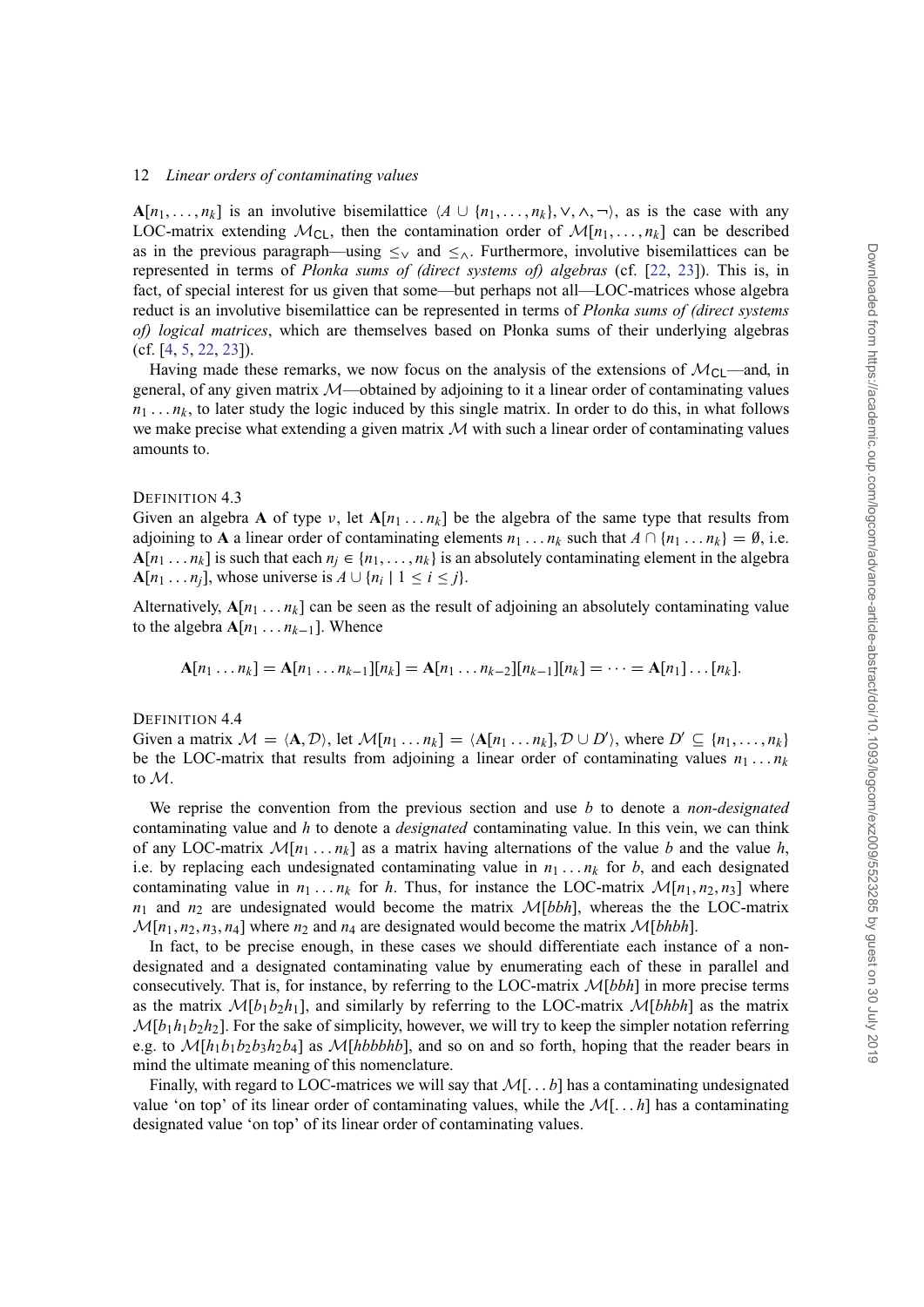${\bf A}[n_1,\ldots,n_k]$  is an involutive bisemilattice  $\langle A\cup\{n_1,\ldots,n_k\},\vee,\wedge,\neg\rangle$ , as is the case with any LOC-matrix extending  $\mathcal{M}_{\text{Cl}}$ , then the contamination order of  $\mathcal{M}[n_1, \ldots, n_k]$  can be described as in the previous paragraph—using  $\leq_V$  and  $\leq_{\wedge}$ . Furthermore, involutive bisemilattices can be represented in terms of *Płonka sums of (direct systems of) algebras* (cf. [22, 23]). This is, in fact, of special interest for us given that some—but perhaps not all—LOC-matrices whose algebra reduct is an involutive bisemilattice can be represented in terms of *Płonka sums of (direct systems of) logical matrices*, which are themselves based on Płonka sums of their underlying algebras (cf. [4, 5, 22, 23]).

Having made these remarks, we now focus on the analysis of the extensions of  $M_{\text{Cl}}$ —and, in general, of any given matrix *M*—obtained by adjoining to it a linear order of contaminating values  $n_1 \ldots n_k$ , to later study the logic induced by this single matrix. In order to do this, in what follows we make precise what extending a given matrix *M* with such a linear order of contaminating values amounts to.

# DEFINITION 4.3

Given an algebra **A** of type  $v$ , let  $A[n_1 \ldots n_k]$  be the algebra of the same type that results from adjoining to **A** a linear order of contaminating elements  $n_1 \, \ldots \, n_k$  such that  $A \cap \{n_1 \ldots n_k\} = \emptyset$ , i.e.  ${\bf A}[n_1 \dots n_k]$  is such that each  $n_j \in \{n_1, \dots, n_k\}$  is an absolutely contaminating element in the algebra  ${\bf A}[n_1 \dots n_j]$ , whose universe is  $A \cup \{n_i \mid 1 \le i \le j\}.$ 

Alternatively,  $A[n_1 \ldots n_k]$  can be seen as the result of adjoining an absolutely contaminating value to the algebra  $\mathbf{A}[n_1 \dots n_{k-1}]$ . Whence

$$
\mathbf{A}[n_1 \ldots n_k] = \mathbf{A}[n_1 \ldots n_{k-1}][n_k] = \mathbf{A}[n_1 \ldots n_{k-2}][n_{k-1}][n_k] = \cdots = \mathbf{A}[n_1] \ldots [n_k].
$$

DEFINITION 4.4

Given a matrix  $M = \langle A, D \rangle$ , let  $M[n_1 \dots n_k] = \langle A[n_1 \dots n_k], D \cup D' \rangle$ , where  $D' \subseteq \{n_1, \dots, n_k\}$ be the LOC-matrix that results from adjoining a linear order of contaminating values  $n_1 \ldots n_k$ to *M*.

We reprise the convention from the previous section and use *b* to denote a *non-designated* contaminating value and *h* to denote a *designated* contaminating value. In this vein, we can think of any LOC-matrix  $\mathcal{M}[n_1 \dots n_k]$  as a matrix having alternations of the value *b* and the value *h*, i.e. by replacing each undesignated contaminating value in  $n_1 \ldots n_k$  for *b*, and each designated contaminating value in  $n_1 \ldots n_k$  for *h*. Thus, for instance the LOC-matrix  $\mathcal{M}[n_1, n_2, n_3]$  where *n*<sup>1</sup> and *n*<sup>2</sup> are undesignated would become the matrix *M*[*bbh*], whereas the the LOC-matrix  $M[n_1, n_2, n_3, n_4]$  where  $n_2$  and  $n_4$  are designated would become the matrix  $M[bhbh]$ .

In fact, to be precise enough, in these cases we should differentiate each instance of a nondesignated and a designated contaminating value by enumerating each of these in parallel and consecutively. That is, for instance, by referring to the LOC-matrix *M*[*bbh*] in more precise terms as the matrix  $M[b_1b_2h_1]$ , and similarly by referring to the LOC-matrix  $M[bhbh]$  as the matrix  $M[b_1h_1b_2h_2]$ . For the sake of simplicity, however, we will try to keep the simpler notation referring e.g. to  $M[h_1b_1b_2b_3h_2b_4]$  as  $M[hbbbh]$ , and so on and so forth, hoping that the reader bears in mind the ultimate meaning of this nomenclature.

Finally, with regard to LOC-matrices we will say that *M*[*... b*] has a contaminating undesignated value 'on top' of its linear order of contaminating values, while the  $\mathcal{M}[\ldots, h]$  has a contaminating designated value 'on top' of its linear order of contaminating values.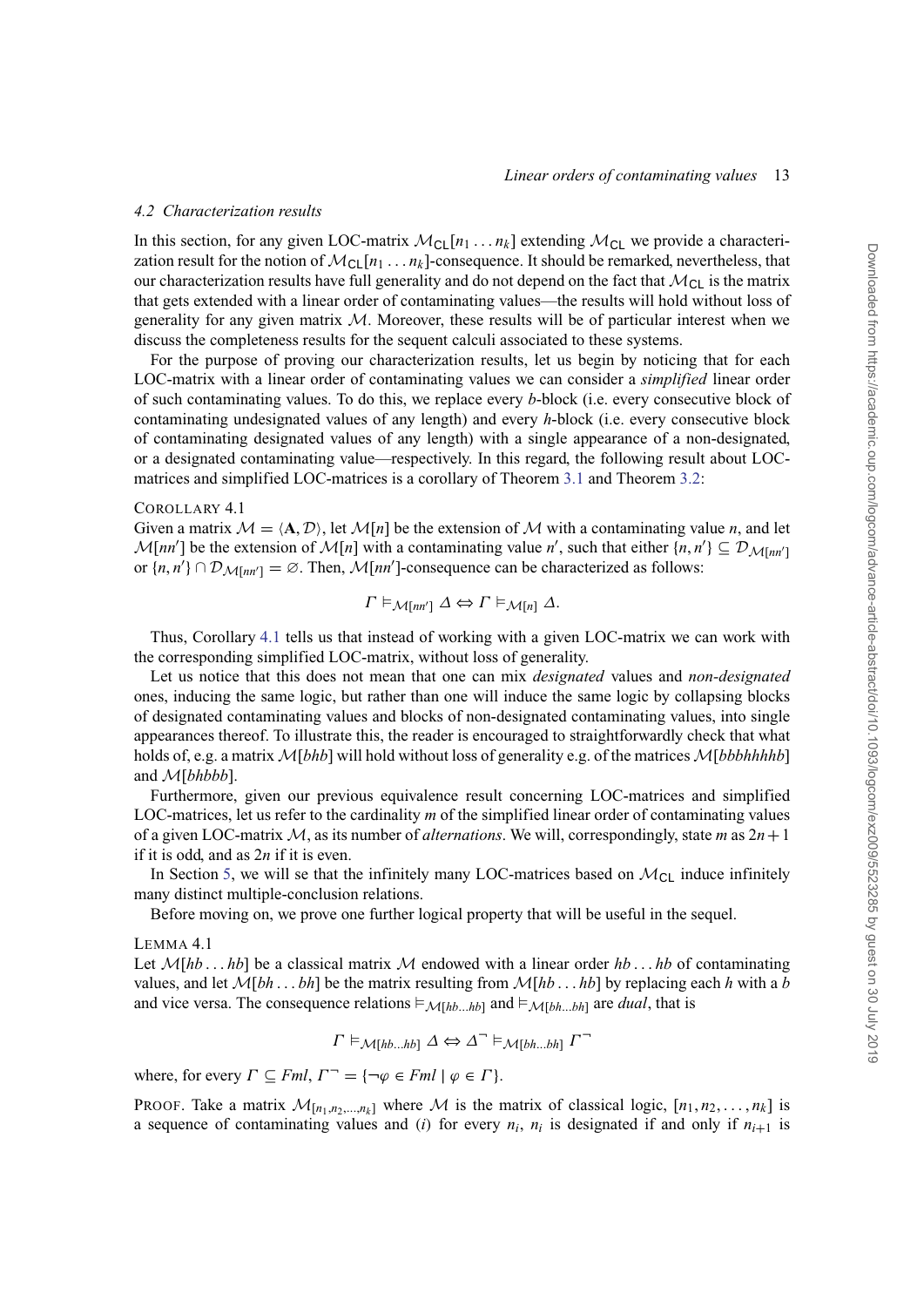# *4.2 Characterization results*

In this section, for any given LOC-matrix  $M_{CL}[n_1 \dots n_k]$  extending  $M_{CL}$  we provide a characterization result for the notion of  $M_{CL}[n_1 \ldots n_k]$ -consequence. It should be remarked, nevertheless, that our characterization results have full generality and do not depend on the fact that  $\mathcal{M}_{CL}$  is the matrix that gets extended with a linear order of contaminating values—the results will hold without loss of generality for any given matrix *M*. Moreover, these results will be of particular interest when we discuss the completeness results for the sequent calculi associated to these systems.

For the purpose of proving our characterization results, let us begin by noticing that for each LOC-matrix with a linear order of contaminating values we can consider a *simplified* linear order of such contaminating values. To do this, we replace every *b*-block (i.e. every consecutive block of contaminating undesignated values of any length) and every *h*-block (i.e. every consecutive block of contaminating designated values of any length) with a single appearance of a non-designated, or a designated contaminating value—respectively. In this regard, the following result about LOCmatrices and simplified LOC-matrices is a corollary of Theorem 3.1 and Theorem 3.2:

#### COROLLARY 4.1

Given a matrix  $M = \langle A, \mathcal{D} \rangle$ , let  $\mathcal{M}[n]$  be the extension of M with a contaminating value *n*, and let  $M[nn']$  be the extension of  $M[n]$  with a contaminating value *n'*, such that either  $\{n, n'\} \subseteq \mathcal{D}_{M[m']}$ or  $\{n, n'\} \cap \mathcal{D}_{\mathcal{M}[nn']} = \emptyset$ . Then,  $\mathcal{M}[nn']$ -consequence can be characterized as follows:

$$
\Gamma \vDash_{\mathcal{M}[nn']} \Delta \Leftrightarrow \Gamma \vDash_{\mathcal{M}[n]} \Delta.
$$

Thus, Corollary 4.1 tells us that instead of working with a given LOC-matrix we can work with the corresponding simplified LOC-matrix, without loss of generality.

Let us notice that this does not mean that one can mix *designated* values and *non-designated* ones, inducing the same logic, but rather than one will induce the same logic by collapsing blocks of designated contaminating values and blocks of non-designated contaminating values, into single appearances thereof. To illustrate this, the reader is encouraged to straightforwardly check that what holds of, e.g. a matrix*M*[*bhb*] will hold without loss of generality e.g. of the matrices*M*[*bbbhhhhb*] and *M*[*bhbbb*].

Furthermore, given our previous equivalence result concerning LOC-matrices and simplified LOC-matrices, let us refer to the cardinality *m* of the simplified linear order of contaminating values of a given LOC-matrix *M*, as its number of *alternations*. We will, correspondingly, state *m* as 2*n*+1 if it is odd, and as 2*n* if it is even.

In Section 5, we will se that the infinitely many LOC-matrices based on  $M_{CL}$  induce infinitely many distinct multiple-conclusion relations.

Before moving on, we prove one further logical property that will be useful in the sequel.

## LEMMA 4.1

Let  $M[hb...hb]$  be a classical matrix M endowed with a linear order  $hb...hb$  of contaminating values, and let  $M[bh \dots bh]$  be the matrix resulting from  $M[hb \dots hb]$  by replacing each *h* with a *b* and vice versa. The consequence relations  $\models$ <sub>*M*[*hb...hb*] and  $\models$ *M*[*bh...bh*] are *dual*, that is</sub>

$$
\Gamma \vDash_{\mathcal{M}[hb...hb]} \Delta \Leftrightarrow \Delta \supset \vDash_{\mathcal{M}[bh...bh]} \Gamma \supset
$$

where, for every  $\Gamma \subseteq Fml$ ,  $\Gamma^{-} = {\neg \varphi \in Fml \mid \varphi \in \Gamma}$ .

PROOF. Take a matrix  $\mathcal{M}_{[n_1,n_2,...,n_k]}$  where  $\mathcal{M}$  is the matrix of classical logic,  $[n_1,n_2,...,n_k]$  is a sequence of contaminating values and *(i)* for every  $n_i$ ,  $n_i$  is designated if and only if  $n_{i+1}$  is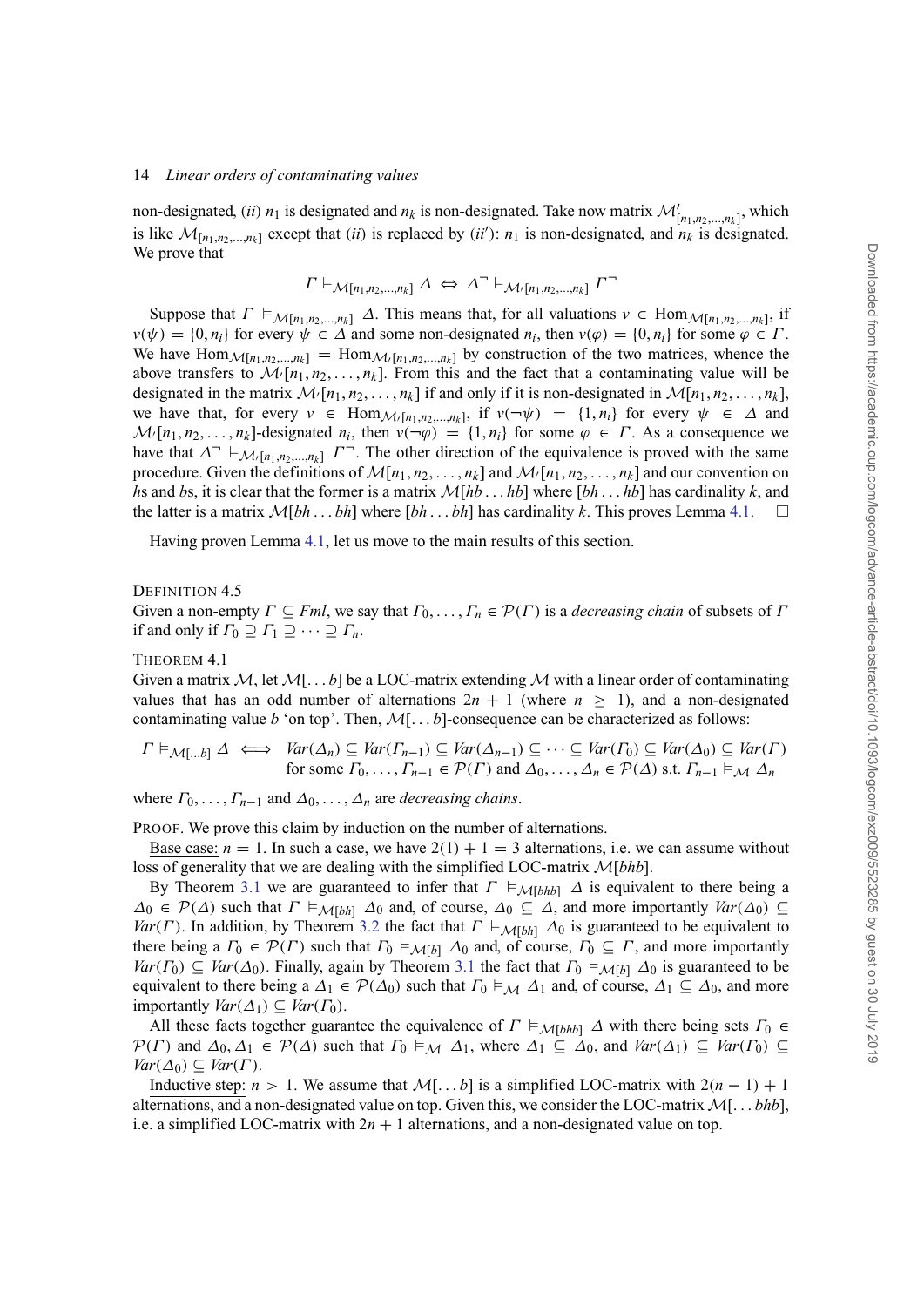non-designated, *(ii)*  $n_1$  is designated and  $n_k$  is non-designated. Take now matrix  $\mathcal{M}'_{[n_1,n_2,...,n_k]}$ , which is like  $\mathcal{M}_{[n_1,n_2,...,n_k]}$  except that *(ii)* is replaced by *(ii')*:  $n_1$  is non-designated, and  $n_k$  is designated. We prove that

$$
\Gamma \vDash_{\mathcal{M}[n_1,n_2,...,n_k]} \Delta \Leftrightarrow \Delta \supset \vDash_{\mathcal{M}/[n_1,n_2,...,n_k]} \Gamma \supset
$$

Suppose that  $\Gamma \models_{\mathcal{M}[n_1,n_2,...,n_k]} \Delta$ . This means that, for all valuations  $v \in \text{Hom}_{\mathcal{M}[n_1,n_2,...,n_k]}$ , if  $v(\psi) = \{0, n_i\}$  for every  $\psi \in \Lambda$  and some non-designated  $n_i$ , then  $v(\varphi) = \{0, n_i\}$  for some  $\varphi \in \Gamma$ . We have  $\text{Hom}_{\mathcal{M}[n_1,n_2,...,n_k]} = \text{Hom}_{\mathcal{M}[n_1,n_2,...,n_k]}$  by construction of the two matrices, whence the above transfers to  $\mathcal{M}{\cdot}$ [ $n_1, n_2, \ldots, n_k$ ]. From this and the fact that a contaminating value will be designated in the matrix  $\mathcal{M}/[n_1, n_2, \ldots, n_k]$  if and only if it is non-designated in  $\mathcal{M}[n_1, n_2, \ldots, n_k]$ , we have that, for every  $v \in \text{Hom}_{\mathcal{M}/[n_1,n_2,...,n_k]}$ , if  $v(\neg \psi) = \{1,n_i\}$  for every  $\psi \in \Delta$  and  $\mathcal{M}$ <sup>[</sup> $n_1, n_2, \ldots, n_k$ ]-designated  $n_i$ , then  $v(\neg\varphi) = \{1, n_i\}$  for some  $\varphi \in \Gamma$ . As a consequence we have that  $\Delta^ \models$ <sub>*M*</sub> $(n_1, n_2, ..., n_k)$   $\Gamma^-$ . The other direction of the equivalence is proved with the same procedure. Given the definitions of  $M[n_1, n_2, \ldots, n_k]$  and  $M_{\ell}[n_1, n_2, \ldots, n_k]$  and our convention on *h*s and *bs*, it is clear that the former is a matrix  $M[hb \dots h b]$  where  $[bh \dots h b]$  has cardinality *k*, and the latter is a matrix  $M[hb \rightarrow bh]$  where  $[hb \rightarrow bh]$  has cardinality *k*. This proves Lemma 4.1 the latter is a matrix  $\mathcal{M}[bh \dots bh]$  where  $[bh \dots bh]$  has cardinality *k*. This proves Lemma 4.1.

Having proven Lemma 4.1, let us move to the main results of this section.

#### DEFINITION 4.5

Given a non-empty  $\Gamma \subseteq Fml$ , we say that  $\Gamma_0, \ldots, \Gamma_n \in \mathcal{P}(\Gamma)$  is a *decreasing chain* of subsets of  $\Gamma$ if and only if  $\Gamma_0 \supseteq \Gamma_1 \supseteq \cdots \supseteq \Gamma_n$ .

## THEOREM 4.1

Given a matrix  $M$ , let  $M$ [...b] be a LOC-matrix extending M with a linear order of contaminating values that has an odd number of alternations  $2n + 1$  (where  $n \geq 1$ ), and a non-designated contaminating value *b* 'on top'. Then, *M*[*... b*]-consequence can be characterized as follows:

$$
\Gamma \vDash_{\mathcal{M}[...b]} \Delta \iff \text{Var}(\Delta_n) \subseteq \text{Var}(\Gamma_{n-1}) \subseteq \text{Var}(\Delta_{n-1}) \subseteq \cdots \subseteq \text{Var}(\Gamma_0) \subseteq \text{Var}(\Delta_0) \subseteq \text{Var}(\Gamma)
$$
  
for some  $\Gamma_0, \ldots, \Gamma_{n-1} \in \mathcal{P}(\Gamma)$  and  $\Delta_0, \ldots, \Delta_n \in \mathcal{P}(\Delta)$  s.t.  $\Gamma_{n-1} \vDash_{\mathcal{M}} \Delta_n$ 

where  $\Gamma_0, \ldots, \Gamma_{n-1}$  and  $\Delta_0, \ldots, \Delta_n$  are *decreasing chains*.

PROOF. We prove this claim by induction on the number of alternations.

Base case:  $n = 1$ . In such a case, we have  $2(1) + 1 = 3$  alternations, i.e. we can assume without loss of generality that we are dealing with the simplified LOC-matrix *M*[*bhb*].

By Theorem 3.1 we are guaranteed to infer that  $\Gamma \models_{\mathcal{M}[bhb]} \Delta$  is equivalent to there being a  $\Delta_0 \in \mathcal{P}(\Delta)$  such that  $\Gamma \models_{\mathcal{M}[bh]} \Delta_0$  and, of course,  $\Delta_0 \subseteq \Delta$ , and more importantly  $Var(\Delta_0) \subseteq$ *Var*(*Γ*). In addition, by Theorem 3.2 the fact that  $\Gamma \models_{\mathcal{M}[bh]} \Delta_0$  is guaranteed to be equivalent to there being a  $\Gamma_0 \in \mathcal{P}(\Gamma)$  such that  $\Gamma_0 \models_{\mathcal{M}{b}} \Delta_0$  and, of course,  $\Gamma_0 \subseteq \Gamma$ , and more importantly  $Var(\Gamma_0) \subseteq Var(\Delta_0)$ . Finally, again by Theorem 3.1 the fact that  $\Gamma_0 \models_{\mathcal{M}[b]} \Delta_0$  is guaranteed to be equivalent to there being a  $\Delta_1 \in \mathcal{P}(\Delta_0)$  such that  $\Gamma_0 \models_{\mathcal{M}} \Delta_1$  and, of course,  $\Delta_1 \subseteq \Delta_0$ , and more  $$ 

All these facts together guarantee the equivalence of  $\Gamma \models_{\mathcal{M}[bhb]} \Delta$  with there being sets  $\Gamma_0 \in$ *P*(*Γ*) and  $\Delta_0$ ,  $\Delta_1$  ∈ *P*( $\Delta$ ) such that  $\Gamma_0$   $\models_{\mathcal{M}} \Delta_1$ , where  $\Delta_1$  ⊆  $\Delta_0$ , and  $Var(\Delta_1)$  ⊆  $Var(\Gamma_0)$  ⊆  $Var(\Delta_0)$  ⊂  $Var(\Gamma)$ .

Inductive step: *n* > 1. We assume that  $M[\dots b]$  is a simplified LOC-matrix with  $2(n - 1) + 1$ alternations, and a non-designated value on top. Given this, we consider the LOC-matrix*M*[*... bhb*], i.e. a simplified LOC-matrix with  $2n + 1$  alternations, and a non-designated value on top.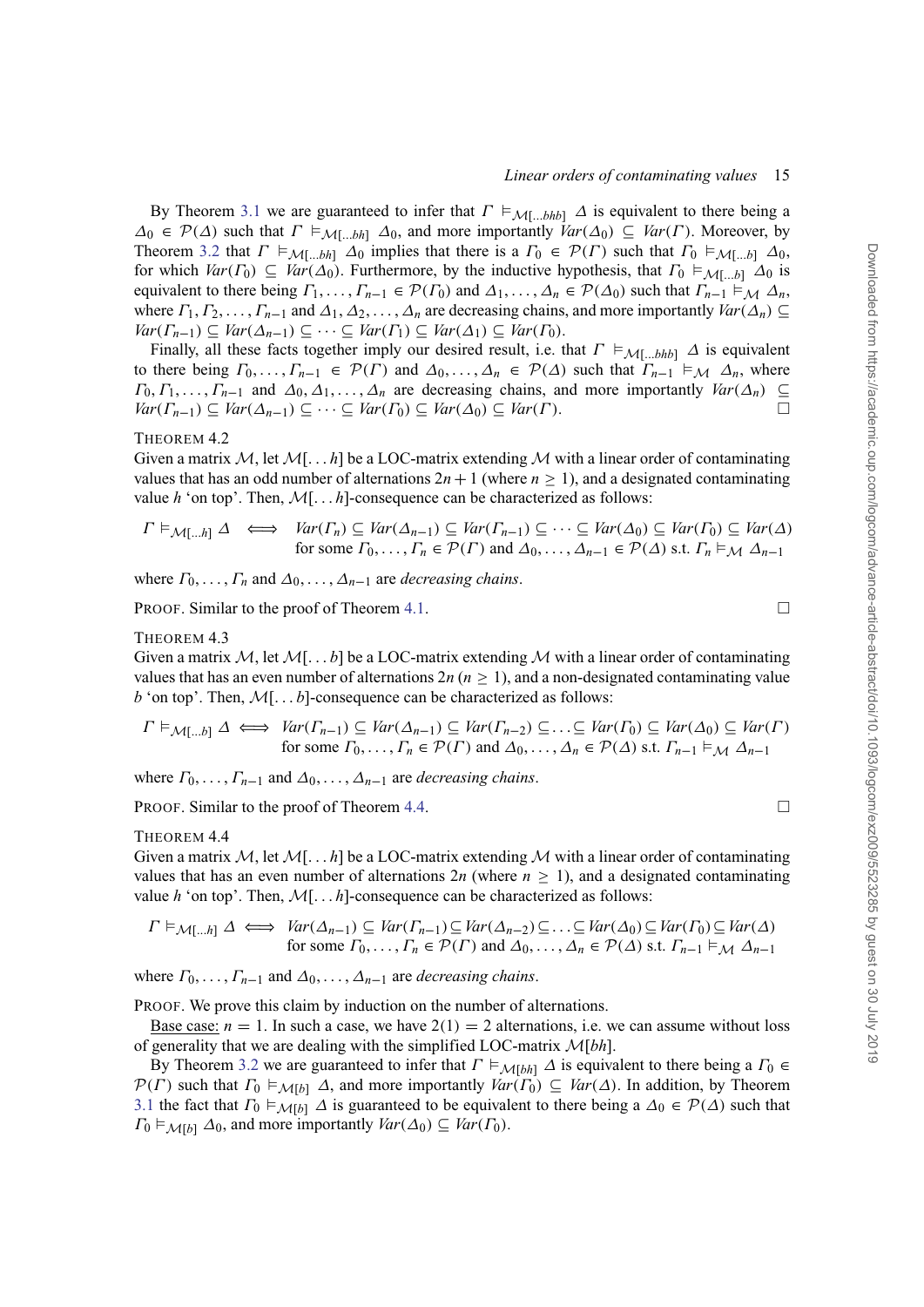By Theorem 3.1 we are guaranteed to infer that  $\Gamma \models_{\mathcal{M}[\dots, bhb]} \Delta$  is equivalent to there being a  $\Delta_0 \in \mathcal{P}(\Delta)$  such that  $\Gamma \models_{\mathcal{M}[\dots bh]} \Delta_0$ , and more importantly  $\text{Var}(\Delta_0) \subseteq \text{Var}(\Gamma)$ . Moreover, by Theorem 3.2 that  $\Gamma \models_{\mathcal{M}[\dots,bh]} \Delta_0$  implies that there is a  $\Gamma_0 \in \mathcal{P}(\Gamma)$  such that  $\Gamma_0 \models_{\mathcal{M}[\dots,b]} \Delta_0$ , for which  $Var(\Gamma_0) \subseteq Var(\Delta_0)$ . Furthermore, by the inductive hypothesis, that  $\Gamma_0 \models_{\mathcal{M}[\dots,b]} \Delta_0$  is equivalent to there being  $\Gamma_1, \ldots, \Gamma_{n-1} \in \mathcal{P}(\Gamma_0)$  and  $\Delta_1, \ldots, \Delta_n \in \mathcal{P}(\Delta_0)$  such that  $\Gamma_{n-1} \vDash_{\mathcal{M}} \Delta_n$ , where  $\Gamma_1, \Gamma_2, \ldots, \Gamma_{n-1}$  and  $\Delta_1, \Delta_2, \ldots, \Delta_n$  are decreasing chains, and more importantly  $\text{Var}(\Delta_n) \subseteq$ *Var(* $\Gamma_{n-1}$ ) ⊆ *Var*( $\Delta_{n-1}$ ) ⊆ ··· ⊆ *Var*( $\Gamma_1$ ) ⊆ *Var*( $\Delta_1$ ) ⊆ *Var*( $\Gamma_0$ ).

Finally, all these facts together imply our desired result, i.e. that  $\Gamma \models_{\mathcal{M}[\dots, bhb]} \Delta$  is equivalent to there being  $\Gamma_0, \ldots, \Gamma_{n-1} \in \mathcal{P}(\Gamma)$  and  $\Delta_0, \ldots, \Delta_n \in \mathcal{P}(\Delta)$  such that  $\Gamma_{n-1} \models_{\mathcal{M}} \Delta_n$ , where  $\Gamma_0, \Gamma_1, \ldots, \Gamma_{n-1}$  and  $\Delta_0, \Delta_1, \ldots, \Delta_n$  are decreasing chains, and more importantly  $Var(\Delta_n) \subseteq Var(\Gamma_{\alpha}) \subseteq Var(\Delta_n) \subseteq Var(\Gamma_0) \subseteq Var(\Delta_0) \subseteq Var(\Gamma)$ *Var*( $\Gamma_{n-1}$ ) ⊆ *Var*( $\Delta_{n-1}$ ) ⊆ ··· ⊆ *Var*( $\Gamma_0$ ) ⊆ *Var*( $\Delta_0$ ) ⊆ *Var*( $\Gamma$ ).

## THEOREM 4.2

Given a matrix  $M$ , let  $M[\ldots h]$  be a LOC-matrix extending  $M$  with a linear order of contaminating values that has an odd number of alternations  $2n + 1$  (where  $n \ge 1$ ), and a designated contaminating value *h* 'on top'. Then, *M*[*... h*]-consequence can be characterized as follows:

$$
\Gamma \vDash_{\mathcal{M}[...h]} \Delta \iff \text{Var}(\Gamma_n) \subseteq \text{Var}(\Delta_{n-1}) \subseteq \text{Var}(\Gamma_{n-1}) \subseteq \cdots \subseteq \text{Var}(\Delta_0) \subseteq \text{Var}(\Gamma_0) \subseteq \text{Var}(\Delta)
$$
  
for some  $\Gamma_0, \ldots, \Gamma_n \in \mathcal{P}(\Gamma)$  and  $\Delta_0, \ldots, \Delta_{n-1} \in \mathcal{P}(\Delta)$  s.t.  $\Gamma_n \vDash_{\mathcal{M}} \Delta_{n-1}$ 

where  $\Gamma_0, \ldots, \Gamma_n$  and  $\Delta_0, \ldots, \Delta_{n-1}$  are *decreasing chains*.

**PROOF.** Similar to the proof of Theorem 4.1.

# THEOREM 4.3

Given a matrix *M*, let *M*[*... b*] be a LOC-matrix extending *M* with a linear order of contaminating values that has an even number of alternations  $2n (n \geq 1)$ , and a non-designated contaminating value *b* 'on top'. Then, *M*[*... b*]-consequence can be characterized as follows:

$$
\Gamma \vDash_{\mathcal{M}[\dots b]} \Delta \iff \text{Var}(\Gamma_{n-1}) \subseteq \text{Var}(\Delta_{n-1}) \subseteq \text{Var}(\Gamma_{n-2}) \subseteq \dots \subseteq \text{Var}(\Gamma_0) \subseteq \text{Var}(\Delta_0) \subseteq \text{Var}(\Gamma)
$$
  
for some  $\Gamma_0, \dots, \Gamma_n \in \mathcal{P}(\Gamma)$  and  $\Delta_0, \dots, \Delta_n \in \mathcal{P}(\Delta)$  s.t.  $\Gamma_{n-1} \vDash_{\mathcal{M}} \Delta_{n-1}$ 

where  $\Gamma_0, \ldots, \Gamma_{n-1}$  and  $\Delta_0, \ldots, \Delta_{n-1}$  are *decreasing chains*.

**PROOF.** Similar to the proof of Theorem 4.4.

#### THEOREM 4.4

Given a matrix  $M$ , let  $M$ [...*h*] be a LOC-matrix extending M with a linear order of contaminating values that has an even number of alternations  $2n$  (where  $n \geq 1$ ), and a designated contaminating value *h* 'on top'. Then, *M*[*... h*]-consequence can be characterized as follows:

$$
\Gamma \models_{\mathcal{M}[\dots h]} \Delta \iff \text{Var}(\Delta_{n-1}) \subseteq \text{Var}(\Gamma_{n-1}) \subseteq \text{Var}(\Delta_{n-2}) \subseteq \dots \subseteq \text{Var}(\Delta_0) \subseteq \text{Var}(\Gamma_0) \subseteq \text{Var}(\Delta)
$$
  
for some  $\Gamma_0, \dots, \Gamma_n \in \mathcal{P}(\Gamma)$  and  $\Delta_0, \dots, \Delta_n \in \mathcal{P}(\Delta)$  s.t.  $\Gamma_{n-1} \models_{\mathcal{M}} \Delta_{n-1}$ 

where  $\Gamma_0, \ldots, \Gamma_{n-1}$  and  $\Delta_0, \ldots, \Delta_{n-1}$  are *decreasing chains*.

PROOF. We prove this claim by induction on the number of alternations.

Base case:  $n = 1$ . In such a case, we have  $2(1) = 2$  alternations, i.e. we can assume without loss of generality that we are dealing with the simplified LOC-matrix *M*[*bh*].

By Theorem 3.2 we are guaranteed to infer that  $\Gamma \models_{\mathcal{M}[bh]} \Delta$  is equivalent to there being a  $\Gamma_0 \in$ *P*(*Γ*) such that  $\Gamma_0 \models_{\mathcal{M}[b]} \Delta$ , and more importantly  $\text{Var}(\Gamma_0) \subseteq \text{Var}(\Delta)$ . In addition, by Theorem 3.1 the fact that  $\Gamma_0 \models_{\mathcal{M}[b]} \Delta$  is guaranteed to be equivalent to there being a  $\Delta_0 \in \mathcal{P}(\Delta)$  such that  $\Gamma_0 \models_{\mathcal{M}[b]} \Delta_0$ , and more importantly  $\text{Var}(\Delta_0) \subseteq \text{Var}(\Gamma_0)$ .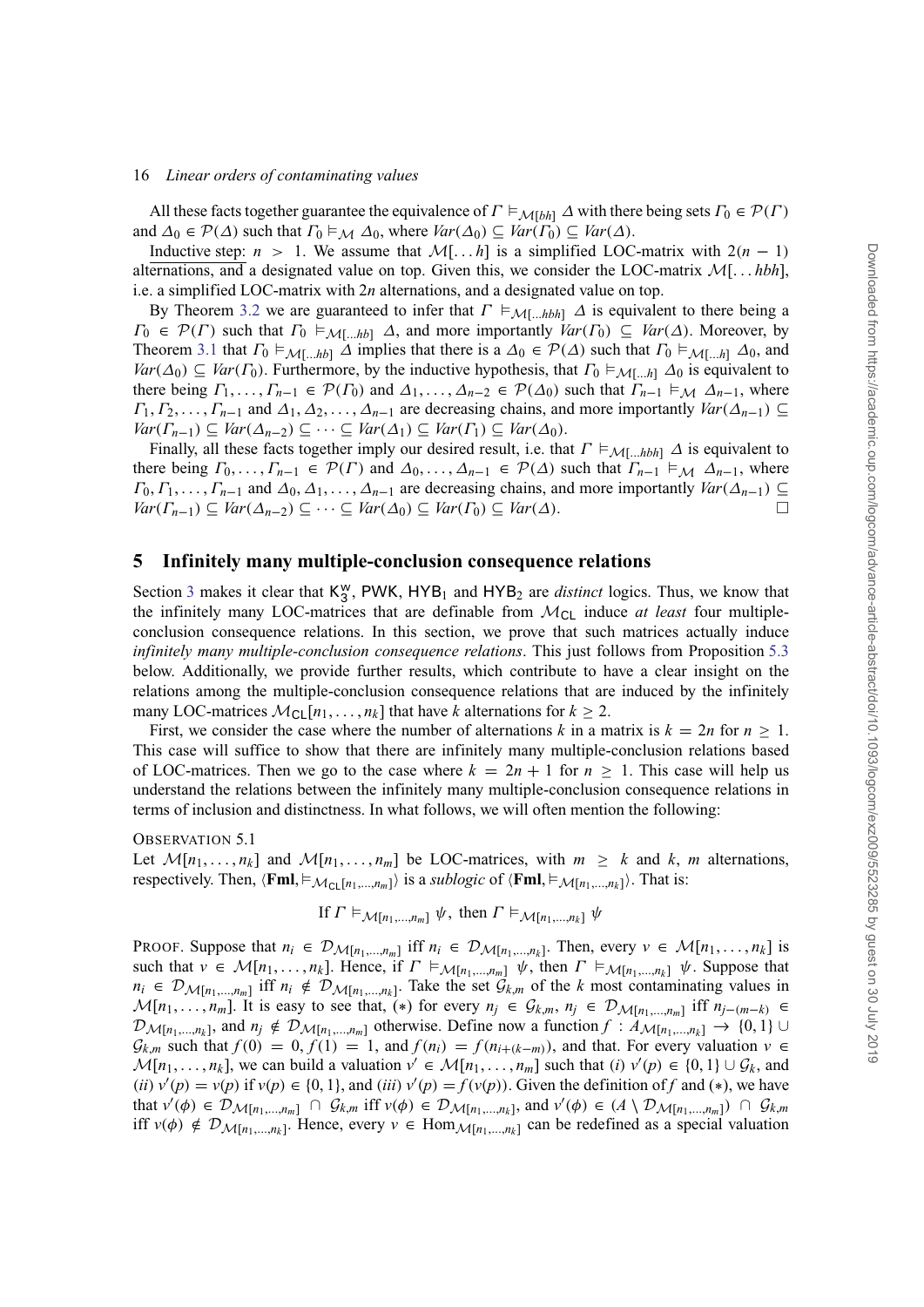All these facts together guarantee the equivalence of  $\Gamma \models_{\mathcal{M}[b,h]} \Delta$  with there being sets  $\Gamma_0 \in \mathcal{P}(\Gamma)$ and  $\Delta_0 \in \mathcal{P}(\Delta)$  such that  $\Gamma_0 \models_M \Delta_0$ , where  $Var(\Delta_0) \subseteq Var(\Gamma_0) \subseteq Var(\Delta)$ .

Inductive step:  $n > 1$ . We assume that  $\mathcal{M}[\ldots, h]$  is a simplified LOC-matrix with  $2(n - 1)$ alternations, and a designated value on top. Given this, we consider the LOC-matrix *M*[*... hbh*], i.e. a simplified LOC-matrix with 2*n* alternations, and a designated value on top.

By Theorem 3.2 we are guaranteed to infer that  $\Gamma \models_{\mathcal{M}[\dots hbh]} \Delta$  is equivalent to there being a  $\Gamma_0 \in \mathcal{P}(\Gamma)$  such that  $\Gamma_0 \models_{\mathcal{M}[\dots h b]} \Delta$ , and more importantly  $\text{Var}(\Gamma_0) \subseteq \text{Var}(\Delta)$ . Moreover, by Theorem 3.1 that  $\Gamma_0 \models_{\mathcal{M}[\cdot,\cdot,h]} \Delta$  implies that there is a  $\Delta_0 \in \mathcal{P}(\Delta)$  such that  $\Gamma_0 \models_{\mathcal{M}[\cdot,\cdot,h]} \Delta_0$ , and *Var*( $\Delta_0$ )  $\subseteq$  *Var*( $\Gamma_0$ ). Furthermore, by the inductive hypothesis, that  $\Gamma_0 \models_{\mathcal{M}[\dots,h]} \Delta_0$  is equivalent to there being  $\Gamma_1, \ldots, \Gamma_{n-1} \in \mathcal{P}(\Gamma_0)$  and  $\Delta_1, \ldots, \Delta_{n-2} \in \mathcal{P}(\Delta_0)$  such that  $\Gamma_{n-1} \vDash_{\mathcal{M}} \Delta_{n-1}$ , where  $\Gamma_1, \Gamma_2, \ldots, \Gamma_{n-1}$  and  $\Delta_1, \Delta_2, \ldots, \Delta_{n-1}$  are decreasing chains, and more importantly  $\text{Var}(\Delta_{n-1}) \subseteq$ *Var(* $\Gamma_{n-1}$ ) ⊆ *Var*( $\Delta_{n-2}$ ) ⊆ ··· ⊆ *Var*( $\Delta_1$ ) ⊆ *Var*( $\Gamma_1$ ) ⊆ *Var*( $\Delta_0$ ).

Finally, all these facts together imply our desired result, i.e. that  $\Gamma \models_{\mathcal{M}[\dots hbh]} \Delta$  is equivalent to there being  $\Gamma_0, \ldots, \Gamma_{n-1} \in \mathcal{P}(\Gamma)$  and  $\Delta_0, \ldots, \Delta_{n-1} \in \mathcal{P}(\Delta)$  such that  $\Gamma_{n-1} \models_M \Delta_{n-1}$ , where  $\Gamma_0, \Gamma_1, \ldots, \Gamma_{n-1}$  and  $\Delta_0, \Delta_1, \ldots, \Delta_{n-1}$  are decreasing chains, and more importantly  $\text{Var}(\Delta_{n-1}) \subseteq \text{Var}(\Gamma_{n-1}) \subseteq \text{Var}(\Delta_{n-1}) \subseteq \text{Var}(\Delta_{n-1}) \subseteq \text{Var}(\Delta_{n-1}) \subseteq \text{Var}(\Delta_{n-1}) \subseteq \text{Var}(\Delta_{n-1}) \subseteq \text{Var}(\Delta_{n-1}) \subseteq \text{Var}(\Delta_{n-1})$ *Var(* $\Gamma_{n-1}$ ) ⊆ *Var* $(\Delta_{n-2})$  ⊆ ··· ⊆ *Var* $(\Delta_0)$  ⊆ *Var(* $\Gamma_0$ ) ⊆ *Var* $(\Delta)$ .

# **5 Infinitely many multiple-conclusion consequence relations**

Section 3 makes it clear that  $K_3^w$ , PWK, HYB<sub>1</sub> and HYB<sub>2</sub> are *distinct* logics. Thus, we know that the infinitely many LOC-matrices that are definable from  $M_{CL}$  induce *at least* four multipleconclusion consequence relations. In this section, we prove that such matrices actually induce *infinitely many multiple-conclusion consequence relations*. This just follows from Proposition 5.3 below. Additionally, we provide further results, which contribute to have a clear insight on the relations among the multiple-conclusion consequence relations that are induced by the infinitely many LOC-matrices  $M_{CL}[n_1, \ldots, n_k]$  that have *k* alternations for  $k \ge 2$ .

First, we consider the case where the number of alternations *k* in a matrix is  $k = 2n$  for  $n \ge 1$ . This case will suffice to show that there are infinitely many multiple-conclusion relations based of LOC-matrices. Then we go to the case where  $k = 2n + 1$  for  $n \ge 1$ . This case will help us understand the relations between the infinitely many multiple-conclusion consequence relations in terms of inclusion and distinctness. In what follows, we will often mention the following:

OBSERVATION 5.1

Let  $M[n_1, \ldots, n_k]$  and  $M[n_1, \ldots, n_m]$  be LOC-matrices, with  $m \geq k$  and  $k, m$  alternations, respectively. Then,  $\langle \text{Fml}, \vDash_{\mathcal{M}_{\text{Cl}}[n_1, \ldots, n_m]} \rangle$  is a *sublogic* of  $\langle \text{Fml}, \vDash_{\mathcal{M}[n_1, \ldots, n_k]} \rangle$ . That is:

If  $\Gamma \models_{\mathcal{M}[n_1,\dots,n_m]} \psi$ , then  $\Gamma \models_{\mathcal{M}[n_1,\dots,n_k]} \psi$ 

PROOF. Suppose that  $n_i \in \mathcal{D}_{\mathcal{M}[n_1,...,n_m]}$  iff  $n_i \in \mathcal{D}_{\mathcal{M}[n_1,...,n_k]}$ . Then, every  $v \in \mathcal{M}[n_1,...,n_k]$  is such that  $v \in \mathcal{M}[n_1, \ldots, n_k]$ . Hence, if  $\Gamma \models_{\mathcal{M}[n_1, \ldots, n_m]} \psi$ , then  $\Gamma \models_{\mathcal{M}[n_1, \ldots, n_k]} \psi$ . Suppose that  $n_i \in \mathcal{D}_{\mathcal{M}[n_1,...,n_m]}$  iff  $n_i \notin \mathcal{D}_{\mathcal{M}[n_1,...,n_k]}$ . Take the set  $\mathcal{G}_{k,m}$  of the *k* most contaminating values in  $\mathcal{M}[n_1,\ldots,n_m]$ . It is easy to see that, (\*) for every  $n_j \in \mathcal{G}_{k,m}$ ,  $n_j \in \mathcal{D}_{\mathcal{M}[n_1,\ldots,n_m]}$  iff  $n_{j-(m-k)} \in$  $\mathcal{D}_{\mathcal{M}[n_1,...,n_k]}$ , and  $n_i \notin \mathcal{D}_{\mathcal{M}[n_1,...,n_m]}$  otherwise. Define now a function  $f : A_{\mathcal{M}[n_1,...,n_k]} \to \{0,1\}$  $\mathcal{G}_{k,m}$  such that  $f(0) = 0, f(1) = 1$ , and  $f(n_i) = f(n_{i+(k-m)})$ , and that. For every valuation  $v \in$  $\mathcal{M}[n_1,\ldots,n_k]$ , we can build a valuation  $v' \in \mathcal{M}[n_1,\ldots,n_m]$  such that  $(i)$   $v'(p) \in \{0,1\} \cup \mathcal{G}_k$ , and (*ii*)  $v'(p) = v(p)$  if  $v(p) \in \{0, 1\}$ , and (*iii*)  $v'(p) = f(v(p))$ . Given the definition of f and (\*), we have that  $v'(\phi) \in \mathcal{D}_{\mathcal{M}[n_1,\dots,n_m]} \cap \mathcal{G}_{k,m}$  iff  $v(\phi) \in \mathcal{D}_{\mathcal{M}[n_1,\dots,n_k]}$ , and  $v'(\phi) \in (A \setminus \mathcal{D}_{\mathcal{M}[n_1,\dots,n_m]}) \cap \mathcal{G}_{k,m}$ iff  $v(\phi) \notin \mathcal{D}_{\mathcal{M}[n_1,...,n_k]}$ . Hence, every  $v \in \text{Hom}_{\mathcal{M}[n_1,...,n_k]}$  can be redefined as a special valuation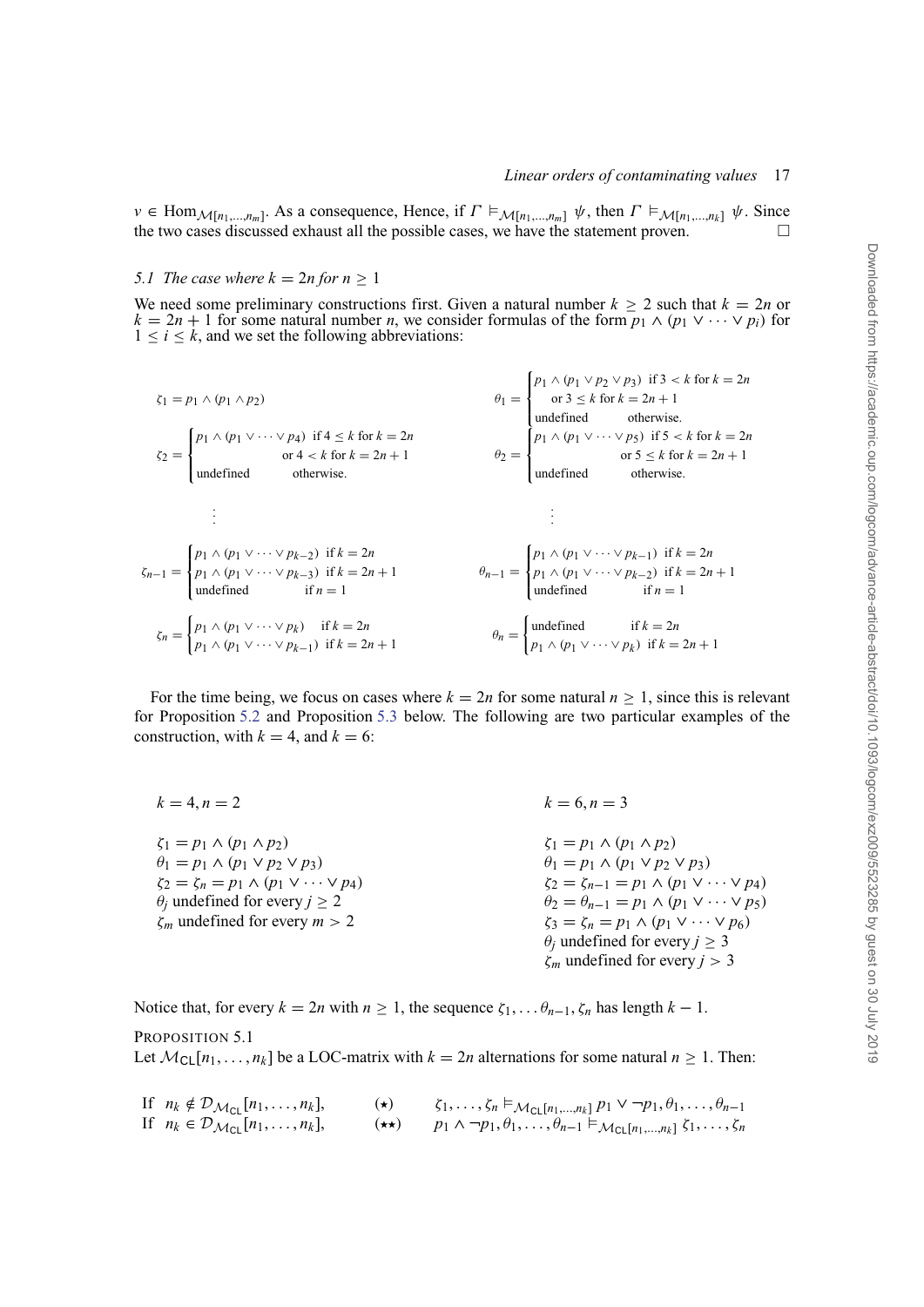$\nu \in \text{Hom}_{\mathcal{M}[n_1,...,n_m]}$ . As a consequence, Hence, if  $\Gamma \models_{\mathcal{M}[n_1,...,n_m]} \psi$ , then  $\Gamma \models_{\mathcal{M}[n_1,...,n_k]} \psi$ . Since the two cases discussed exhaust all the possible cases, we have the statement proven.  $\Box$ 

# *5.1 The case where*  $k = 2n$  *for*  $n \ge 1$

We need some preliminary constructions first. Given a natural number  $k \ge 2$  such that  $k = 2n$  or  $k = 2n + 1$  for some natural number *n*, we consider formulas of the form  $p_1 \wedge (p_1 \vee \cdots \vee p_i)$  for  $1 \le i \le k$ , and we set the following abbreviations:

$$
\zeta_1 = p_1 \wedge (p_1 \wedge p_2)
$$
\n
$$
\zeta_2 = \begin{cases}\np_1 \wedge (p_1 \vee \cdots \vee p_4) & \text{if } 4 \le k \text{ for } k = 2n \\
& \text{or } 4 < k \text{ for } k = 2n + 1\n\end{cases}
$$
\n
$$
\zeta_2 = \begin{cases}\np_1 \wedge (p_1 \vee \cdots \vee p_4) & \text{if } 4 \le k \text{ for } k = 2n \\
& \text{or } 4 < k \text{ for } k = 2n + 1\n\end{cases}
$$
\n
$$
\zeta_3 = \begin{cases}\np_1 \wedge (p_1 \vee \cdots \vee p_k) & \text{if } k = 2n + 1 \\
p_1 \wedge (p_1 \vee \cdots \vee p_k) & \text{if } k = 2n + 1 \\
& \text{undefined}\n\end{cases}
$$
\n
$$
\zeta_5 = \begin{cases}\np_1 \wedge (p_1 \vee \cdots \vee p_{k-2}) & \text{if } k = 2n + 1 \\
p_1 \wedge (p_1 \vee \cdots \vee p_{k-3}) & \text{if } k = 2n + 1 \\
& \text{undefined}\n\end{cases}
$$
\n
$$
\zeta_{n-1} = \begin{cases}\np_1 \wedge (p_1 \vee \cdots \vee p_{k-3}) & \text{if } k = 2n + 1 \\
p_1 \wedge (p_1 \vee \cdots \vee p_{k-1}) & \text{if } k = 2n + 1 \\
& \text{undefined}\n\end{cases}
$$
\n
$$
\zeta_{n-2} = \begin{cases}\np_1 \wedge (p_1 \vee \cdots \vee p_{k-1}) & \text{if } k = 2n + 1 \\
p_1 \wedge (p_1 \vee \cdots \vee p_k) & \text{if } k = 2n + 1 \\
p_1 \wedge (p_1 \vee \cdots \vee p_k) & \text{if } k = 2n + 1\n\end{cases}
$$

For the time being, we focus on cases where  $k = 2n$  for some natural  $n \ge 1$ , since this is relevant for Proposition 5.2 and Proposition 5.3 below. The following are two particular examples of the construction, with  $k = 4$ , and  $k = 6$ :

| $k = 4, n = 2$                                                                                                                                                                                                                                  | $k = 6, n = 3$                                                                                                                                                                                                                                                                                                                                                                          |
|-------------------------------------------------------------------------------------------------------------------------------------------------------------------------------------------------------------------------------------------------|-----------------------------------------------------------------------------------------------------------------------------------------------------------------------------------------------------------------------------------------------------------------------------------------------------------------------------------------------------------------------------------------|
| $\zeta_1 = p_1 \wedge (p_1 \wedge p_2)$<br>$\theta_1 = p_1 \wedge (p_1 \vee p_2 \vee p_3)$<br>$\zeta_2 = \zeta_n = p_1 \wedge (p_1 \vee \cdots \vee p_4)$<br>$\theta_i$ undefined for every $j \geq 2$<br>$\zeta_m$ undefined for every $m > 2$ | $\zeta_1 = p_1 \wedge (p_1 \wedge p_2)$<br>$\theta_1 = p_1 \wedge (p_1 \vee p_2 \vee p_3)$<br>$\zeta_2 = \zeta_{n-1} = p_1 \wedge (p_1 \vee \cdots \vee p_4)$<br>$\theta_2 = \theta_{n-1} = p_1 \wedge (p_1 \vee \cdots \vee p_5)$<br>$\zeta_3 = \zeta_n = p_1 \wedge (p_1 \vee \cdots \vee p_6)$<br>$\theta_i$ undefined for every $j \geq 3$<br>$\zeta_m$ undefined for every $j > 3$ |
|                                                                                                                                                                                                                                                 |                                                                                                                                                                                                                                                                                                                                                                                         |

Notice that, for every  $k = 2n$  with  $n \ge 1$ , the sequence  $\zeta_1, \ldots, \theta_{n-1}, \zeta_n$  has length  $k - 1$ . PROPOSITION 5.1 Let  $M_{CL}[n_1, \ldots, n_k]$  be a LOC-matrix with  $k = 2n$  alternations for some natural  $n \ge 1$ . Then:

If 
$$
n_k \notin \mathcal{D}_{\mathcal{M}_{\text{CL}}}[n_1,\ldots,n_k]
$$
,   
 If  $n_k \in \mathcal{D}_{\mathcal{M}_{\text{CL}}}[n_1,\ldots,n_k]$ ,   
  $(\star)$   $\xi_1,\ldots,\xi_n \models_{\mathcal{M}_{\text{CL}}[n_1,\ldots,n_k]} p_1 \lor \neg p_1, \theta_1,\ldots,\theta_{n-1}$   
  $p_1 \land \neg p_1, \theta_1,\ldots,\theta_{n-1} \models_{\mathcal{M}_{\text{CL}}[n_1,\ldots,n_k]} \zeta_1,\ldots,\zeta_n$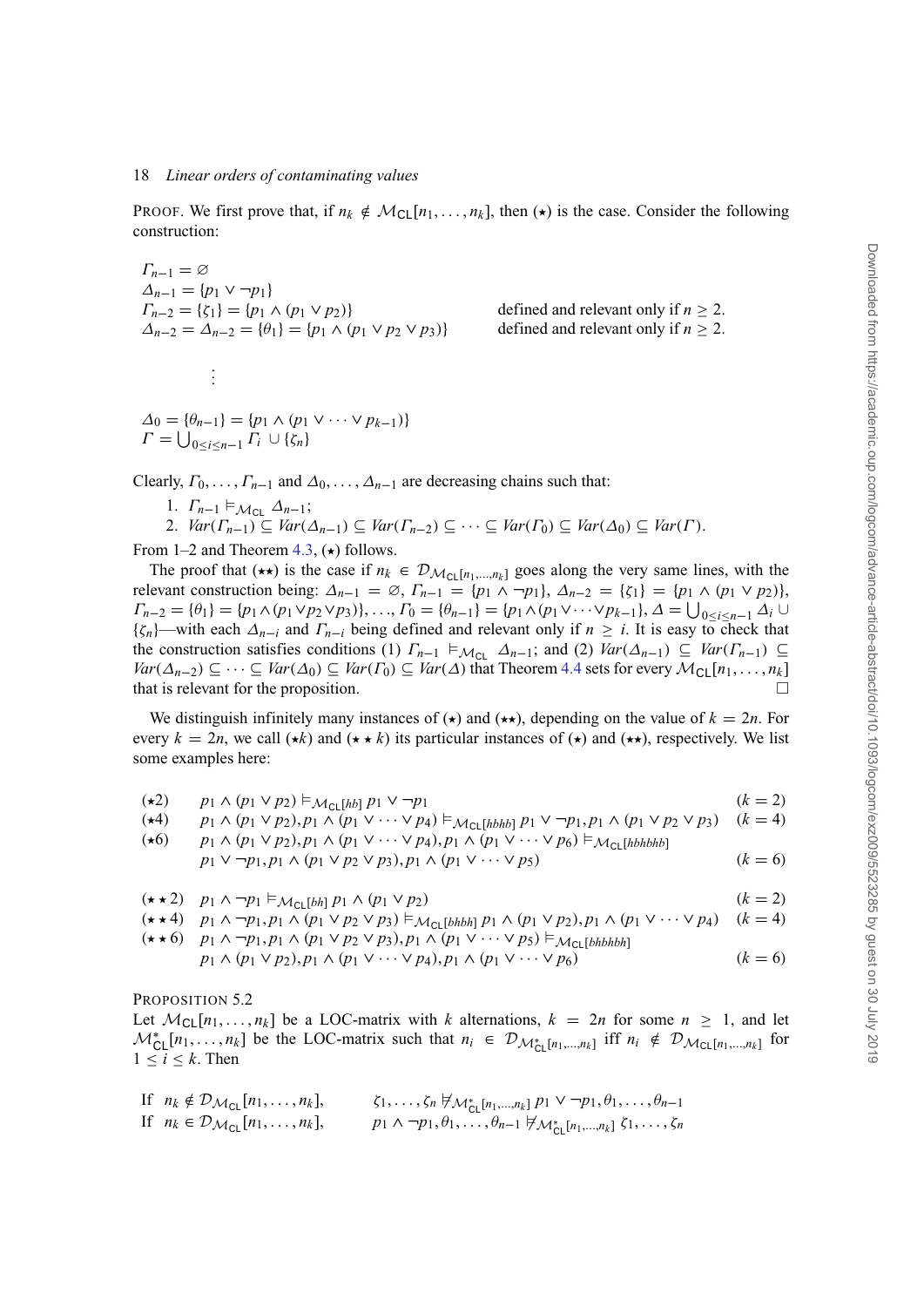PROOF. We first prove that, if  $n_k \notin \mathcal{M}_{CL}[n_1, \ldots, n_k]$ , then  $(\star)$  is the case. Consider the following construction:

 $\Gamma_{n-1} = \varnothing$  $\Delta_{n-1} = \{p_1 \vee \neg p_1\}$  $\Gamma_{n-2} = {\zeta_1} = {p_1 \wedge (p_1 \vee p_2)}$  defined and relevant only if  $n \ge 2$ .<br>  $\Delta_{n-2} = \Delta_{n-2} = {\theta_1} = {p_1 \wedge (p_1 \vee p_2 \vee p_3)}$  defined and relevant only if  $n \ge 2$ .  $\Delta_{n-2} = \Delta_{n-2} = {\theta_1} = {p_1 \wedge (p_1 \vee p_2 \vee p_3)}$ 

$$
\Delta_0 = \{\theta_{n-1}\} = \{p_1 \wedge (p_1 \vee \cdots \vee p_{k-1})\}
$$
  

$$
\Gamma = \bigcup_{0 \le i \le n-1} \Gamma_i \cup \{\zeta_n\}
$$

. . .

Clearly,  $\Gamma_0, \ldots, \Gamma_{n-1}$  and  $\Delta_0, \ldots, \Delta_{n-1}$  are decreasing chains such that:

1.  $\Gamma_{n-1} \models_{\mathcal{M}_{\text{Cl}}} \Delta_{n-1};$ 2.  $Var(\Gamma_{n-1}) \subseteq Var(\Delta_{n-1}) \subseteq Var(\Gamma_{n-2}) \subseteq \cdots \subseteq Var(\Gamma_0) \subseteq Var(\Delta_0) \subseteq Var(\Gamma).$ 

From 1–2 and Theorem 4.3,  $(\star)$  follows.

The proof that  $(\star \star)$  is the case if  $n_k \in \mathcal{D}_{\mathcal{M}_{CL}[n_1,...,n_k]}$  goes along the very same lines, with the relevant construction being:  $\Delta_{n-1} = \emptyset$ ,  $\Gamma_{n-1} = \{p_1 \land \neg p_1\}$ ,  $\Delta_{n-2} = \{\zeta_1\} = \{p_1 \land (p_1 \lor p_2)\}$ ,  $\Gamma_{n-2} = \{\theta_1\} = \{p_1 \wedge (p_1 \vee p_2 \vee p_3)\}, \ldots, \Gamma_0 = \{\theta_{n-1}\} = \{p_1 \wedge (p_1 \vee \cdots \vee p_{k-1})\}, \Delta = \bigcup_{0 \le i \le n-1} \Delta_i \cup \Delta_j$  $\{\zeta_n\}$ —with each  $\Delta_{n-i}$  and  $\Gamma_{n-i}$  being defined and relevant only if  $n \geq i$ . It is easy to check that the construction satisfies conditions (1)  $\Gamma_{n-1} \models_{\mathcal{M}_{CL}} \Delta_{n-1}$ ; and (2)  $\text{Var}(\Delta_{n-1}) \subseteq \text{Var}(\Gamma_{n-1}) \subseteq$ *Var* $(\Delta_{n-2})$  ⊆  $\cdots$  ⊆ *Var* $(\Delta_0)$  ⊆ *Var* $(\Gamma_0)$  ⊆ *Var* $(\Delta)$  that Theorem 4.4 sets for every *M*CL[*n*<sub>1</sub>, ..., *n<sub>k</sub>*] that is relevant for the proposition that is relevant for the proposition.

We distinguish infinitely many instances of ( $\star$ ) and ( $\star\star$ ), depending on the value of  $k = 2n$ . For every  $k = 2n$ , we call  $(\star k)$  and  $(\star \star k)$  its particular instances of  $(\star)$  and  $(\star \star)$ , respectively. We list some examples here:

| (*2) $p_1 \wedge (p_1 \vee p_2) \models_{\mathcal{M}_{CL}[hb]} p_1 \vee \neg p_1$ | $(k = 2)$ |  |
|-----------------------------------------------------------------------------------|-----------|--|
|                                                                                   |           |  |

$$
(*) \qquad p_1 \wedge (p_1 \vee p_2), p_1 \wedge (p_1 \vee \cdots \vee p_4) \models_{\mathcal{M}_{\mathsf{CL}}[hbhb]} p_1 \vee \neg p_1, p_1 \wedge (p_1 \vee p_2 \vee p_3) \quad (k = 4)
$$

 $(★6)$  *p*<sub>1</sub> ∧  $(p_1 \vee p_2), p_1 \wedge (p_1 \vee \cdots \vee p_4), p_1 \wedge (p_1 \vee \cdots \vee p_6) \models \mathcal{M}_{CL}[hhhh]$  $p_1 \vee \neg p_1, p_1 \wedge (p_1 \vee p_2 \vee p_3), p_1 \wedge (p_1 \vee \cdots \vee p_5)$  (*k* = 6)

$$
(\star \star 2) \quad p_1 \wedge \neg p_1 \models_{\mathcal{M}_{\text{CL}}[bh]} p_1 \wedge (p_1 \vee p_2) \tag{k = 2}
$$

$$
(\star \star 4) \quad p_1 \wedge \neg p_1, p_1 \wedge (p_1 \vee p_2 \vee p_3) \models_{\mathcal{M}_{\text{CL}}[bhbh]} p_1 \wedge (p_1 \vee p_2), p_1 \wedge (p_1 \vee \cdots \vee p_4) \quad (k = 4)
$$

 $(\star \star 6)$  *p*<sub>1</sub> ∧  $\neg p_1$ , *p*<sub>1</sub> ∧  $(p_1 \vee p_2 \vee p_3)$ , *p*<sub>1</sub> ∧  $(p_1 \vee \cdots \vee p_5) \models \mathcal{M}_{CL}[bhbhb]$  $p_1 \wedge (p_1 \vee p_2), p_1 \wedge (p_1 \vee \cdots \vee p_4), p_1 \wedge (p_1 \vee \cdots \vee p_6)$  (*k* = 6)

PROPOSITION 5.2

Let  $M_{CL}[n_1, \ldots, n_k]$  be a LOC-matrix with *k* alternations,  $k = 2n$  for some  $n \ge 1$ , and let  $\mathcal{M}_{\text{CL}}^{*}[n_1, \ldots, n_k]$  be the LOC-matrix such that  $n_i \in \mathcal{D}_{\mathcal{M}_{\text{CL}}^{*}[n_1, \ldots, n_k]}$  iff  $n_i \notin \mathcal{D}_{\mathcal{M}_{\text{CL}}[n_1, \ldots, n_k]}$  for  $1 \leq i \leq k$ . Then

If 
$$
n_k \notin \mathcal{D}_{\mathcal{M}_{\text{CL}}}[n_1,\ldots,n_k],
$$
  
\n $\zeta_1,\ldots,\zeta_n \not\vdash \mathcal{M}_{\text{CL}}^*[n_1,\ldots,n_k] \quad p_1 \vee \neg p_1, \theta_1,\ldots,\theta_{n-1}$   
\nIf  $n_k \in \mathcal{D}_{\mathcal{M}_{\text{CL}}}[n_1,\ldots,n_k],$   
\n $p_1 \wedge \neg p_1, \theta_1,\ldots,\theta_{n-1} \not\vdash \mathcal{M}_{\text{CL}}^*[n_1,\ldots,n_k] \quad \zeta_1,\ldots,\zeta_n$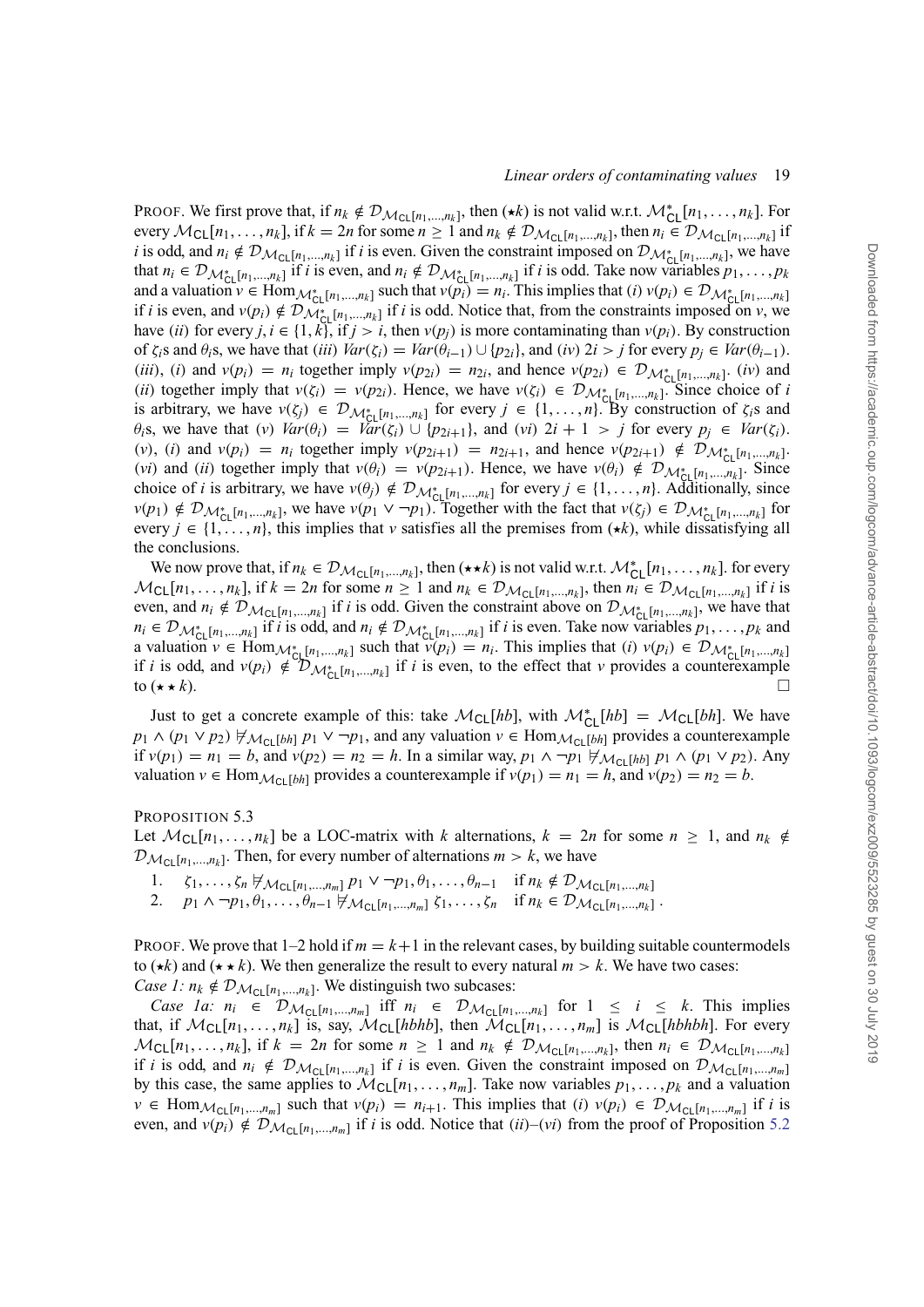PROOF. We first prove that, if  $n_k \notin \mathcal{D}_{\mathcal{M}_{CL}[n_1, ..., n_k]}$ , then  $(\star k)$  is not valid w.r.t.  $\mathcal{M}_{CL}[n_1, ..., n_k]$ . For every  $\mathcal{M}_{CL}[n_1,\ldots,n_k]$ , if  $k=2n$  for some  $n\geq 1$  and  $n_k \notin \mathcal{D}_{\mathcal{M}_{CL}[n_1,\ldots,n_k]}$ , then  $n_i \in \mathcal{D}_{\mathcal{M}_{CL}[n_1,\ldots,n_k]}$  if *i* is odd, and  $n_i \notin \mathcal{D}_{\mathcal{M}_{CL}[n_1,...,n_k]}$  if *i* is even. Given the constraint imposed on  $\mathcal{D}_{\mathcal{M}_{CL}^{*}[n_1,...,n_k]}$ , we have that  $n_i \in \mathcal{D}_{\mathcal{M}_{CL}^*[n_1,\ldots,n_k]}$  if i is even, and  $n_i \notin \mathcal{D}_{\mathcal{M}_{CL}^*[n_1,\ldots,n_k]}$  if i is odd. Take now variables  $p_1,\ldots,p_k$ and a valuation  $v \in \text{Hom}_{\mathcal{M}_{CL}^*[n_1, ..., n_k]}$  such that  $v(p_i) = n_i$ . This implies that  $(i)$   $v(p_i) \in \mathcal{D}_{\mathcal{M}_{CL}^*[n_1, ..., n_k]}$ if *i* is even, and  $v(p_i) \notin \mathcal{D}_{\mathcal{M}_{\mathbb{C}}^*[\![n_1,...,n_k]\!]}$  if *i* is odd. Notice that, from the constraints imposed on *v*, we have *(ii)* for every  $j, i \in \{1, k\}$ , if  $j > i$ , then  $v(p_i)$  is more contaminating than  $v(p_i)$ . By construction of  $\zeta_i$ s and  $\theta_i$ s, we have that (*iii*)  $Var(\zeta_i) = Var(\theta_{i-1}) \cup \{p_{2i}\}\$ , and (*iv*)  $2i > j$  for every  $p_i \in Var(\theta_{i-1})$ . (*iii*), (*i*) and  $v(p_i) = n_i$  together imply  $v(p_{2i}) = n_{2i}$ , and hence  $v(p_{2i}) \in \mathcal{D}_{\mathcal{M}_{CL}[n_1,...,n_k]}$ . (*iv*) and (*ii*) together imply that  $v(\zeta_i) = v(p_{2i})$ . Hence, we have  $v(\zeta_i) \in \mathcal{D}_{\mathcal{M}_{CL}^*[n_1, ..., n_k]}$ . Since choice of *i* is arbitrary, we have  $v(\zeta_j) \in \mathcal{D}_{\mathcal{M}_{\mathcal{L}}^*[\underline{n}_1,\dots,\underline{n}_k]}$  for every  $j \in \{1,\dots,n\}$ . By construction of  $\zeta_i$ s and  $\theta_i$ s, we have that (v)  $Var(\theta_i) = Var(\zeta_i) \cup \{p_{2i+1}\}\$ , and (vi)  $2i + 1 > j$  for every  $p_i \in Var(\zeta_i)$ . (v), (i) and  $v(p_i) = n_i$  together imply  $v(p_{2i+1}) = n_{2i+1}$ , and hence  $v(p_{2i+1}) \notin \mathcal{D}_{\mathcal{M}_{CL}^*[n_1, ..., n_k]}$ . (*vi*) and (*ii*) together imply that  $v(\theta_i) = v(p_{2i+1})$ . Hence, we have  $v(\theta_i) \notin \mathcal{D}_{\mathcal{M}_{\text{CL}}^*[n_1,...,n_k]}$ . Since choice of *i* is arbitrary, we have  $v(\theta_j) \notin \mathcal{D}_{\mathcal{M}_{CL}[n_1, ..., n_k]}$  for every  $j \in \{1, ..., n\}$ . Additionally, since  $v(p_1) \notin \mathcal{D}_{\mathcal{M}_{CL}^*[n_1,\dots,n_k]}$ , we have  $v(p_1 \vee \neg p_1)$ . Together with the fact that  $v(\zeta_j) \in \mathcal{D}_{\mathcal{M}_{CL}^*[n_1,\dots,n_k]}$  for every  $j \in \{1, \ldots, n\}$ , this implies that *v* satisfies all the premises from  $(\star k)$ , while dissatisfying all the conclusions.

We now prove that, if  $n_k \in \mathcal{D}_{\mathcal{M}_{CL}[n_1, ..., n_k]}$ , then  $(\star \star k)$  is not valid w.r.t.  $\mathcal{M}_{CL}^*[n_1, ..., n_k]$ . for every  $\mathcal{M}_{\text{CL}}[n_1,\ldots,n_k]$ , if  $k=2n$  for some  $n\geq 1$  and  $n_k \in \mathcal{D}_{\mathcal{M}_{\text{CL}}[n_1,\ldots,n_k]}$ , then  $n_i \in \mathcal{D}_{\mathcal{M}_{\text{CL}}[n_1,\ldots,n_k]}$  if i is even, and  $n_i \notin \mathcal{D}_{\mathcal{M}_{CL}[n_1,...,n_k]}$  if *i* is odd. Given the constraint above on  $\mathcal{D}_{\mathcal{M}_{CL}[n_1,...,n_k]}$ , we have that  $n_i \in \mathcal{D}_{\mathcal{M}_{CL}^*[n_1,\dots,n_k]}$  if i is odd, and  $n_i \notin \mathcal{D}_{\mathcal{M}_{CL}^*[n_1,\dots,n_k]}$  if i is even. Take now variables  $p_1,\dots,p_k$  and a valuation  $v \in \text{Hom}_{\mathcal{M}_{CL}^*[n_1,\dots,n_k]}$  such that  $v(p_i) = n_i$ . This implies that  $(i)$   $v(p_i) \in \mathcal{D}_{\mathcal{M}_{CL}^*[n_1,\dots,n_k]}$ if *i* is odd, and  $v(p_i) \notin \mathcal{D}_{\mathcal{M}_{CL}[n_1,...,n_k]}$  if *i* is even, to the effect that *v* provides a counterexample to  $(\star \star k)$ .

Just to get a concrete example of this: take  $M_{CL}[hb]$ , with  $M_{CL}^{*}[hb] = M_{CL}[bh]$ . We have *p*<sub>1</sub> ∧ (*p*<sub>1</sub> ∨ *p*<sub>2</sub>)  $\forall$   $M_{\text{CL}}[bh]$  *p*<sub>1</sub> ∨ ¬*p*<sub>1</sub>, and any valuation *v* ∈ Hom<sub>*M*CL[*bh*]</sub> provides a counterexample if  $v(p_1) = n_1 = b$ , and  $v(p_2) = n_2 = h$ . In a similar way,  $p_1 \wedge \neg p_1 \not\vdash_{\mathcal{M}_C[\lbrace hb \rbrace} p_1 \wedge (p_1 \vee p_2)$ . Any valuation  $v \in \text{Hom}_{\mathcal{M}_{CL}[bh]}$  provides a counterexample if  $v(p_1) = n_1 = h$ , and  $v(p_2) = n_2 = b$ .

PROPOSITION 5.3 Let  $M_{CL}[n_1, \ldots, n_k]$  be a LOC-matrix with *k* alternations,  $k = 2n$  for some  $n \ge 1$ , and  $n_k \notin$  $D_{\mathcal{M}_{\text{Cl}}[n_1,...,n_k]}$ . Then, for every number of alternations  $m > k$ , we have

- 1.  $\zeta_1, \ldots, \zeta_n \not \vdash \mathcal{M}_{CL}[n_1, \ldots, n_m]} p_1 \vee \neg p_1, \theta_1, \ldots, \theta_{n-1}$  if  $n_k \notin \mathcal{D}_{\mathcal{M}_{CL}[n_1, \ldots, n_k]}$
- 2.  $p_1 \wedge \neg p_1, \theta_1, \ldots, \theta_{n-1} \not\vdash_{\mathcal{M}_{CL}[n_1, \ldots, n_m]} \zeta_1, \ldots, \zeta_n \text{ if } n_k \in \mathcal{D}_{\mathcal{M}_{CL}[n_1, \ldots, n_k]}.$

PROOF. We prove that  $1-2$  hold if  $m = k+1$  in the relevant cases, by building suitable countermodels to  $(\star k)$  and  $(\star \star k)$ . We then generalize the result to every natural  $m > k$ . We have two cases: *Case 1:*  $n_k \notin \mathcal{D}_{\mathcal{M}_{CL}[n_1, ..., n_k]}$ . We distinguish two subcases:

*Case 1a:*  $n_i \in \mathcal{D}_{\mathcal{M}_{CL}[n_1, \ldots, n_m]}$  iff  $n_i \in \mathcal{D}_{\mathcal{M}_{CL}[n_1, \ldots, n_k]}$  for  $1 \leq i \leq k$ . This implies that, if  $M_{CL}[n_1, \ldots, n_k]$  is, say,  $M_{CL}[hbhb]$ , then  $M_{CL}[n_1, \ldots, n_m]$  is  $M_{CL}[hbhbh]$ . For every  $\mathcal{M}_{CL}[n_1,\ldots,n_k]$ , if  $k = 2n$  for some  $n \ge 1$  and  $n_k \notin \mathcal{D}_{\mathcal{M}_{CL}[n_1,\ldots,n_k]}$ , then  $n_i \in \mathcal{D}_{\mathcal{M}_{CL}[n_1,\ldots,n_k]}$ if *i* is odd, and  $n_i \notin \mathcal{D}_{\mathcal{M}_{CL}[n_1, ..., n_k]}$  if *i* is even. Given the constraint imposed on  $\mathcal{D}_{\mathcal{M}_{CL}[n_1, ..., n_m]}$ by this case, the same applies to  $M_{\text{CL}}[n_1, \ldots, n_m]$ . Take now variables  $p_1, \ldots, p_k$  and a valuation  $v \in \text{Hom}_{\mathcal{M}_{CL}[n_1,...,n_m]}$  such that  $v(p_i) = n_{i+1}$ . This implies that (i)  $v(p_i) \in \mathcal{D}_{\mathcal{M}_{CL}[n_1,...,n_m]}$  if i is even, and  $v(p_i) \notin \mathcal{D}_{\mathcal{M}_{CL}[n_1,...,n_m]}$  if *i* is odd. Notice that *(ii)–(vi)* from the proof of Proposition 5.2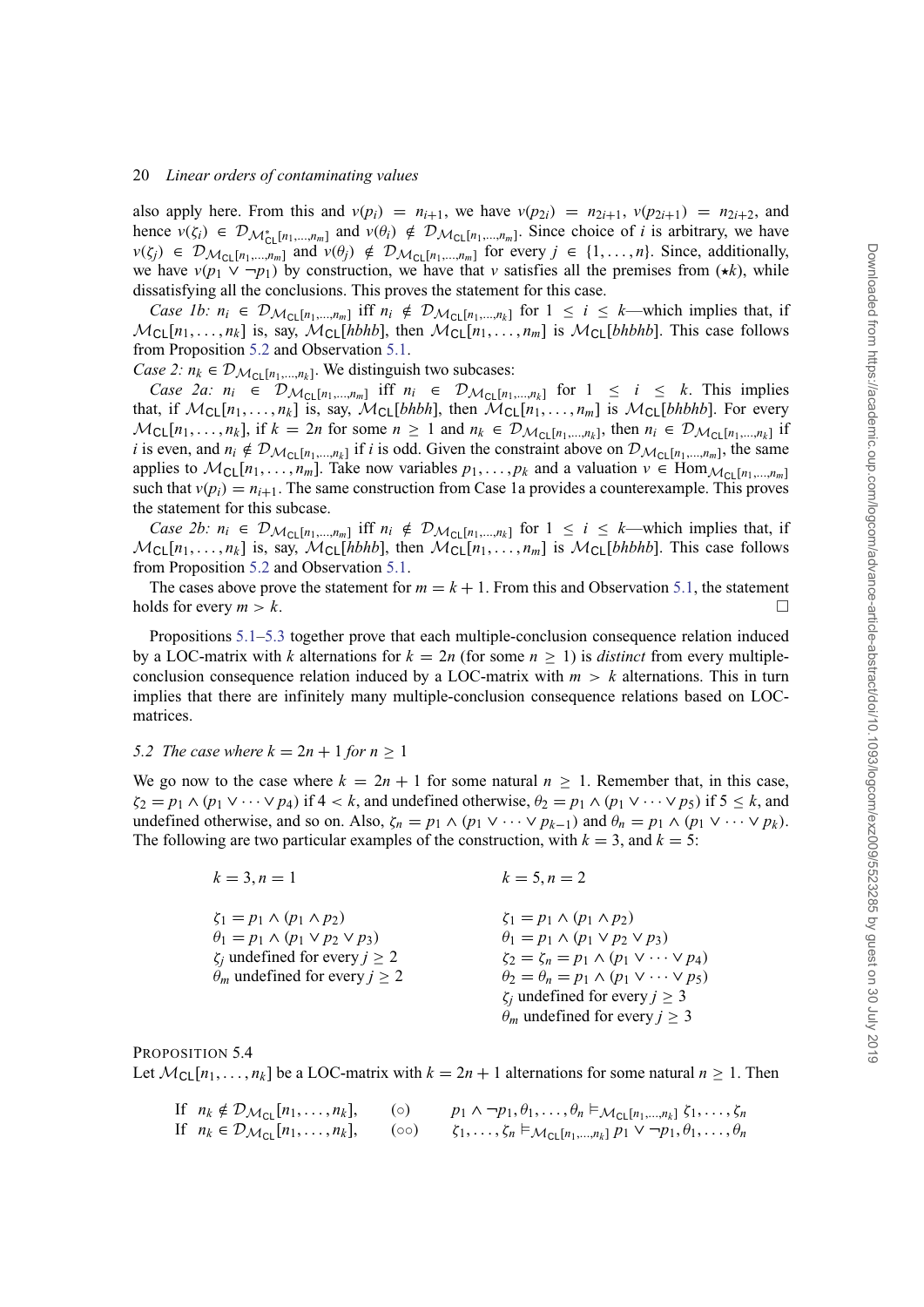also apply here. From this and  $v(p_i) = n_{i+1}$ , we have  $v(p_{2i}) = n_{2i+1}$ ,  $v(p_{2i+1}) = n_{2i+2}$ , and hence  $v(\zeta_i) \in \mathcal{D}_{\mathcal{M}_{CL}^*[n_1,\dots,n_m]}$  and  $v(\theta_i) \notin \mathcal{D}_{\mathcal{M}_{CL}[n_1,\dots,n_m]}$ . Since choice of *i* is arbitrary, we have  $v(\zeta_j) \in \mathcal{D}_{\mathcal{M}_{CL}[n_1,...,n_m]}$  and  $v(\theta_j) \notin \mathcal{D}_{\mathcal{M}_{CL}[n_1,...,n_m]}$  for every  $j \in \{1,...,n\}$ . Since, additionally, we have  $v(p_1 \vee \neg p_1)$  by construction, we have that *v* satisfies all the premises from  $(\star k)$ , while dissatisfying all the conclusions. This proves the statement for this case.

*Case 1b:*  $n_i \in \mathcal{D}_{\mathcal{M}_{CL}[n_1, ..., n_m]}$  iff  $n_i \notin \mathcal{D}_{\mathcal{M}_{CL}[n_1, ..., n_k]}$  for  $1 \leq i \leq k$ —which implies that, if  $M_{CL}[n_1, \ldots, n_k]$  is, say,  $M_{CL}[hbhb]$ , then  $M_{CL}[n_1, \ldots, n_m]$  is  $M_{CL}[bhbhb]$ . This case follows from Proposition 5.2 and Observation 5.1.

*Case 2:*  $n_k \in \mathcal{D}_{\mathcal{M}_{CL}[n_1,...,n_k]}$ . We distinguish two subcases:

*Case 2a:*  $n_i \in \mathcal{D}_{\mathcal{M}_{CL}[n_1, ..., n_m]}$  iff  $n_i \in \mathcal{D}_{\mathcal{M}_{CL}[n_1, ..., n_k]}$  for  $1 \leq i \leq k$ . This implies that, if  $M_{CL}[n_1, \ldots, n_k]$  is, say,  $M_{CL}[bhbh]$ , then  $M_{CL}[n_1, \ldots, n_m]$  is  $M_{CL}[bhbhb]$ . For every  $\mathcal{M}_{CL}[n_1, ..., n_k]$ , if  $k = 2n$  for some  $n \ge 1$  and  $n_k \in \mathcal{D}_{\mathcal{M}_{CL}[n_1, ..., n_k]}$ , then  $n_i \in \mathcal{D}_{\mathcal{M}_{CL}[n_1, ..., n_k]}$  if *i* is even, and  $n_i \notin \mathcal{D}_{\mathcal{M}_{CL}[n_1,...,n_k]}$  if *i* is odd. Given the constraint above on  $\mathcal{D}_{\mathcal{M}_{CL}[n_1,...,n_m]}$ , the same applies to  $M_{\text{CL}}[n_1, \ldots, n_m]$ . Take now variables  $p_1, \ldots, p_k$  and a valuation  $v \in \text{Hom}_{M_{\text{CL}}[n_1, \ldots, n_m]}$ such that  $v(p_i) = n_{i+1}$ . The same construction from Case 1a provides a counterexample. This proves the statement for this subcase.

*Case 2b:*  $n_i \in \mathcal{D}_{\mathcal{M}_{CL}[n_1,...,n_m]}$  iff  $n_i \notin \mathcal{D}_{\mathcal{M}_{CL}[n_1,...,n_k]}$  for  $1 \leq i \leq k$ —which implies that, if  $M_{\text{CL}}[n_1, \ldots, n_k]$  is, say,  $M_{\text{CL}}[hbhb]$ , then  $M_{\text{CL}}[n_1, \ldots, n_m]$  is  $M_{\text{CL}}[bhbbb]$ . This case follows from Proposition 5.2 and Observation 5.1.

The cases above prove the statement for  $m = k + 1$ . From this and Observation 5.1, the statement leads for every  $m > k$ holds for every  $m > k$ .

Propositions 5.1–5.3 together prove that each multiple-conclusion consequence relation induced by a LOC-matrix with *k* alternations for  $k = 2n$  (for some  $n \ge 1$ ) is *distinct* from every multipleconclusion consequence relation induced by a LOC-matrix with  $m > k$  alternations. This in turn implies that there are infinitely many multiple-conclusion consequence relations based on LOCmatrices.

#### *5.2 The case where*  $k = 2n + 1$  *for*  $n > 1$

We go now to the case where  $k = 2n + 1$  for some natural  $n \ge 1$ . Remember that, in this case,  $\zeta_2 = p_1 \wedge (p_1 \vee \cdots \vee p_4)$  if  $4 < k$ , and undefined otherwise,  $\theta_2 = p_1 \wedge (p_1 \vee \cdots \vee p_5)$  if  $5 \leq k$ , and undefined otherwise, and so on. Also,  $\zeta_n = p_1 \wedge (p_1 \vee \cdots \vee p_{k-1})$  and  $\theta_n = p_1 \wedge (p_1 \vee \cdots \vee p_k)$ . The following are two particular examples of the construction, with  $k = 3$ , and  $k = 5$ :

> $k = 3, n = 1$   $k = 5, n = 2$  $\zeta_1 = p_1 \wedge (p_1 \wedge p_2)$ <br>  $\theta_1 = p_1 \wedge (p_1 \vee p_2 \vee p_3)$ <br>  $\theta_1 = p_1 \wedge (p_1 \vee p_2 \vee p_3)$  $\theta_1 = p_1 \wedge (p_1 \vee p_2 \vee p_3)$ <br>  $\zeta_i$  undefined for every  $j \ge 2$ <br>  $\zeta_2 = \zeta_n = p_1 \wedge (p_1 \vee \cdots)$  $\zeta_j$  undefined for every  $j \ge 2$   $\zeta_2 = \zeta_n = p_1 \wedge (p_1 \vee \cdots \vee p_4)$ <br>  $\theta_m$  undefined for every  $j \ge 2$   $\theta_2 = \theta_n = p_1 \wedge (p_1 \vee \cdots \vee p_5)$  $\theta_2 = \theta_n = p_1 \wedge (p_1 \vee \cdots \vee p_5)$  $\zeta$ *j* undefined for every *j*  $\geq$  3

PROPOSITION 5.4 Let  $M_{CL}[n_1, \ldots, n_k]$  be a LOC-matrix with  $k = 2n + 1$  alternations for some natural  $n \ge 1$ . Then

 $\theta_m$  undefined for every  $j \geq 3$ 

If 
$$
n_k \notin \mathcal{D}_{\mathcal{M}_{\text{CL}}}[n_1,\ldots,n_k]
$$
,   
 (o)  $p_1 \wedge \neg p_1, \theta_1,\ldots,\theta_n \models_{\mathcal{M}_{\text{CL}}[n_1,\ldots,n_k]} \zeta_1,\ldots,\zeta_n$   
If  $n_k \in \mathcal{D}_{\mathcal{M}_{\text{CL}}}[n_1,\ldots,n_k]$ ,   
 (oo)  $\zeta_1,\ldots,\zeta_n \models_{\mathcal{M}_{\text{CL}}[n_1,\ldots,n_k]} p_1 \vee \neg p_1, \theta_1,\ldots,\theta_n$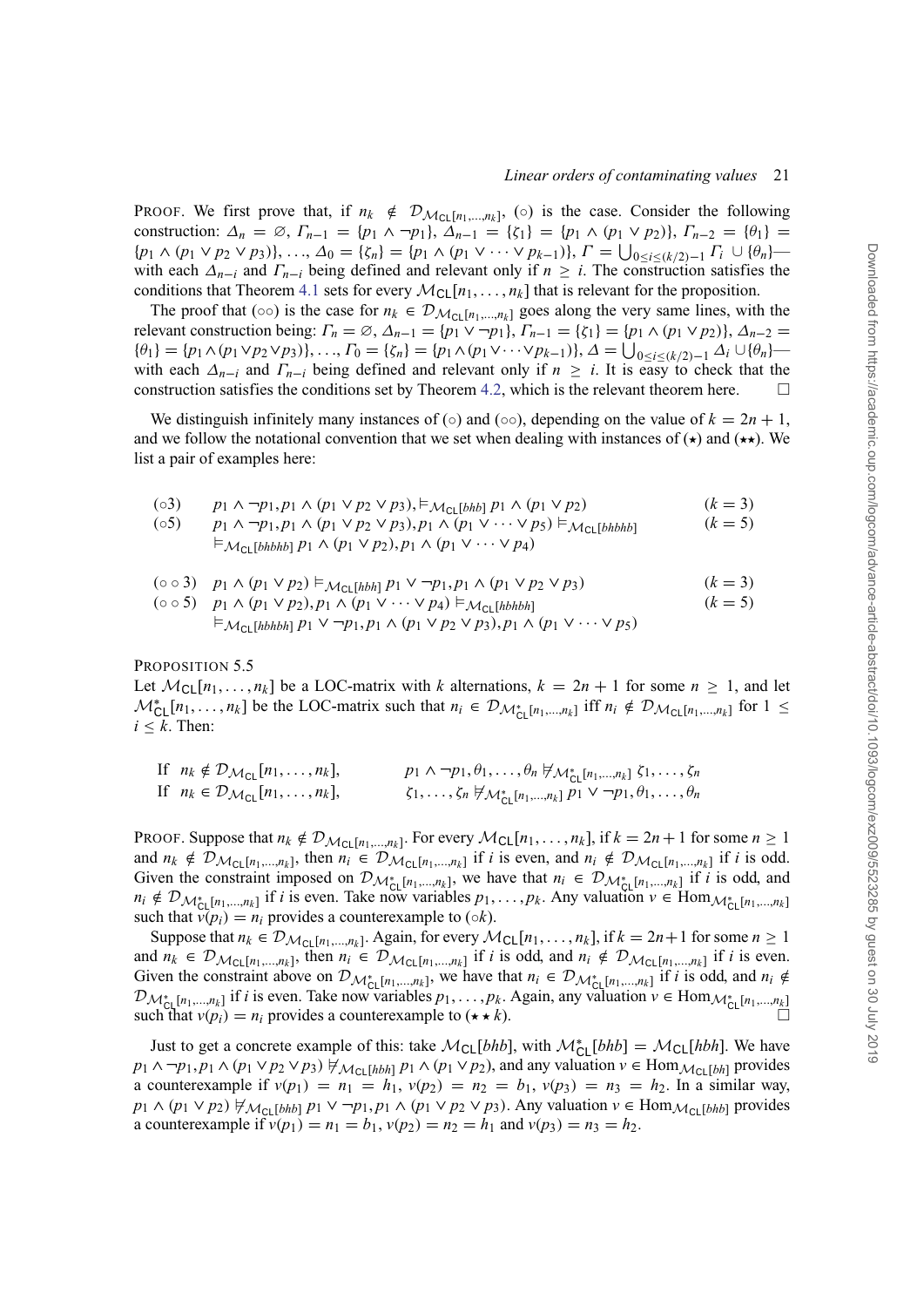PROOF. We first prove that, if  $n_k \notin \mathcal{D}_{\mathcal{M}_{CL}[n_1,...,n_k]}$ , (⊙) is the case. Consider the following construction:  $\Delta_n = \emptyset$ ,  $\Gamma_{n-1} = \{p_1 \wedge \neg p_1\}$ ,  $\Delta_{n-1} = \{\zeta_1\} = \{p_1 \wedge (p_1 \vee p_2)\}$ ,  $\Gamma_{n-2} = \{\theta_1\} =$  $\{p_1 \wedge (p_1 \vee p_2 \vee p_3)\}, \ldots, \Delta_0 = \{\zeta_n\} = \{p_1 \wedge (p_1 \vee \cdots \vee p_{k-1})\}, \Gamma = \bigcup_{0 \le i \le (k/2)-1} \Gamma_i \cup \{\theta_n\}$ with each  $\Delta_{n-i}$  and  $\Gamma_{n-i}$  being defined and relevant only if  $n \geq i$ . The construction satisfies the conditions that Theorem 4.1 sets for every  $M_{CL}[n_1, \ldots, n_k]$  that is relevant for the proposition.

The proof that ( $\circ \circ$ ) is the case for  $n_k \in \mathcal{D}_{\mathcal{M}_{CL}[n_1,...,n_k]}$  goes along the very same lines, with the relevant construction being:  $\Gamma_n = \emptyset$ ,  $\Delta_{n-1} = \{p_1 \vee \neg p_1\}$ ,  $\Gamma_{n-1} = \{\zeta_1\} = \{p_1 \wedge (p_1 \vee p_2)\}$ ,  $\Delta_{n-2} =$  ${\theta_1} = {p_1 \wedge (p_1 \vee p_2 \vee p_3)}, \dots, T_0 = {\zeta_n} = {p_1 \wedge (p_1 \vee \cdots \vee p_{k-1})}, \Delta = \bigcup_{0 \le i \le (k/2)-1} \Delta_i \cup {\theta_n}$ with each  $\Delta_{n-i}$  and  $\Gamma_{n-i}$  being defined and relevant only if  $n \geq i$ . It is easy to check that the construction satisfies the conditions set by Theorem 4.2, which is the relevant theorem here construction satisfies the conditions set by Theorem 4.2, which is the relevant theorem here.

We distinguish infinitely many instances of (◦) and (◦◦), depending on the value of  $k = 2n + 1$ , and we follow the notational convention that we set when dealing with instances of  $(\star)$  and  $(\star \star)$ . We list a pair of examples here:

$$
\text{(o3)} \qquad p_1 \wedge \neg p_1, p_1 \wedge (p_1 \vee p_2 \vee p_3), \models_{\mathcal{M}_{\text{CL}}[bhb]} p_1 \wedge (p_1 \vee p_2) \qquad \qquad (k=3)
$$

(◦5)  $p_1 \land \neg p_1, p_1 \land (p_1 \lor p_2 \lor p_3), p_1 \land (p_1 \lor \cdots \lor p_5) \models \mathcal{M}_{CL}[bhbhb]}$   $(k=5)$  $\vdash$ M<sub>CL</sub>[*bhbhb*]  $p_1 \wedge (p_1 \vee p_2), p_1 \wedge (p_1 \vee \cdots \vee p_4)$ 

$$
\begin{array}{ll}\n(\circ \circ 3) & p_1 \wedge (p_1 \vee p_2) \models_{\mathcal{M}_{\text{CL}}[hbh]} p_1 \vee \neg p_1, p_1 \wedge (p_1 \vee p_2 \vee p_3) & (k=3) \\
(\circ \circ 5) & p_1 \wedge (p_1 \vee p_2), p_1 \wedge (p_1 \vee \dots \vee p_4) \models_{\mathcal{M}_{\text{CL}}[hbhbh]} \\
& \models_{\mathcal{M}_{\text{CL}}[hbhbh]} p_1 \vee \neg p_1, p_1 \wedge (p_1 \vee p_2 \vee p_3), p_1 \wedge (p_1 \vee \dots \vee p_5)\n\end{array}
$$

# PROPOSITION 5.5

Let  $M_{CL}[n_1, \ldots, n_k]$  be a LOC-matrix with *k* alternations,  $k = 2n + 1$  for some  $n \ge 1$ , and let  $\mathcal{M}_{\text{CL}}^{*}[n_1,\ldots,n_k]$  be the LOC-matrix such that  $n_i \in \mathcal{D}_{\mathcal{M}_{\text{CL}}^{*}[n_1,\ldots,n_k]}$  iff  $n_i \notin \mathcal{D}_{\mathcal{M}_{\text{CL}}[n_1,\ldots,n_k]}$  for  $1 \leq$  $i \leq k$ . Then:

| If $n_k \notin \mathcal{D}_{\mathcal{M}_{\text{CL}}}[n_1,\ldots,n_k],$ | $p_1 \wedge \neg p_1, \theta_1, \ldots, \theta_n \not\vdash_{\mathcal{M}_{\text{Cl}}^*[n_1, \ldots, n_k]} \zeta_1, \ldots, \zeta_n$ |
|------------------------------------------------------------------------|-------------------------------------------------------------------------------------------------------------------------------------|
| If $n_k \in \mathcal{D}_{\mathcal{M}_{\text{CL}}}[n_1,\ldots,n_k],$    | $\zeta_1,\ldots,\zeta_n \not\vdash \mathcal{M}_{\text{CL}}^*[n_1,\ldots,n_k]$ $p_1 \vee \neg p_1,\theta_1,\ldots,\theta_n$          |

PROOF. Suppose that  $n_k \notin \mathcal{D}_{\mathcal{M}_{CL}[n_1,...,n_k]}$ . For every  $\mathcal{M}_{CL}[n_1,...,n_k]$ , if  $k = 2n + 1$  for some  $n \geq 1$ and  $n_k \notin \mathcal{D}_{\mathcal{M}_{CL}[n_1,...,n_k]}$ , then  $n_i \in \mathcal{D}_{\mathcal{M}_{CL}[n_1,...,n_k]}$  if i is even, and  $n_i \notin \mathcal{D}_{\mathcal{M}_{CL}[n_1,...,n_k]}$  if i is odd. Given the constraint imposed on  $\mathcal{D}_{\mathcal{M}_{CL}^*[n_1, \ldots, n_k]}$ , we have that  $n_i \in \mathcal{D}_{\mathcal{M}_{CL}^*[n_1, \ldots, n_k]}$  if *i* is odd, and  $n_i \notin \mathcal{D}_{\mathcal{M}_{CL}^*[n_1, \ldots, n_k]}$  if *i* is even. Take now variables  $p_1, \ldots, p_k$ . Any valuation  $v \in \text{Hom}_{\mathcal{M}_{CL}^*[n_1, \ldots, n_k]}$ such that  $\widetilde{v}(p_i) = n_i$  provides a counterexample to ( $\circ k$ ).

Suppose that  $n_k \in \mathcal{D}_{\mathcal{M}_{CL}[n_1,...,n_k]}$ . Again, for every  $\mathcal{M}_{CL}[n_1,...,n_k]$ , if  $k = 2n+1$  for some  $n \geq 1$ and  $n_k \in \mathcal{D}_{\mathcal{M}_{CL}[n_1,...,n_k]}$ , then  $n_i \in \mathcal{D}_{\mathcal{M}_{CL}[n_1,...,n_k]}$  if i is odd, and  $n_i \notin \mathcal{D}_{\mathcal{M}_{CL}[n_1,...,n_k]}$  if i is even. Given the constraint above on  $\mathcal{D}_{\mathcal{M}_{CL}^{*}[n_1, ..., n_k]}$ , we have that  $n_i \in \mathcal{D}_{\mathcal{M}_{CL}^{*}[n_1, ..., n_k]}$  if *i* is odd, and  $n_i \notin \mathcal{D}_{CL}^{*}[n_1, ..., n_k]}$  $\mathcal{D}_{\mathcal{M}_{CL}^*}[n_1,...,n_k]$  if *i* is even. Take now variables  $p_1,...,p_k$ . Again, any valuation  $v \in \text{Hom}_{\mathcal{M}_{CL}^*}[n_1,...,n_k]}$ such that  $v(p_i) = n_i$  provides a counterexample to  $(\star \star k)$ .

Just to get a concrete example of this: take  $M_{CL}[hhh]$ , with  $M_{CL}^{*}[hhh] = M_{CL}[hhh]$ . We have *p*<sub>1</sub> ∧ ¬*p*<sub>1</sub>, *p*<sub>1</sub> ∧ (*p*<sub>1</sub> ∨ *p*<sub>2</sub> ∨ *p*<sub>3</sub>)  $\forall$  *M*<sub>CL</sub>[*hbh*] *p*<sub>1</sub> ∧ (*p*<sub>1</sub> ∨ *p*<sub>2</sub>), and any valuation *v* ∈ Hom<sub>*M*CL[*bh*] provides</sub> a counterexample if  $v(p_1) = n_1 = h_1$ ,  $v(p_2) = n_2 = b_1$ ,  $v(p_3) = n_3 = h_2$ . In a similar way, *p*<sub>1</sub> ∧ (*p*<sub>1</sub> ∨ *p*<sub>2</sub>)  $\forall$   $M_{\text{CL}[bhb]}$  *p*<sub>1</sub> ∨ ¬*p*<sub>1</sub>, *p*<sub>1</sub> ∧ (*p*<sub>1</sub> ∨ *p*<sub>2</sub> ∨ *p*<sub>3</sub>). Any valuation *v* ∈ Hom<sub>*M*<sub>CL</sub>[*bhb*] provides</sub> a counterexample if  $v(p_1) = n_1 = b_1$ ,  $v(p_2) = n_2 = h_1$  and  $v(p_3) = n_3 = h_2$ .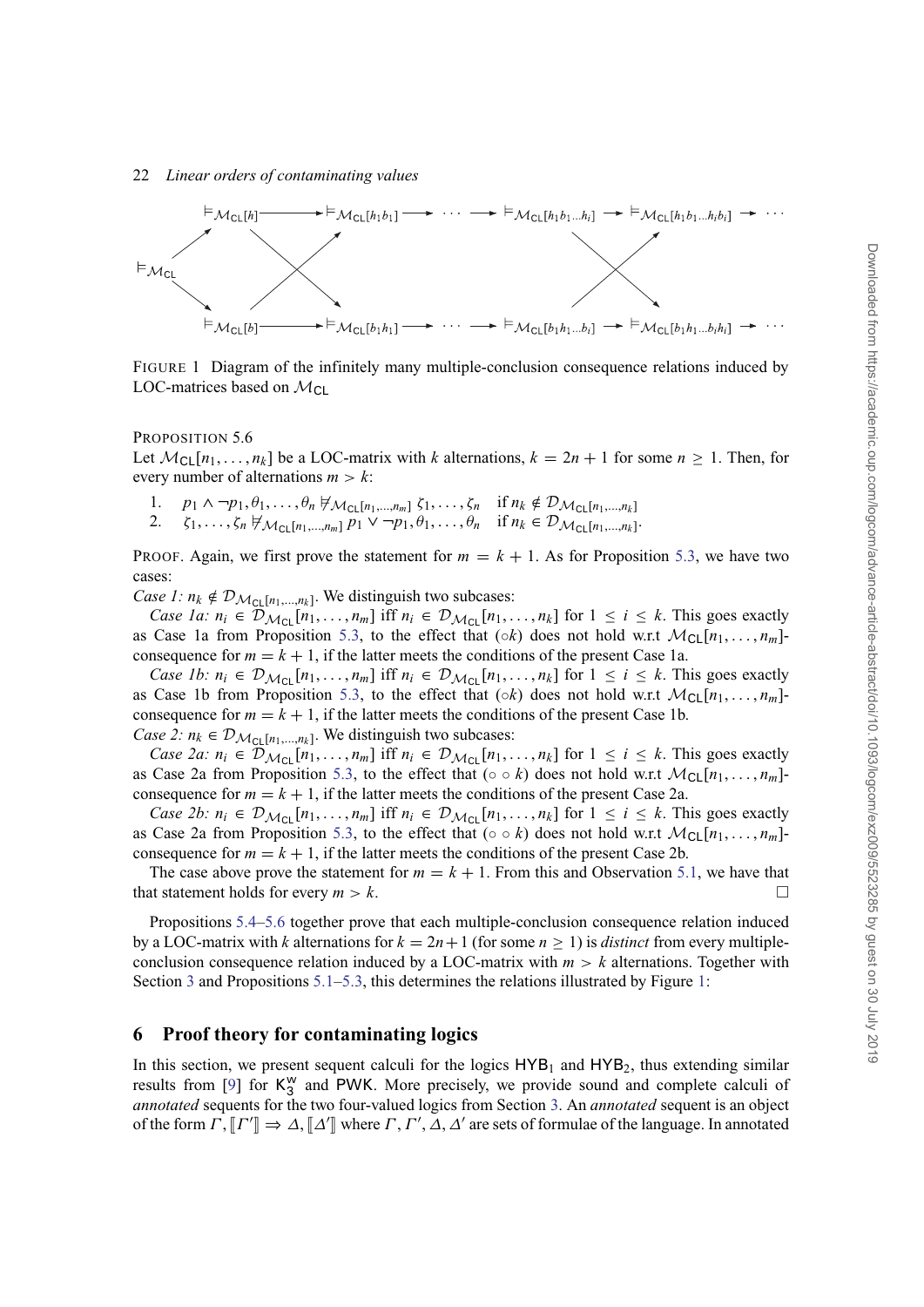

FIGURE 1 Diagram of the infinitely many multiple-conclusion consequence relations induced by LOC-matrices based on  $M_{\text{Cl}}$ 

PROPOSITION 5.6

Let  $M_{CL}[n_1, \ldots, n_k]$  be a LOC-matrix with *k* alternations,  $k = 2n + 1$  for some  $n \ge 1$ . Then, for every number of alternations  $m > k$ :

- 1.  $p_1 \wedge \neg p_1, \theta_1, \ldots, \theta_n \not\vdash_{\mathcal{M}_{CL}[n_1, \ldots, n_m]} \zeta_1, \ldots, \zeta_n \text{ if } n_k \notin \mathcal{D}_{\mathcal{M}_{CL}[n_1, \ldots, n_k]}$
- 2.  $\zeta_1, \ldots, \zeta_n \not\vdash \mathcal{M}_{\text{CL}}[n_1, \ldots, n_m]} p_1 \vee \neg p_1, \theta_1, \ldots, \theta_n \text{ if } n_k \in \mathcal{D}_{\mathcal{M}_{\text{CL}}[n_1, \ldots, n_k]}.$

PROOF. Again, we first prove the statement for  $m = k + 1$ . As for Proposition 5.3, we have two cases:

*Case 1:*  $n_k \notin \mathcal{D}_{\mathcal{M}_{\text{CL}}[n_1, \ldots, n_k]}$ . We distinguish two subcases:

*Case 1a:*  $n_i \in \mathcal{D}_{\mathcal{M}_{CL}}[n_1, \ldots, n_m]$  iff  $n_i \in \mathcal{D}_{\mathcal{M}_{CL}}[n_1, \ldots, n_k]$  for  $1 \leq i \leq k$ . This goes exactly as Case 1a from Proposition 5.3, to the effect that  $(\circ k)$  does not hold w.r.t  $\mathcal{M}_{CL}[n_1, \ldots, n_m]$ consequence for  $m = k + 1$ , if the latter meets the conditions of the present Case 1a.

*Case 1b:*  $n_i \in \mathcal{D}_{\mathcal{M}_{CL}}[n_1, \ldots, n_m]$  iff  $n_i \in \mathcal{D}_{\mathcal{M}_{CL}}[n_1, \ldots, n_k]$  for  $1 \leq i \leq k$ . This goes exactly as Case 1b from Proposition 5.3, to the effect that  $(\circ k)$  does not hold w.r.t  $\mathcal{M}_{CL}[n_1, \ldots, n_m]$ consequence for  $m = k + 1$ , if the latter meets the conditions of the present Case 1b. *Case 2:*  $n_k \in \mathcal{D}_{\mathcal{M}_{\text{CL}}[n_1, \ldots, n_k]}$ . We distinguish two subcases:

*Case 2a:*  $n_i \in \mathcal{D}_{\mathcal{M}_{\text{Cl}}}[n_1, \ldots, n_m]$  iff  $n_i \in \mathcal{D}_{\mathcal{M}_{\text{Cl}}}[n_1, \ldots, n_k]$  for  $1 \leq i \leq k$ . This goes exactly as Case 2a from Proposition 5.3, to the effect that ( $\circ \circ k$ ) does not hold w.r.t  $\mathcal{M}_{CL}[n_1, \ldots, n_m]$ consequence for  $m = k + 1$ , if the latter meets the conditions of the present Case 2a.

*Case 2b:*  $n_i \in \mathcal{D}_{\mathcal{M}_{CL}}[n_1, \ldots, n_m]$  iff  $n_i \in \mathcal{D}_{\mathcal{M}_{CL}}[n_1, \ldots, n_k]$  for  $1 \leq i \leq k$ . This goes exactly as Case 2a from Proposition 5.3, to the effect that ( $\circ \circ k$ ) does not hold w.r.t  $\mathcal{M}_{CL}[n_1, \ldots, n_m]$ consequence for  $m = k + 1$ , if the latter meets the conditions of the present Case 2b.

The case above prove the statement for  $m = k + 1$ . From this and Observation 5.1, we have that at statement holds for every  $m > k$ . that statement holds for every  $m > k$ .

Propositions 5.4–5.6 together prove that each multiple-conclusion consequence relation induced by a LOC-matrix with *k* alternations for  $k = 2n+1$  (for some  $n \ge 1$ ) is *distinct* from every multipleconclusion consequence relation induced by a LOC-matrix with  $m > k$  alternations. Together with Section 3 and Propositions 5.1–5.3, this determines the relations illustrated by Figure 1:

# **6 Proof theory for contaminating logics**

In this section, we present sequent calculi for the logics  $HYB_1$  and  $HYB_2$ , thus extending similar results from [9] for  $K_3^w$  and PWK. More precisely, we provide sound and complete calculi of *annotated* sequents for the two four-valued logics from Section 3. An *annotated* sequent is an object of the form  $\Gamma, \llbracket \Gamma' \rrbracket \Rightarrow \Delta, \llbracket \Delta' \rrbracket$  where  $\Gamma, \Gamma', \Delta, \Delta'$  are sets of formulae of the language. In annotated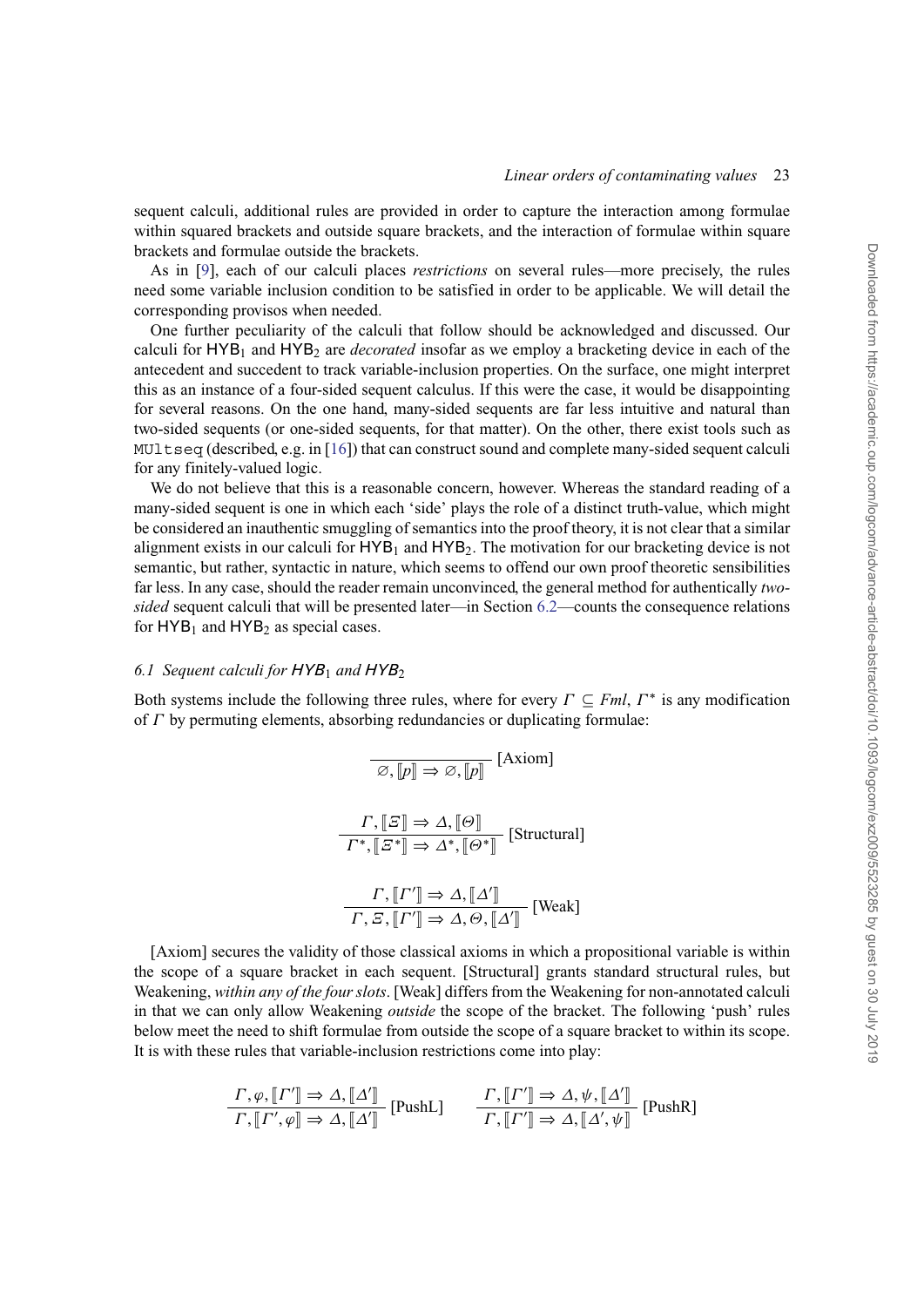sequent calculi, additional rules are provided in order to capture the interaction among formulae within squared brackets and outside square brackets, and the interaction of formulae within square brackets and formulae outside the brackets.

As in [9], each of our calculi places *restrictions* on several rules—more precisely, the rules need some variable inclusion condition to be satisfied in order to be applicable. We will detail the corresponding provisos when needed.

One further peculiarity of the calculi that follow should be acknowledged and discussed. Our calculi for HYB<sub>1</sub> and HYB<sub>2</sub> are *decorated* insofar as we employ a bracketing device in each of the antecedent and succedent to track variable-inclusion properties. On the surface, one might interpret this as an instance of a four-sided sequent calculus. If this were the case, it would be disappointing for several reasons. On the one hand, many-sided sequents are far less intuitive and natural than two-sided sequents (or one-sided sequents, for that matter). On the other, there exist tools such as MUltseq (described, e.g. in [16]) that can construct sound and complete many-sided sequent calculi for any finitely-valued logic.

We do not believe that this is a reasonable concern, however. Whereas the standard reading of a many-sided sequent is one in which each 'side' plays the role of a distinct truth-value, which might be considered an inauthentic smuggling of semantics into the proof theory, it is not clear that a similar alignment exists in our calculi for  $HYB_1$  and  $HYB_2$ . The motivation for our bracketing device is not semantic, but rather, syntactic in nature, which seems to offend our own proof theoretic sensibilities far less. In any case, should the reader remain unconvinced, the general method for authentically *twosided* sequent calculi that will be presented later—in Section 6.2—counts the consequence relations for  $HYB_1$  and  $HYB_2$  as special cases.

# *6.1 Sequent calculi for HYB*<sup>1</sup> *and HYB*<sup>2</sup>

Both systems include the following three rules, where for every  $\Gamma \subseteq Fml$ ,  $\Gamma^*$  is any modification of Γ by permuting elements, absorbing redundancies or duplicating formulae:

$$
\overline{\varnothing, [p] \Rightarrow \varnothing, [p]}
$$
 [Axiom]

$$
\frac{\Gamma, [\![\Xi]\!] \Rightarrow \Delta, [\![\Theta]\!]}{\Gamma^*, [\![\Xi^*]\!] \Rightarrow \Delta^*, [\![\Theta^*]\!]}
$$
 [Structural]

$$
\frac{\Gamma, [\![\Gamma']\!] \Rightarrow \Delta, [\![\Delta']\!] }{\Gamma, \Xi, [\![\Gamma']\!] \Rightarrow \Delta, \Theta, [\![\Delta']\!]}
$$
 [Weak]

[Axiom] secures the validity of those classical axioms in which a propositional variable is within the scope of a square bracket in each sequent. [Structural] grants standard structural rules, but Weakening, *within any of the four slots*. [Weak] differs from the Weakening for non-annotated calculi in that we can only allow Weakening *outside* the scope of the bracket. The following 'push' rules below meet the need to shift formulae from outside the scope of a square bracket to within its scope. It is with these rules that variable-inclusion restrictions come into play:

$$
\frac{\Gamma, \varphi, [\![\Gamma']\!] \Rightarrow \Delta, [\![\Delta']\!] }{\Gamma, [\![\Gamma', \varphi]\!] \Rightarrow \Delta, [\![\Delta']\!] } \quad \text{[PushL]} \qquad \frac{\Gamma, [\![\Gamma']\!] \Rightarrow \Delta, \psi, [\![\Delta']\!] }{\Gamma, [\![\Gamma']\!] \Rightarrow \Delta, [\![\Delta', \psi]\!] } \quad \text{[PushR]}
$$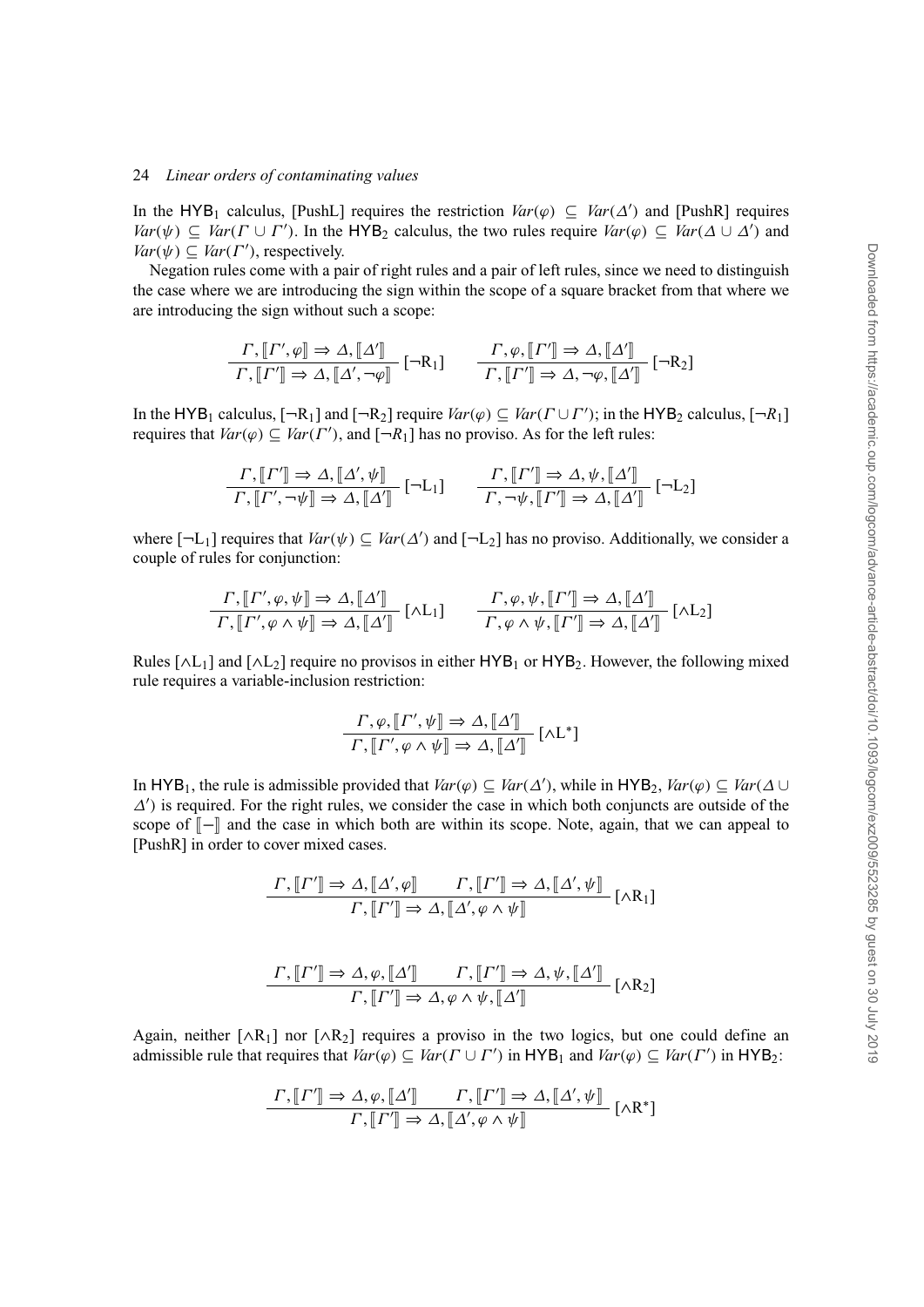In the HYB<sub>1</sub> calculus, [PushL] requires the restriction  $Var(\varphi) \subseteq Var(\Delta')$  and [PushR] requires  $Var(\psi) \subseteq Var(\Gamma \cup \Gamma')$ . In the HYB<sub>2</sub> calculus, the two rules require  $Var(\varphi) \subseteq Var(\Delta \cup \Delta')$  and  $Var(\psi) \subseteq Var(\Gamma')$ , respectively.

Negation rules come with a pair of right rules and a pair of left rules, since we need to distinguish the case where we are introducing the sign within the scope of a square bracket from that where we are introducing the sign without such a scope:

$$
\frac{\Gamma, [\![\Gamma', \varphi]\!] \Rightarrow \Delta, [\![\Delta']\!]}{\Gamma, [\![\Gamma']\!] \Rightarrow \Delta, [\![\Delta', \neg \varphi]\!]} [\neg R_1] \qquad \frac{\Gamma, \varphi, [\![\Gamma']\!] \Rightarrow \Delta, [\![\Delta']\!]}{\Gamma, [\![\Gamma']\!] \Rightarrow \Delta, \neg \varphi, [\![\Delta']\!]} [\neg R_2]
$$

In the HYB<sub>1</sub> calculus,  $[\neg R_1]$  and  $[\neg R_2]$  require  $Var(\varphi) \subseteq Var(\Gamma \cup \Gamma')$ ; in the HYB<sub>2</sub> calculus,  $[\neg R_1]$ requires that  $Var(\varphi) \subseteq Var(\Gamma')$ , and  $[\neg R_1]$  has no proviso. As for the left rules:

$$
\frac{\Gamma, [\![\Gamma']\!] \Rightarrow \Delta, [\![\Delta', \psi]\!] }{\Gamma, [\![\Gamma', \neg \psi]\!] \Rightarrow \Delta, [\![\Delta']\!] } [\neg L_1] \qquad \frac{\Gamma, [\![\Gamma']\!] \Rightarrow \Delta, \psi, [\![\Delta']\!] }{\Gamma, \neg \psi, [\![\Gamma']\!] \Rightarrow \Delta, [\![\Delta']\!] } [\neg L_2]
$$

where  $[\neg L_1]$  requires that  $Var(\psi) \subseteq Var(\Delta')$  and  $[\neg L_2]$  has no proviso. Additionally, we consider a couple of rules for conjunction:

$$
\frac{\Gamma, [\![\Gamma', \varphi, \psi]\!] \Rightarrow \Delta, [\![\Delta']\!] }{\Gamma, [\![\Gamma', \varphi \wedge \psi]\!] \Rightarrow \Delta, [\![\Delta']\!] } \quad [\![\wedge L_1]\!] \quad \frac{\Gamma, \varphi, \psi, [\![\Gamma']\!] \Rightarrow \Delta, [\![\Delta']\!] }{\Gamma, \varphi \wedge \psi, [\![\Gamma']\!] \Rightarrow \Delta, [\![\Delta']\!] } \quad [\wedge L_2]
$$

Rules  $[\triangle L_1]$  and  $[\triangle L_2]$  require no provisos in either HYB<sub>1</sub> or HYB<sub>2</sub>. However, the following mixed rule requires a variable-inclusion restriction:

$$
\frac{\Gamma, \varphi, [\![\Gamma', \psi]\!] \Rightarrow \Delta, [\![\Delta']\!] }{\Gamma, [\![\Gamma', \varphi \wedge \psi]\!] \Rightarrow \Delta, [\![\Delta']\!] } [\wedge \mathcal{L}^*]
$$

In HYB<sub>1</sub>, the rule is admissible provided that  $Var(\varphi) \subseteq Var(\Delta')$ , while in HYB<sub>2</sub>,  $Var(\varphi) \subseteq Var(\Delta \cup$ ∆′ *)* is required. For the right rules, we consider the case in which both conjuncts are outside of the scope of  $\llbracket - \rrbracket$  and the case in which both are within its scope. Note, again, that we can appeal to [PushR] in order to cover mixed cases.

$$
\frac{\Gamma, [\![\Gamma']\!] \Rightarrow \Delta, [\![\Delta', \varphi]\!] \qquad \Gamma, [\![\Gamma']\!] \Rightarrow \Delta, [\![\Delta', \psi]\!] \qquad \qquad [\wedge R_1] \qquad \qquad \Gamma, [\![\Gamma']\!] \Rightarrow \Delta, [\![\Delta', \varphi \wedge \psi]\!] \qquad \qquad [\wedge R_1]
$$

$$
\frac{\Gamma, [\![\Gamma']\!] \Rightarrow \Delta, \varphi, [\![\Delta']\!] \qquad \Gamma, [\![\Gamma']\!] \Rightarrow \Delta, \psi, [\![\Delta']\!] \qquad \qquad [\wedge R_2]
$$

$$
\Gamma, [\![\Gamma']\!] \Rightarrow \Delta, \varphi \wedge \psi, [\![\Delta']\!] \qquad \qquad [\wedge R_2]
$$

Again, neither  $[AR_1]$  nor  $[AR_2]$  requires a proviso in the two logics, but one could define an admissible rule that requires that  $Var(\varphi) \subseteq Var(\Gamma \cup \Gamma')$  in  $HYB_1$  and  $Var(\varphi) \subseteq Var(\Gamma')$  in  $HYB_2$ :

$$
\frac{\Gamma, [\![\Gamma']\!] \Rightarrow \Delta, \varphi, [\![\Delta']\!] \qquad \Gamma, [\![\Gamma']\!] \Rightarrow \Delta, [\![\Delta', \psi]\!]}{\Gamma, [\![\Gamma']\!] \Rightarrow \Delta, [\![\Delta', \varphi \wedge \psi]\!]} [\wedge \mathsf{R}^*]
$$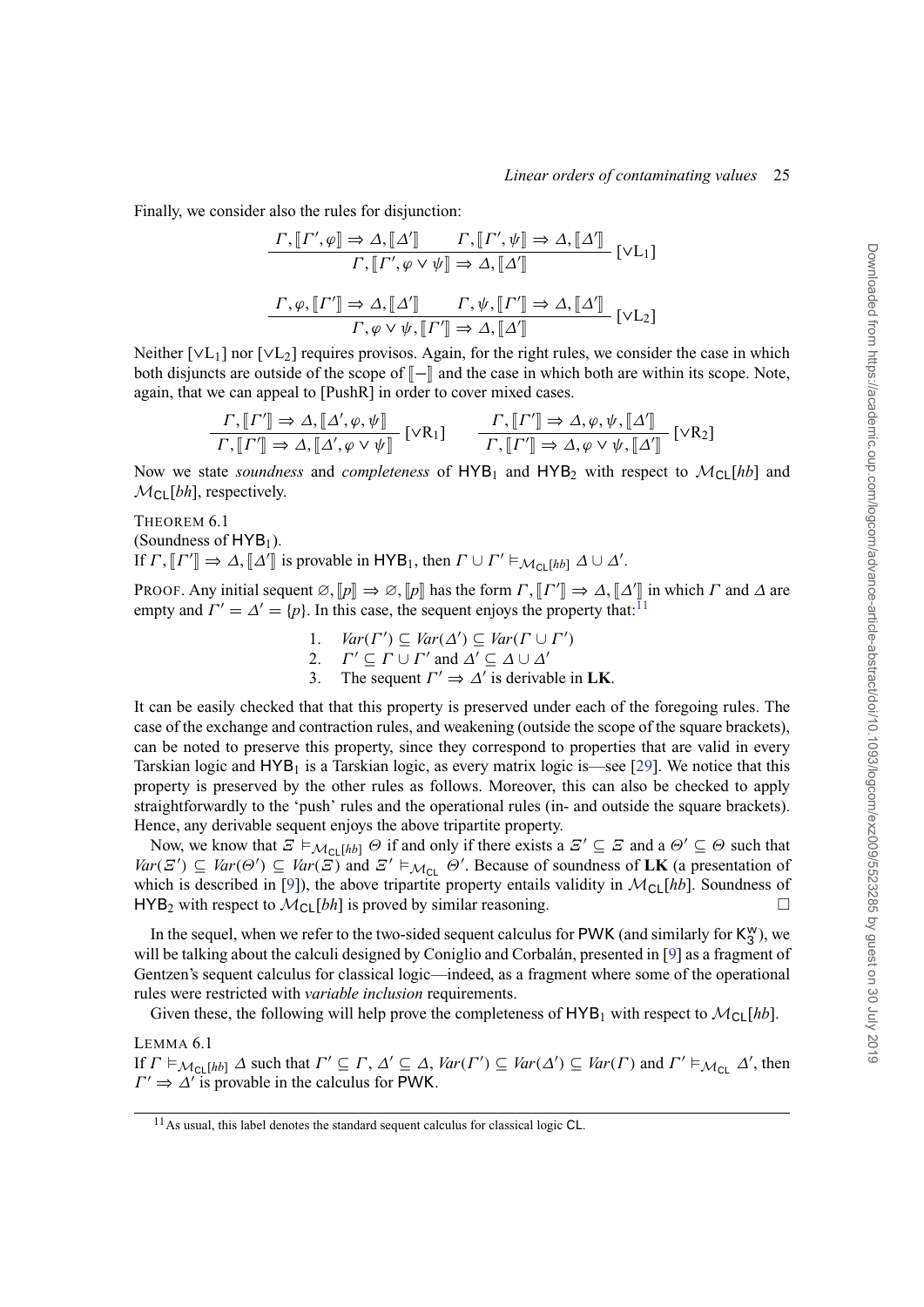Finally, we consider also the rules for disjunction:

$$
\frac{\Gamma, [\![\Gamma', \varphi]\!] \Rightarrow \Delta, [\![\Delta']\!] \qquad \Gamma, [\![\Gamma', \psi]\!] \Rightarrow \Delta, [\![\Delta']\!] \qquad [\vee L_1]
$$
\n
$$
\Gamma, [\![\Gamma', \varphi \vee \psi]\!] \Rightarrow \Delta, [\![\Delta']\!] \qquad [\vee L_1]
$$
\n
$$
\frac{\Gamma, \varphi, [\![\Gamma']\!] \Rightarrow \Delta, [\![\Delta']\!] \qquad \Gamma, \psi, [\![\Gamma']\!] \Rightarrow \Delta, [\![\Delta']\!] \qquad [\vee L_2]
$$
\n
$$
\Gamma, \varphi \vee \psi, [\![\Gamma']\!] \Rightarrow \Delta, [\![\Delta']\!] \qquad [\vee L_2]
$$

Neither [∨L<sub>1</sub>] nor [∨L<sub>2</sub>] requires provisos. Again, for the right rules, we consider the case in which both disjuncts are outside of the scope of  $\llbracket - \rrbracket$  and the case in which both are within its scope. Note, again, that we can appeal to [PushR] in order to cover mixed cases.

$$
\frac{\Gamma, [\![\Gamma']\!] \Rightarrow \Delta, [\![\Delta', \varphi, \psi]\!] }{\Gamma, [\![\Gamma']\!] \Rightarrow \Delta, [\![\Delta', \varphi \vee \psi]\!] } \quad [\forall R_1] \qquad \frac{\Gamma, [\![\Gamma']\!] \Rightarrow \Delta, \varphi, \psi, [\![\Delta']\!] }{\Gamma, [\![\Gamma']\!] \Rightarrow \Delta, \varphi \vee \psi, [\![\Delta']\!] } \quad [\forall R_2]
$$

Now we state *soundness* and *completeness* of  $HYB_1$  and  $HYB_2$  with respect to  $MCL[hb]$  and  $M_{CL}[bh]$ , respectively.

THEOREM 6.1

(Soundness of  $HYB_1$ ). If  $\Gamma$ ,  $\llbracket \Gamma \rrbracket \Rightarrow \Delta$ ,  $\llbracket \Delta' \rrbracket$  is provable in HYB<sub>1</sub>, then  $\Gamma \cup \Gamma' \models_{\mathcal{M}_{CL}[hb]} \Delta \cup \Delta'$ .

PROOF. Any initial sequent  $\emptyset$ ,  $[p] \Rightarrow \emptyset$ ,  $[p]$  has the form  $\Gamma$ ,  $\Gamma' \Rightarrow \Delta$ ,  $\Delta'$  in which  $\Gamma$  and  $\Delta$  are empty and  $\Gamma' = \Delta' = \{p\}$ . In this case, the sequent enjoys the property that:<sup>11</sup>

> 1.  $Var(\Gamma') \subseteq Var(\Delta') \subseteq Var(\Gamma \cup \Gamma')$ 2.  $\Gamma' \subseteq \Gamma \cup \Gamma'$  and  $\Delta' \subseteq \Delta \cup \Delta'$ 3. The sequent  $\Gamma' \Rightarrow \Delta'$  is derivable in **LK**.

It can be easily checked that that this property is preserved under each of the foregoing rules. The case of the exchange and contraction rules, and weakening (outside the scope of the square brackets), can be noted to preserve this property, since they correspond to properties that are valid in every Tarskian logic and  $HYB_1$  is a Tarskian logic, as every matrix logic is—see [29]. We notice that this property is preserved by the other rules as follows. Moreover, this can also be checked to apply straightforwardly to the 'push' rules and the operational rules (in- and outside the square brackets). Hence, any derivable sequent enjoys the above tripartite property.

Now, we know that  $\mathcal{Z} \models_{\mathcal{M}_{CL}[hb]} \Theta$  if and only if there exists a  $\mathcal{Z}' \subseteq \mathcal{Z}$  and a  $\Theta' \subseteq \Theta$  such that  $Var(\mathcal{E}') \subseteq Var(\Theta') \subseteq Var(\mathcal{E})$  and  $\mathcal{E}' \models_{\mathcal{M}_{CL}} \Theta'$ . Because of soundness of **LK** (a presentation of which is described in [9]), the above tripartite property entails validity in  $\mathcal{M}_{CL}[hb]$ . Soundness of HYB<sub>2</sub> with respect to  $\mathcal{M}_{CL}[hb]$  is proved by similar reasoning HYB<sub>2</sub> with respect to  $\mathcal{M}_{CL}[bh]$  is proved by similar reasoning.

In the sequel, when we refer to the two-sided sequent calculus for PWK (and similarly for  $K_3^w$ ), we will be talking about the calculi designed by Coniglio and Corbalán, presented in [9] as a fragment of Gentzen's sequent calculus for classical logic—indeed, as a fragment where some of the operational rules were restricted with *variable inclusion* requirements.

Given these, the following will help prove the completeness of  $HYB_1$  with respect to  $\mathcal{M}_{CL}[hb]$ .

LEMMA 6.1

If  $\Gamma \models_{\mathcal{M}_{CL}[hb]} \Delta$  such that  $\Gamma' \subseteq \Gamma$ ,  $\Delta' \subseteq \Delta$ ,  $\text{Var}(\Gamma') \subseteq \text{Var}(\Delta') \subseteq \text{Var}(\Gamma)$  and  $\Gamma' \models_{\mathcal{M}_{CL}} \Delta'$ , then  $\Gamma' \Rightarrow \Delta'$  is provable in the calculus for PWK.

<sup>&</sup>lt;sup>11</sup>As usual, this label denotes the standard sequent calculus for classical logic CL.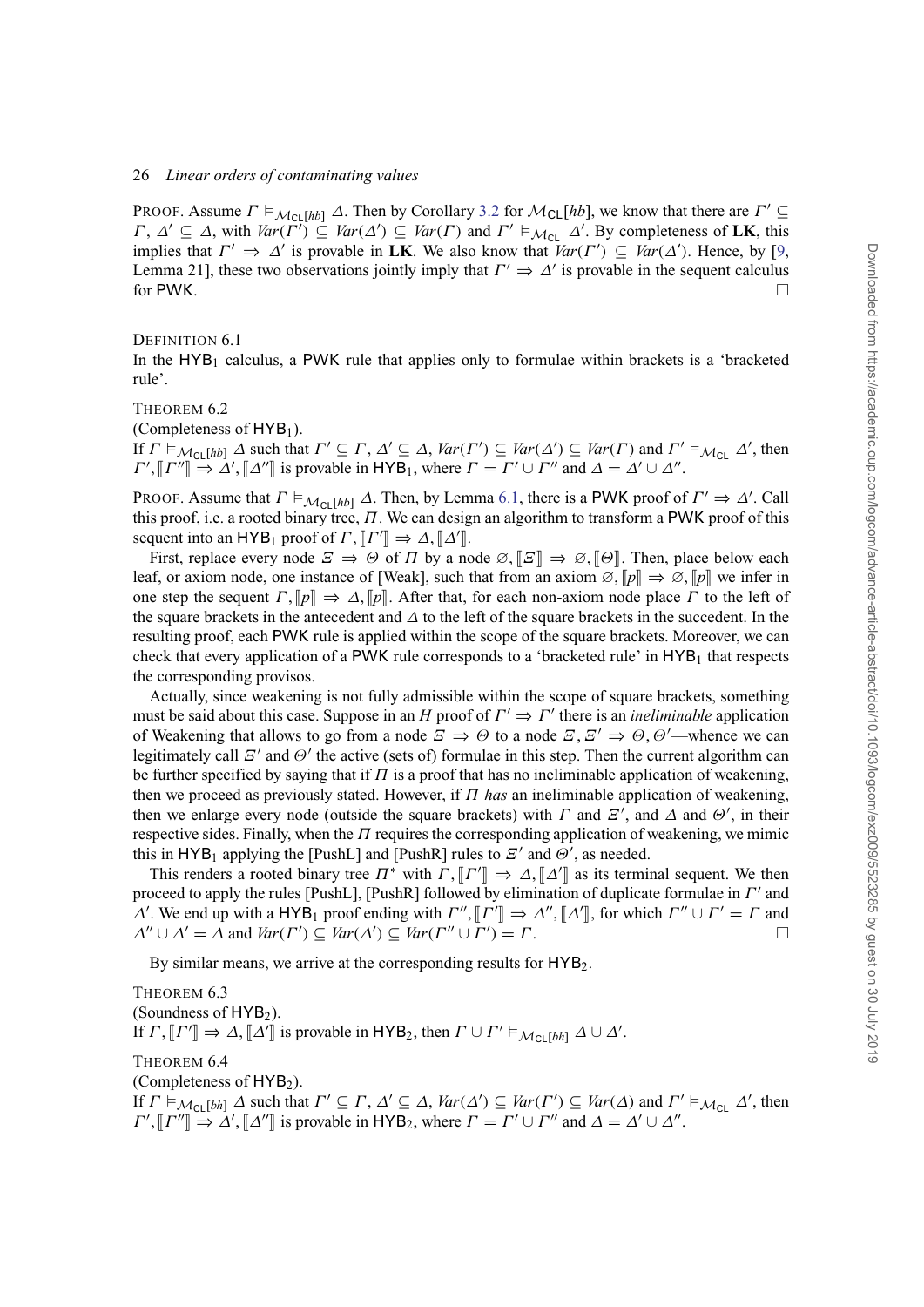PROOF. Assume  $\Gamma \models_{\mathcal{M}_{CL}[hb]} \Delta$ . Then by Corollary 3.2 for  $\mathcal{M}_{CL}[hb]$ , we know that there are  $\Gamma' \subseteq$  $\Gamma$ ,  $\Delta' \subseteq \Delta$ , with  $Var(\Gamma') \subseteq Var(\Delta') \subseteq Var(\Gamma)$  and  $\Gamma' \models_{\mathcal{M}_{CL}} \Delta'$ . By completeness of **LK**, this implies that  $\Gamma' \Rightarrow \Delta'$  is provable in LK. We also know that  $Var(\Gamma') \subseteq Var(\Delta')$ . Hence, by [9, Lemma 21], these two observations jointly imply that  $\Gamma' \Rightarrow \Delta'$  is provable in the sequent calculus for PWK. for PWK.  $\Box$ 

#### DEFINITION 6.1

In the  $HYP<sub>1</sub>$  calculus, a PWK rule that applies only to formulae within brackets is a 'bracketed rule'.

## THEOREM 6.2

(Completeness of  $HYB_1$ ).

If  $\Gamma \models_{\mathcal{M}_{CL}[hb]} \Delta$  such that  $\Gamma' \subseteq \Gamma$ ,  $\Delta' \subseteq \Delta$ ,  $\text{Var}(\Gamma') \subseteq \text{Var}(\Delta') \subseteq \text{Var}(\Gamma)$  and  $\Gamma' \models_{\mathcal{M}_{CL}} \Delta'$ , then  $\Gamma', [\![\Gamma'']\!] \Rightarrow \Delta', [\![\Delta'']\!]$  is provable in  $\text{HYB}_1$ , where  $\Gamma = \Gamma' \cup \Gamma''$  and  $\Delta = \Delta' \cup \Delta''$ .

PROOF. Assume that  $\Gamma \models_{\mathcal{M}_{CL}[hb]} \Delta$ . Then, by Lemma 6.1, there is a PWK proof of  $\Gamma' \Rightarrow \Delta'$ . Call this proof, i.e. a rooted binary tree,  $\Pi$ . We can design an algorithm to transform a PWK proof of this sequent into an HYB<sub>1</sub> proof of  $\Gamma$ ,  $\left[\Gamma'\right] \Rightarrow \Delta$ ,  $\left[\Delta'\right]$ .

First, replace every node  $\mathcal{Z} \Rightarrow \Theta$  of  $\Pi$  by a node  $\mathcal{Q}, \llbracket \mathcal{Z} \rrbracket \Rightarrow \mathcal{Q}, \llbracket \Theta \rrbracket$ . Then, place below each leaf, or axiom node, one instance of [Weak], such that from an axiom  $\emptyset$ ,  $[p] \Rightarrow \emptyset$ ,  $[p]$  we infer in one step the sequent  $\Gamma$ ,  $\llbracket p \rrbracket \Rightarrow \Delta$ ,  $\llbracket p \rrbracket$ . After that, for each non-axiom node place  $\Gamma$  to the left of the square brackets in the antecedent and ∆ to the left of the square brackets in the succedent. In the resulting proof, each PWK rule is applied within the scope of the square brackets. Moreover, we can check that every application of a PWK rule corresponds to a 'bracketed rule' in  $HYB<sub>1</sub>$  that respects the corresponding provisos.

Actually, since weakening is not fully admissible within the scope of square brackets, something must be said about this case. Suppose in an *H* proof of  $\Gamma' \Rightarrow \Gamma'$  there is an *ineliminable* application of Weakening that allows to go from a node  $E \Rightarrow \Theta$  to a node  $E, E' \Rightarrow \Theta, \Theta'$ —whence we can legitimately call  $\mathcal{Z}'$  and  $\Theta'$  the active (sets of) formulae in this step. Then the current algorithm can be further specified by saying that if  $\Pi$  is a proof that has no ineliminable application of weakening, then we proceed as previously stated. However, if Π *has* an ineliminable application of weakening, then we enlarge every node (outside the square brackets) with  $\Gamma$  and  $\Xi'$ , and  $\Delta$  and  $\Theta'$ , in their respective sides. Finally, when the  $\Pi$  requires the corresponding application of weakening, we mimic this in  $HVB_1$  applying the [PushL] and [PushR] rules to  $\mathcal{Z}'$  and  $\Theta'$ , as needed.

This renders a rooted binary tree  $\Pi^*$  with  $\Gamma$ ,  $\llbracket \Gamma \rrbracket \Rightarrow \Delta$ ,  $\llbracket \Delta' \rrbracket$  as its terminal sequent. We then<br>recent to each the website  $\Gamma$  test L  $\Gamma$  for the L four description of developing formula in  $\Gamma'$  an proceed to apply the rules [PushL], [PushR] followed by elimination of duplicate formulae in  $\Gamma'$  and  $\Delta'$ . We end up with a HYB<sub>1</sub> proof ending with  $\Gamma''$ ,  $\llbracket \Gamma'' \rrbracket \Rightarrow \Delta''$ ,  $\llbracket \Delta'' \rrbracket$ , for which  $\Gamma'' \cup \Gamma' = \Gamma$  and  $\Delta'' \cup \Delta' = \Delta'$  $\Delta'' \cup \Delta' = \Delta$  and  $Var(\Gamma') \subseteq Var(\Delta') \subseteq Var(\Gamma'' \cup \Gamma') = \Gamma$ .

By similar means, we arrive at the corresponding results for  $HYB_2$ .

THEOREM 6.3 (Soundness of  $HYB_2$ ). If  $\Gamma$ ,  $\llbracket \Gamma \rrbracket \Rightarrow \Delta$ ,  $\llbracket \Delta' \rrbracket$  is provable in HYB<sub>2</sub>, then  $\Gamma \cup \Gamma' \models_{\mathcal{M}_{CL}[bh]} \Delta \cup \Delta'$ . THEOREM 6.4 (Completeness of HYB<sub>2</sub>).

If  $\Gamma \models_{\mathcal{M}_{CL}[bh]} \Delta$  such that  $\Gamma' \subseteq \Gamma$ ,  $\Delta' \subseteq \Delta$ ,  $\text{Var}(\Delta') \subseteq \text{Var}(\Gamma') \subseteq \text{Var}(\Delta)$  and  $\Gamma' \models_{\mathcal{M}_{CL}} \Delta'$ , then  $\Gamma', [\![\Gamma'']\!] \Rightarrow \Delta', [\![\Delta'']\!]$  is provable in HYB<sub>2</sub>, where  $\Gamma = \Gamma' \cup \Gamma''$  and  $\Delta = \Delta' \cup \Delta''$ .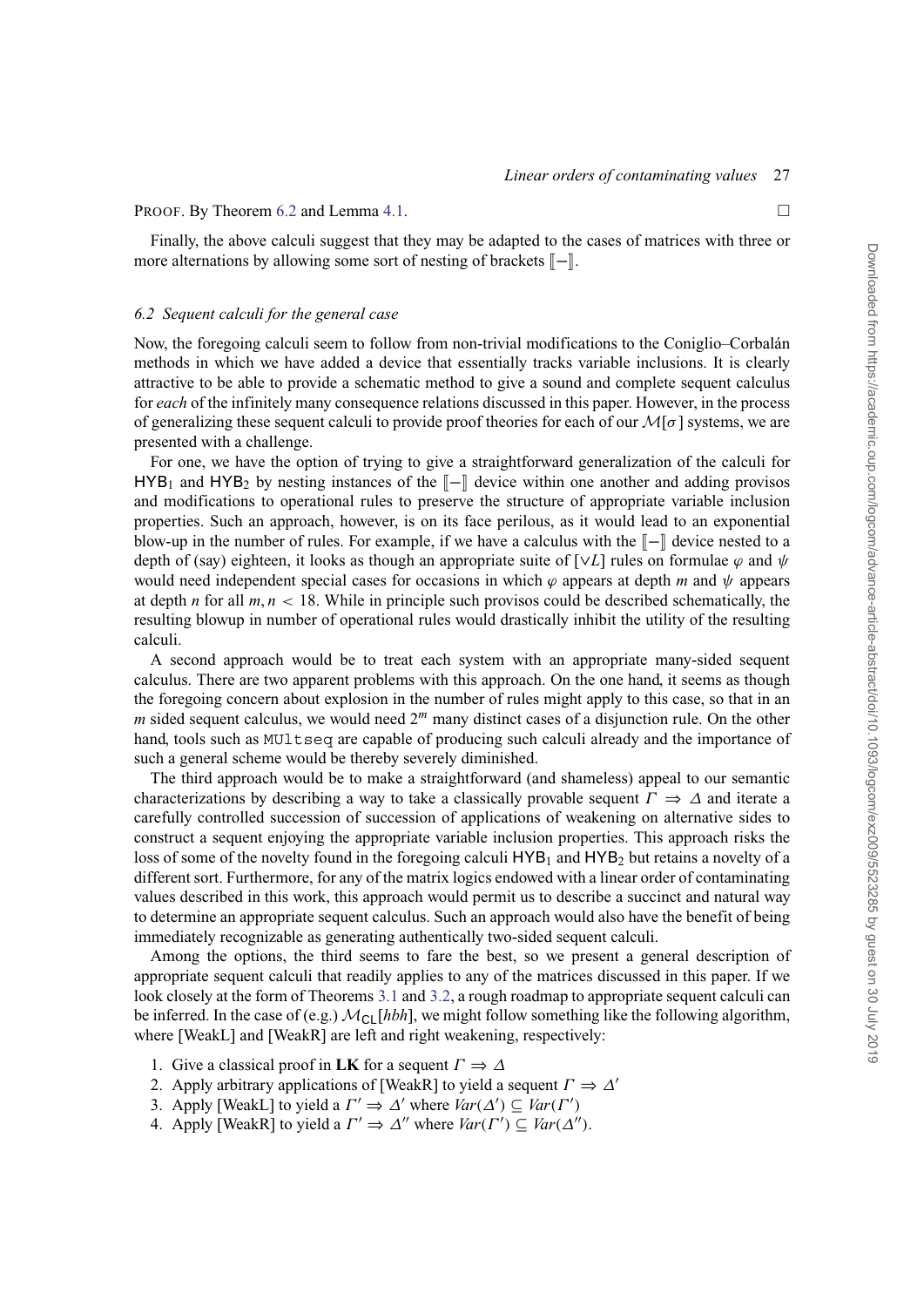# PROOF. By Theorem 6.2 and Lemma 4.1.  $\Box$

Finally, the above calculi suggest that they may be adapted to the cases of matrices with three or more alternations by allowing some sort of nesting of brackets  $\llbracket - \rrbracket$ .

# *6.2 Sequent calculi for the general case*

Now, the foregoing calculi seem to follow from non-trivial modifications to the Coniglio–Corbalán methods in which we have added a device that essentially tracks variable inclusions. It is clearly attractive to be able to provide a schematic method to give a sound and complete sequent calculus for *each* of the infinitely many consequence relations discussed in this paper. However, in the process of generalizing these sequent calculi to provide proof theories for each of our *M*[σ] systems, we are presented with a challenge.

For one, we have the option of trying to give a straightforward generalization of the calculi for  $HYB_1$  and  $HYB_2$  by nesting instances of the  $\llbracket - \rrbracket$  device within one another and adding provisos and modifications to operational rules to preserve the structure of appropriate variable inclusion properties. Such an approach, however, is on its face perilous, as it would lead to an exponential blow-up in the number of rules. For example, if we have a calculus with the  $\llbracket - \rrbracket$  device nested to a depth of (say) eighteen, it looks as though an appropriate suite of [ $∨$ *L*] rules on formulae  $\varphi$  and  $\psi$ would need independent special cases for occasions in which  $\varphi$  appears at depth *m* and  $\psi$  appears at depth *n* for all  $m, n < 18$ . While in principle such provisos could be described schematically, the resulting blowup in number of operational rules would drastically inhibit the utility of the resulting calculi.

A second approach would be to treat each system with an appropriate many-sided sequent calculus. There are two apparent problems with this approach. On the one hand, it seems as though the foregoing concern about explosion in the number of rules might apply to this case, so that in an *m* sided sequent calculus, we would need  $2<sup>m</sup>$  many distinct cases of a disjunction rule. On the other hand, tools such as MUltseq are capable of producing such calculi already and the importance of such a general scheme would be thereby severely diminished.

The third approach would be to make a straightforward (and shameless) appeal to our semantic characterizations by describing a way to take a classically provable sequent  $\Gamma \Rightarrow \Delta$  and iterate a carefully controlled succession of succession of applications of weakening on alternative sides to construct a sequent enjoying the appropriate variable inclusion properties. This approach risks the loss of some of the novelty found in the foregoing calculi  $HYB_1$  and  $HYB_2$  but retains a novelty of a different sort. Furthermore, for any of the matrix logics endowed with a linear order of contaminating values described in this work, this approach would permit us to describe a succinct and natural way to determine an appropriate sequent calculus. Such an approach would also have the benefit of being immediately recognizable as generating authentically two-sided sequent calculi.

Among the options, the third seems to fare the best, so we present a general description of appropriate sequent calculi that readily applies to any of the matrices discussed in this paper. If we look closely at the form of Theorems 3.1 and 3.2, a rough roadmap to appropriate sequent calculi can be inferred. In the case of (e.g.)  $M_{CL}[hbh]$ , we might follow something like the following algorithm, where [WeakL] and [WeakR] are left and right weakening, respectively:

- 1. Give a classical proof in **LK** for a sequent  $\Gamma \Rightarrow \Delta$
- 2. Apply arbitrary applications of [WeakR] to yield a sequent  $\Gamma \Rightarrow \Delta'$
- 3. Apply [WeakL] to yield a  $\Gamma' \Rightarrow \Delta'$  where  $\text{Var}(\Delta') \subseteq \text{Var}(\Gamma')$
- 4. Apply [WeakR] to yield a  $\Gamma' \Rightarrow \Delta''$  where  $\text{Var}(\Gamma') \subseteq \text{Var}(\Delta'')$ .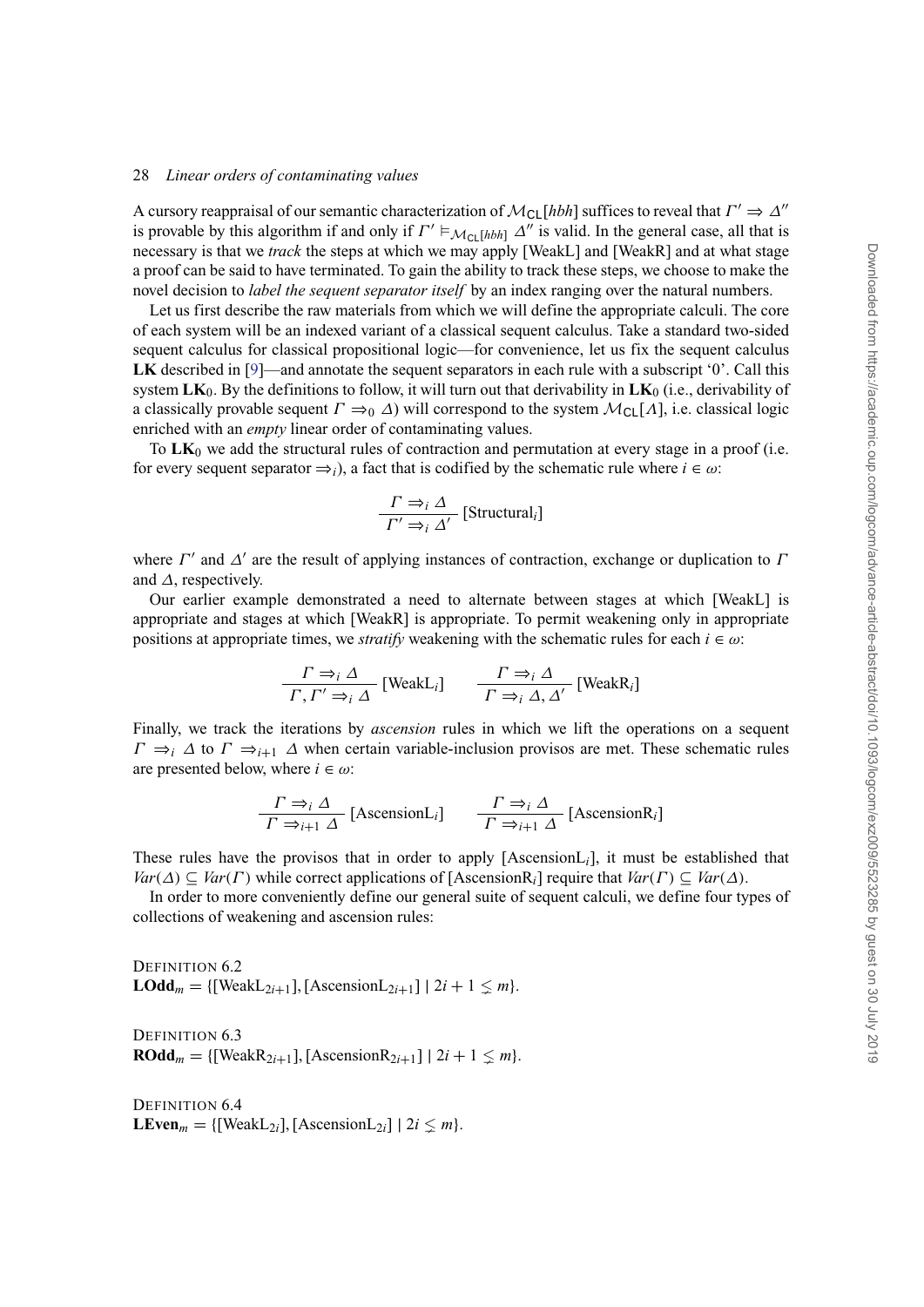A cursory reappraisal of our semantic characterization of  $M_{CL}[hbh]$  suffices to reveal that  $\Gamma' \Rightarrow \Delta''$ is provable by this algorithm if and only if  $\Gamma' \models_{\mathcal{M}_{\text{Cl}}[hbh]} \Delta''$  is valid. In the general case, all that is necessary is that we *track* the steps at which we may apply [WeakL] and [WeakR] and at what stage a proof can be said to have terminated. To gain the ability to track these steps, we choose to make the novel decision to *label the sequent separator itself* by an index ranging over the natural numbers.

Let us first describe the raw materials from which we will define the appropriate calculi. The core of each system will be an indexed variant of a classical sequent calculus. Take a standard two-sided sequent calculus for classical propositional logic—for convenience, let us fix the sequent calculus LK described in [9]—and annotate the sequent separators in each rule with a subscript '0'. Call this system **LK**0. By the definitions to follow, it will turn out that derivability in **LK**<sup>0</sup> (i.e., derivability of a classically provable sequent  $\Gamma \Rightarrow_0 \Delta$ ) will correspond to the system  $\mathcal{M}_{CL}[\Lambda]$ , i.e. classical logic enriched with an *empty* linear order of contaminating values.

To  $LK<sub>0</sub>$  we add the structural rules of contraction and permutation at every stage in a proof (i.e. for every sequent separator  $\Rightarrow$ *i*), a fact that is codified by the schematic rule where  $i \in \omega$ :

$$
\frac{\Gamma \Rightarrow_i \Delta}{\Gamma' \Rightarrow_i \Delta'}
$$
 [Structural<sub>i</sub>]

where  $\Gamma'$  and  $\Delta'$  are the result of applying instances of contraction, exchange or duplication to  $\Gamma$ and  $\Delta$ , respectively.

Our earlier example demonstrated a need to alternate between stages at which [WeakL] is appropriate and stages at which [WeakR] is appropriate. To permit weakening only in appropriate positions at appropriate times, we *stratify* weakening with the schematic rules for each  $i \in \omega$ :

$$
\frac{\Gamma \Rightarrow_i \Delta}{\Gamma, \Gamma' \Rightarrow_i \Delta} \text{[WeakL_i]} \qquad \frac{\Gamma \Rightarrow_i \Delta}{\Gamma \Rightarrow_i \Delta, \Delta'} \text{[WeakR_i]}
$$

Finally, we track the iterations by *ascension* rules in which we lift the operations on a sequent  $\Gamma \Rightarrow i \Delta$  to  $\Gamma \Rightarrow i+1 \Delta$  when certain variable-inclusion provisos are met. These schematic rules are presented below, where  $i \in \omega$ :

$$
\frac{\Gamma \Rightarrow_i \Delta}{\Gamma \Rightarrow_{i+1} \Delta} \text{ [AscensionL_i]} \qquad \frac{\Gamma \Rightarrow_i \Delta}{\Gamma \Rightarrow_{i+1} \Delta} \text{ [AscensionR_i]}
$$

These rules have the provisos that in order to apply [AscensionL*i*], it must be established that  $Var(\triangle) \subseteq Var(\Gamma)$  while correct applications of [AscensionR<sub>*i*</sub>] require that  $Var(\Gamma) \subseteq Var(\triangle)$ .

In order to more conveniently define our general suite of sequent calculi, we define four types of collections of weakening and ascension rules:

DEFINITION 6.2 **LOdd**<sub>*m*</sub> = {[WeakL<sub>2*i*+1</sub>], [AscensionL<sub>2*i*+1</sub>] | 2*i* + 1  $\leq m$ }.

DEFINITION 6.3 **ROdd**<sub>*m*</sub> = {[WeakR<sub>2*i*+1</sub>], [AscensionR<sub>2*i*+1</sub>] | 2*i* + 1  $\leq m$  }.

DEFINITION 6.4 **LEven**<sub>*m*</sub> = {[WeakL<sub>2*i*</sub>], [AscensionL<sub>2*i*</sub>] | 2*i*  $\leq m$ }.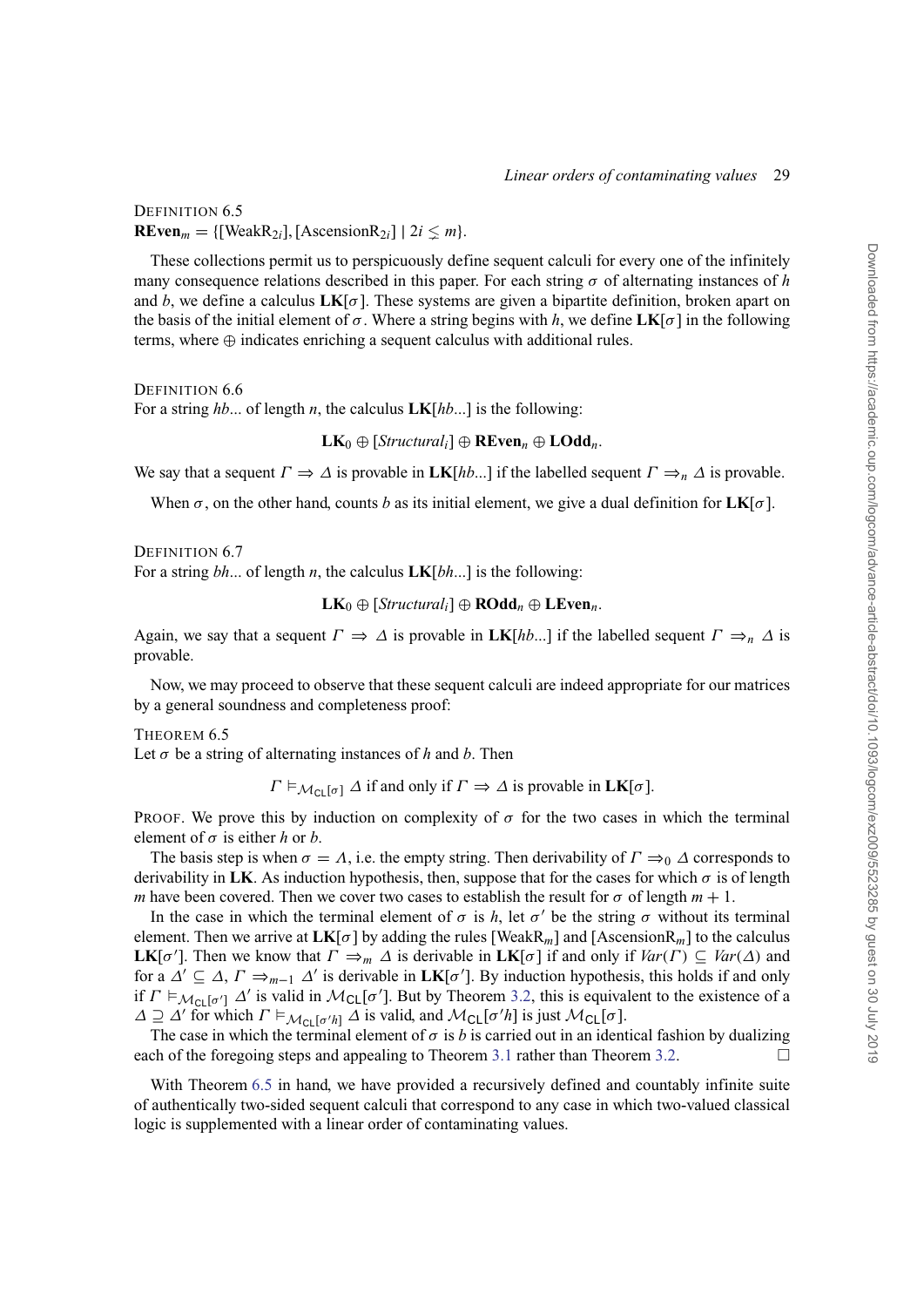DEFINITION 6.5 **REven**<sub>*m*</sub> = {[WeakR<sub>2*i*</sub>], [AscensionR<sub>2*i*</sub>] | 2*i*  $\leq m$ }.

These collections permit us to perspicuously define sequent calculi for every one of the infinitely many consequence relations described in this paper. For each string σ of alternating instances of *h* and *b*, we define a calculus  $LK[\sigma]$ . These systems are given a bipartite definition, broken apart on the basis of the initial element of  $\sigma$ . Where a string begins with h, we define  $LK[\sigma]$  in the following terms, where  $\oplus$  indicates enriching a sequent calculus with additional rules.

DEFINITION 6.6 For a string *hb*... of length *n*, the calculus **LK**[*hb*...] is the following:

**LK**<sup>0</sup> ⊕ [*Structurali*] ⊕ **REven***<sup>n</sup>* ⊕ **LOdd***n*.

We say that a sequent  $\Gamma \Rightarrow \Delta$  is provable in **LK**[*hb*...] if the labelled sequent  $\Gamma \Rightarrow_n \Delta$  is provable.

When  $\sigma$ , on the other hand, counts *b* as its initial element, we give a dual definition for **LK**[ $\sigma$ ].

DEFINITION 6.7 For a string *bh*... of length *n*, the calculus **LK**[*bh*...] is the following:

**LK**<sup>0</sup> ⊕ [*Structurali*] ⊕ **ROdd***<sup>n</sup>* ⊕ **LEven***n*.

Again, we say that a sequent  $\Gamma \Rightarrow \Delta$  is provable in **LK**[*hb*...] if the labelled sequent  $\Gamma \Rightarrow_n \Delta$  is provable.

Now, we may proceed to observe that these sequent calculi are indeed appropriate for our matrices by a general soundness and completeness proof:

THEOREM 6.5

Let  $\sigma$  be a string of alternating instances of *h* and *b*. Then

 $\Gamma \models_{\mathcal{M}_{\text{CL}}[\sigma]} \Delta$  if and only if  $\Gamma \Rightarrow \Delta$  is provable in  $LK[\sigma]$ .

PROOF. We prove this by induction on complexity of  $\sigma$  for the two cases in which the terminal element of  $\sigma$  is either *h* or *b*.

The basis step is when  $\sigma = \Lambda$ , i.e. the empty string. Then derivability of  $\Gamma \Rightarrow 0 \Delta$  corresponds to derivability in LK. As induction hypothesis, then, suppose that for the cases for which  $\sigma$  is of length *m* have been covered. Then we cover two cases to establish the result for  $\sigma$  of length  $m + 1$ .

In the case in which the terminal element of  $\sigma$  is h, let  $\sigma'$  be the string  $\sigma$  without its terminal element. Then we arrive at **LK**[σ] by adding the rules [WeakR*m*] and [AscensionR*m*] to the calculus **LK**[ $\sigma'$ ]. Then we know that  $\Gamma \Rightarrow_m \Delta$  is derivable in **LK**[ $\sigma$ ] if and only if *Var*( $\Gamma$ )  $\subseteq$  *Var*( $\Delta$ ) and for a  $\Delta' \subseteq \Delta$ ,  $\Gamma \Rightarrow_{m-1} \Delta'$  is derivable in  $LK[\sigma']$ . By induction hypothesis, this holds if and only if  $\Gamma \models_{\mathcal{M}_{CL}[\sigma']} \Delta'$  is valid in  $\mathcal{M}_{CL}[\sigma']$ . But by Theorem 3.2, this is equivalent to the existence of a  $\Delta \supseteq \Delta'$  for which  $\Gamma \models_{\mathcal{M}_{CL}[\sigma'h]} \Delta$  is valid, and  $\mathcal{M}_{CL}[\sigma'h]$  is just  $\mathcal{M}_{CL}[\sigma]$ .

The case in which the terminal element of  $\sigma$  is *b* is carried out in an identical fashion by dualizing each of the foregoing steps and appealing to Theorem 3.1 rather than Theorem 3.2.

With Theorem 6.5 in hand, we have provided a recursively defined and countably infinite suite of authentically two-sided sequent calculi that correspond to any case in which two-valued classical logic is supplemented with a linear order of contaminating values.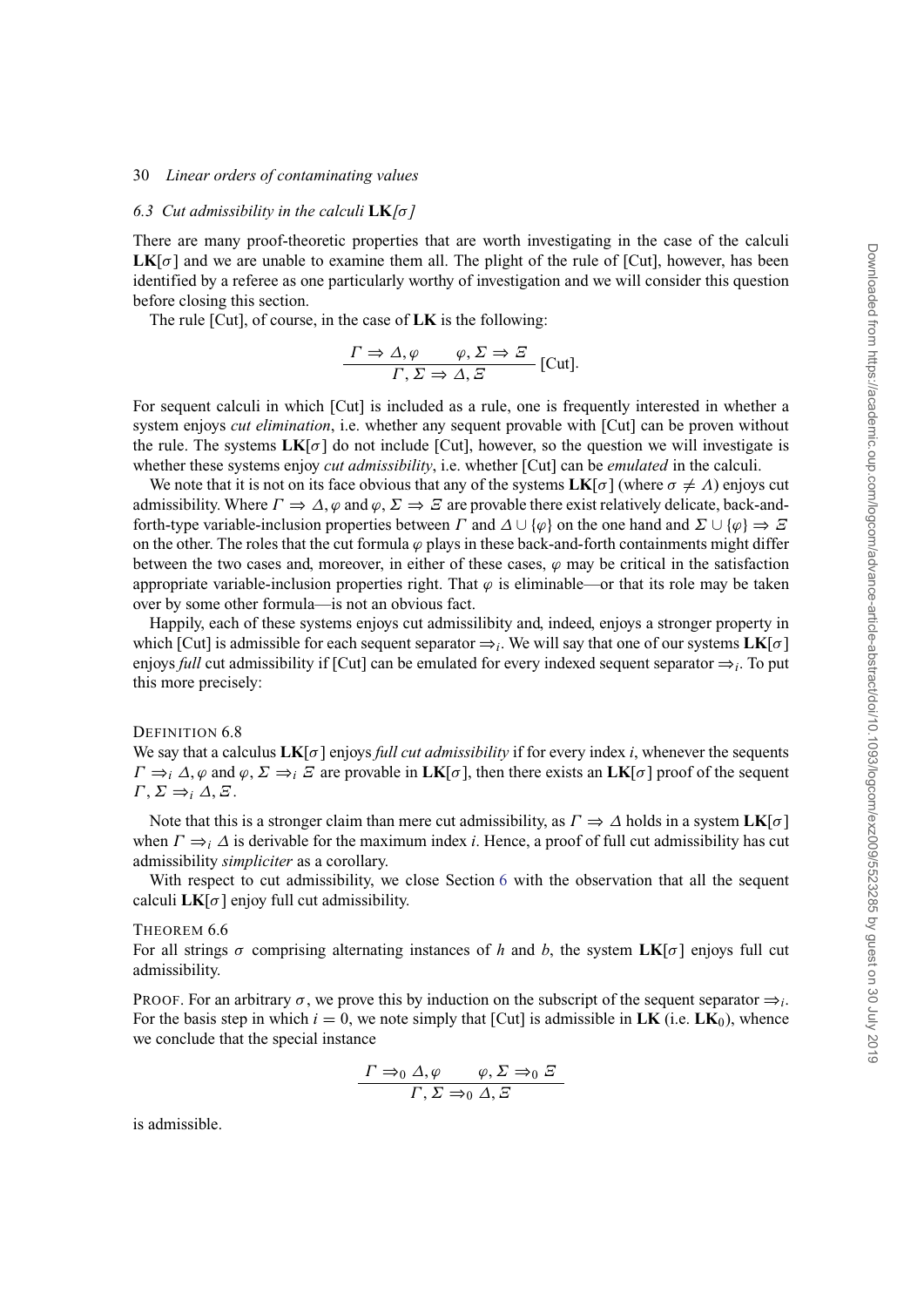# *6.3 Cut admissibility in the calculi* **LK***[*σ*]*

There are many proof-theoretic properties that are worth investigating in the case of the calculi  $LK[\sigma]$  and we are unable to examine them all. The plight of the rule of [Cut], however, has been identified by a referee as one particularly worthy of investigation and we will consider this question before closing this section.

The rule [Cut], of course, in the case of **LK** is the following:

$$
\frac{\Gamma \Rightarrow \Delta, \varphi \qquad \varphi, \Sigma \Rightarrow \Xi}{\Gamma, \Sigma \Rightarrow \Delta, \Xi}
$$
 [Cut].

For sequent calculi in which [Cut] is included as a rule, one is frequently interested in whether a system enjoys *cut elimination*, i.e. whether any sequent provable with [Cut] can be proven without the rule. The systems  $LK[\sigma]$  do not include [Cut], however, so the question we will investigate is whether these systems enjoy *cut admissibility*, i.e. whether [Cut] can be *emulated* in the calculi.

We note that it is not on its face obvious that any of the systems  $LK[\sigma]$  (where  $\sigma \neq \Lambda$ ) enjoys cut admissibility. Where  $\Gamma \Rightarrow \Delta$ ,  $\varphi$  and  $\varphi$ ,  $\Sigma \Rightarrow \Xi$  are provable there exist relatively delicate, back-andforth-type variable-inclusion properties between  $\Gamma$  and  $\Delta \cup {\varphi}$  on the one hand and  $\Sigma \cup {\varphi} \Rightarrow \Xi$ on the other. The roles that the cut formula  $\varphi$  plays in these back-and-forth containments might differ between the two cases and, moreover, in either of these cases,  $\varphi$  may be critical in the satisfaction appropriate variable-inclusion properties right. That  $\varphi$  is eliminable—or that its role may be taken over by some other formula—is not an obvious fact.

Happily, each of these systems enjoys cut admissilibity and, indeed, enjoys a stronger property in which [Cut] is admissible for each sequent separator ⇒*i*. We will say that one of our systems **LK**[σ] enjoys *full* cut admissibility if [Cut] can be emulated for every indexed sequent separator  $\Rightarrow$ *<sub>i</sub>*. To put this more precisely:

#### DEFINITION 6.8

We say that a calculus  $LK[\sigma]$  enjoys *full cut admissibility* if for every index *i*, whenever the sequents  $\Gamma \Rightarrow_i \Delta, \varphi$  and  $\varphi, \Sigma \Rightarrow_i \Xi$  are provable in  $LK[\sigma]$ , then there exists an  $LK[\sigma]$  proof of the sequent  $\Gamma, \Sigma \Rightarrow i \Delta, \Xi$ .

Note that this is a stronger claim than mere cut admissibility, as  $\Gamma \Rightarrow \Delta$  holds in a system  $LK[\sigma]$ when  $\Gamma \Rightarrow_i \Delta$  is derivable for the maximum index *i*. Hence, a proof of full cut admissibility has cut admissibility *simpliciter* as a corollary.

With respect to cut admissibility, we close Section 6 with the observation that all the sequent calculi  $LK[\sigma]$  enjoy full cut admissibility.

THEOREM 6.6

For all strings  $\sigma$  comprising alternating instances of *h* and *b*, the system **LK**[ $\sigma$ ] enjoys full cut admissibility.

PROOF. For an arbitrary  $\sigma$ , we prove this by induction on the subscript of the sequent separator  $\Rightarrow$ *i*. For the basis step in which  $i = 0$ , we note simply that [Cut] is admissible in  $LK$  (i.e.  $LK_0$ ), whence we conclude that the special instance

$$
\frac{\Gamma \Rightarrow_0 \Delta, \varphi \qquad \varphi, \Sigma \Rightarrow_0 \Xi}{\Gamma, \Sigma \Rightarrow_0 \Delta, \Xi}
$$

is admissible.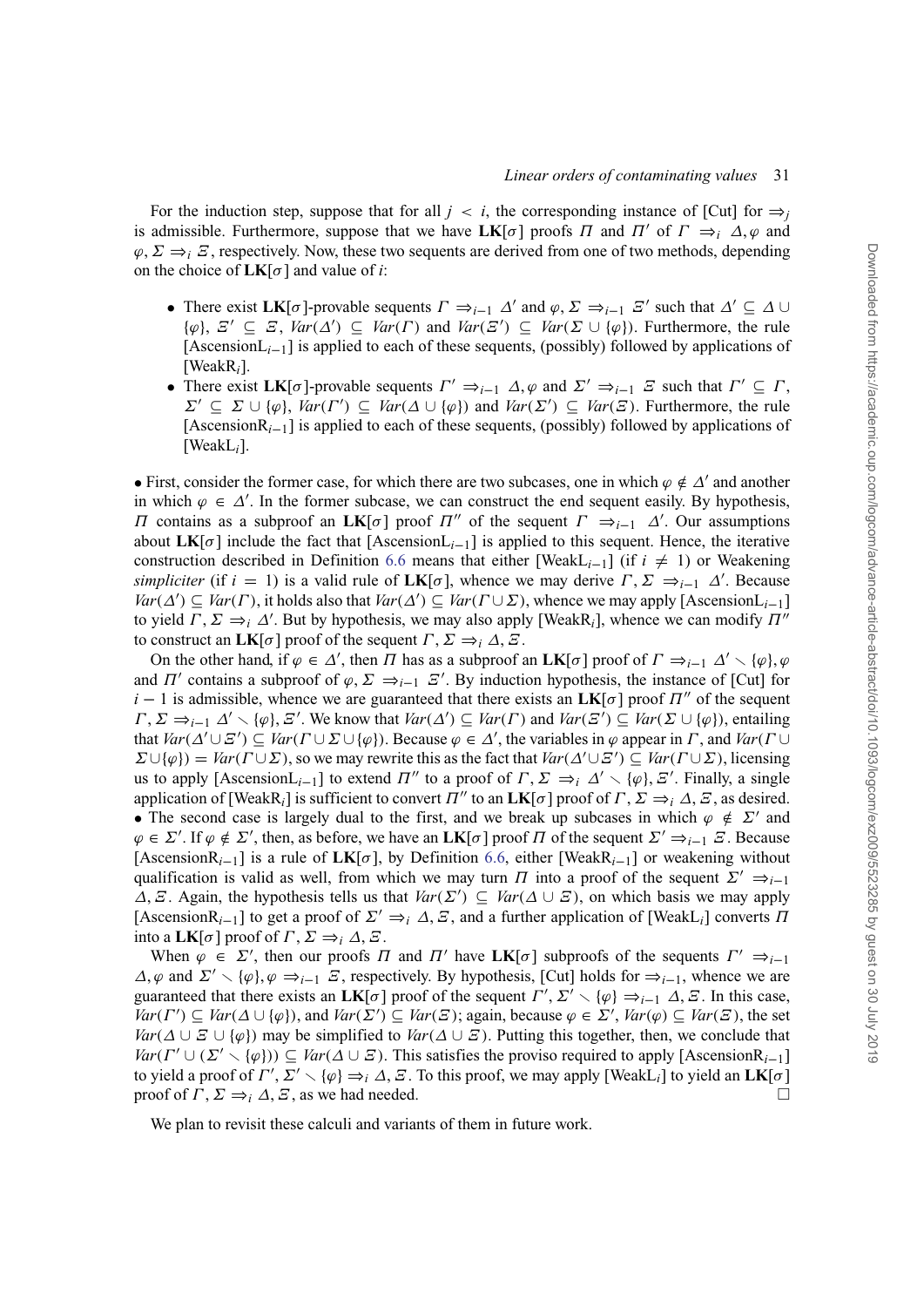For the induction step, suppose that for all  $j < i$ , the corresponding instance of [Cut] for  $\Rightarrow$ *j* is admissible. Furthermore, suppose that we have  $LK[\sigma]$  proofs  $\Pi$  and  $\Pi'$  of  $\Gamma \Rightarrow i \Delta, \varphi$  and  $\varphi$ ,  $\Sigma \Rightarrow i \Sigma$ , respectively. Now, these two sequents are derived from one of two methods, depending on the choice of  $LK[\sigma]$  and value of *i*:

- There exist  $LK[\sigma]$ -provable sequents  $\Gamma \Rightarrow_{i-1} \Delta'$  and  $\varphi, \Sigma \Rightarrow_{i-1} \Xi'$  such that  $\Delta' \subseteq \Delta \cup$  $\{\varphi\}, \ \mathcal{Z}' \subseteq \mathcal{Z}, \ \text{Var}(\Delta') \subseteq \text{Var}(\Gamma) \text{ and } \text{Var}(\mathcal{Z}') \subseteq \text{Var}(\Sigma \cup \{\varphi\})$ . Furthermore, the rule [AscensionL*i*−1] is applied to each of these sequents, (possibly) followed by applications of [WeakR*i*].
- There exist  $LK[\sigma]$ -provable sequents  $\Gamma' \Rightarrow_{i=1} \Delta$ ,  $\varphi$  and  $\Sigma' \Rightarrow_{i=1} \Xi$  such that  $\Gamma' \subseteq \Gamma$ ,  $\Sigma' \subseteq \Sigma \cup \{\varphi\}$ ,  $Var(\Gamma') \subseteq Var(\Delta \cup \{\varphi\})$  and  $Var(\Sigma') \subseteq Var(\Xi)$ . Furthermore, the rule [AscensionR*i*−1] is applied to each of these sequents, (possibly) followed by applications of [WeakL*i*].

• First, consider the former case, for which there are two subcases, one in which  $\varphi \notin \Delta'$  and another in which  $\varphi \in \Delta'$ . In the former subcase, we can construct the end sequent easily. By hypothesis, Π contains as a subproof an **LK**[σ] proof Π′′ of the sequent Γ ⇒*i*−<sup>1</sup> ∆′ . Our assumptions about **LK**[σ] include the fact that [AscensionL*i*−1] is applied to this sequent. Hence, the iterative construction described in Definition 6.6 means that either [WeakL<sub>i−1</sub>] (if  $i \neq 1$ ) or Weakening *simpliciter* (if  $i = 1$ ) is a valid rule of **LK**[ $\sigma$ ], whence we may derive  $\Gamma, \Sigma \Rightarrow_{i-1} \Delta'$ . Because *Var(*∆′ *)* ⊆ *Var(*Γ *)*, it holds also that *Var(*∆′ *)* ⊆ *Var(*Γ ∪Σ*)*, whence we may apply [AscensionL*i*−1] to yield  $\Gamma$ ,  $\Sigma \Rightarrow_i \Delta'$ . But by hypothesis, we may also apply [WeakR<sub>i</sub>], whence we can modify  $\Pi''$ to construct an  $LK[\sigma]$  proof of the sequent  $\Gamma, \Sigma \Rightarrow i \Delta, \Xi$ .

On the other hand, if  $\varphi \in \Delta'$ , then  $\Pi$  has as a subproof an  $LK[\sigma]$  proof of  $\Gamma \Rightarrow_{i-1} \Delta' \setminus {\varphi}$ ,  $\varphi$ and  $\Pi'$  contains a subproof of  $\varphi$ ,  $\Sigma \Rightarrow_{i-1} \Xi'$ . By induction hypothesis, the instance of [Cut] for  $i - 1$  is admissible, whence we are guaranteed that there exists an  $LK[\sigma]$  proof  $\Pi''$  of the sequent  $\Gamma, \Sigma \Rightarrow_{i-1} \Delta' \setminus \{\varphi\}, \Sigma'$ . We know that  $\text{Var}(\Delta') \subseteq \text{Var}(\Gamma)$  and  $\text{Var}(\Sigma') \subseteq \text{Var}(\Sigma \cup \{\varphi\})$ , entailing that  $Var(\Delta' \cup \Sigma') \subseteq Var(\Gamma \cup \Sigma \cup \{\varphi\})$ . Because  $\varphi \in \Delta'$ , the variables in  $\varphi$  appear in  $\Gamma$ , and  $Var(\Gamma \cup \Sigma')$  $\Sigma \cup \{\varphi\}$  = *Var*( $\Gamma \cup \Sigma$ ), so we may rewrite this as the fact that  $Var(\Delta' \cup \Xi') \subseteq Var(\Gamma \cup \Sigma)$ , licensing us to apply [AscensionL<sub>*i*−1</sub>] to extend  $\Pi''$  to a proof of  $\Gamma$ ,  $\Sigma \Rightarrow_i \Delta' \setminus \{\varphi\}$ ,  $\Sigma'$ . Finally, a single application of [WeakR<sub>i</sub>] is sufficient to convert  $\Pi''$  to an  $LK[\sigma]$  proof of  $\Gamma, \Sigma \Rightarrow_i \Delta, \Xi$ , as desired. • The second case is largely dual to the first, and we break up subcases in which  $\varphi \notin \Sigma'$  and  $\varphi \in \Sigma'$ . If  $\varphi \notin \Sigma'$ , then, as before, we have an  $LK[\sigma]$  proof  $\Pi$  of the sequent  $\Sigma' \Rightarrow_{i-1} \Xi$ . Because [AscensionR*i*−1] is a rule of **LK**[σ], by Definition 6.6, either [WeakR*i*−1] or weakening without qualification is valid as well, from which we may turn  $\Pi$  into a proof of the sequent  $\Sigma' \Rightarrow_{i=1}$  $\Delta$ ,  $\Xi$ . Again, the hypothesis tells us that *Var*( $\Sigma'$ )  $\subseteq$  *Var*( $\Delta \cup \Xi$ ), on which basis we may apply [AscensionR<sub>*i*−1</sub>] to get a proof of  $\Sigma' \implies_i \Delta, \Xi$ , and a further application of [WeakL<sub>*i*</sub>] converts  $\Pi$ into a  $LK[\sigma]$  proof of  $\Gamma$ ,  $\Sigma \Rightarrow_i \Delta$ ,  $\Sigma$ .

When  $\varphi \in \Sigma'$ , then our proofs  $\Pi$  and  $\Pi'$  have  $LK[\sigma]$  subproofs of the sequents  $\Gamma' \Rightarrow_{i-1}$  $\Delta, \varphi$  and  $\Sigma' \setminus {\varphi}, \varphi \Rightarrow_{i-1} \varXi$ , respectively. By hypothesis, [Cut] holds for  $\Rightarrow_{i-1}$ , whence we are guaranteed that there exists an  $LK[\sigma]$  proof of the sequent  $\Gamma', \Sigma' \setminus {\varphi} \Rightarrow_{i-1} \Delta, \Xi$ . In this case,  $Var(\Gamma') \subseteq Var(\Delta \cup \{\varphi\})$ , and  $Var(\Sigma') \subseteq Var(\Xi)$ ; again, because  $\varphi \in \Sigma'$ ,  $Var(\varphi) \subseteq Var(\Xi)$ , the set *Var* $(\Delta \cup \Xi \cup \{\varphi\})$  may be simplified to *Var* $(\Delta \cup \Xi)$ . Putting this together, then, we conclude that  $Var(\Gamma' \cup (\Sigma' \setminus \{\varphi\})) \subseteq Var(\Delta \cup \Xi)$ . This satisfies the proviso required to apply [AscensionR<sub>*i*−1</sub>] to yield a proof of  $\Gamma'$ ,  $\Sigma' \setminus \{\varphi\} \Rightarrow_i \Delta, \Xi$ . To this proof, we may apply [WeakL<sub>i</sub>] to yield an  $LK[\sigma]$ proof of  $\Gamma$ ,  $\Sigma \Rightarrow_i \Delta$ ,  $\Sigma$ , as we had needed.

We plan to revisit these calculi and variants of them in future work.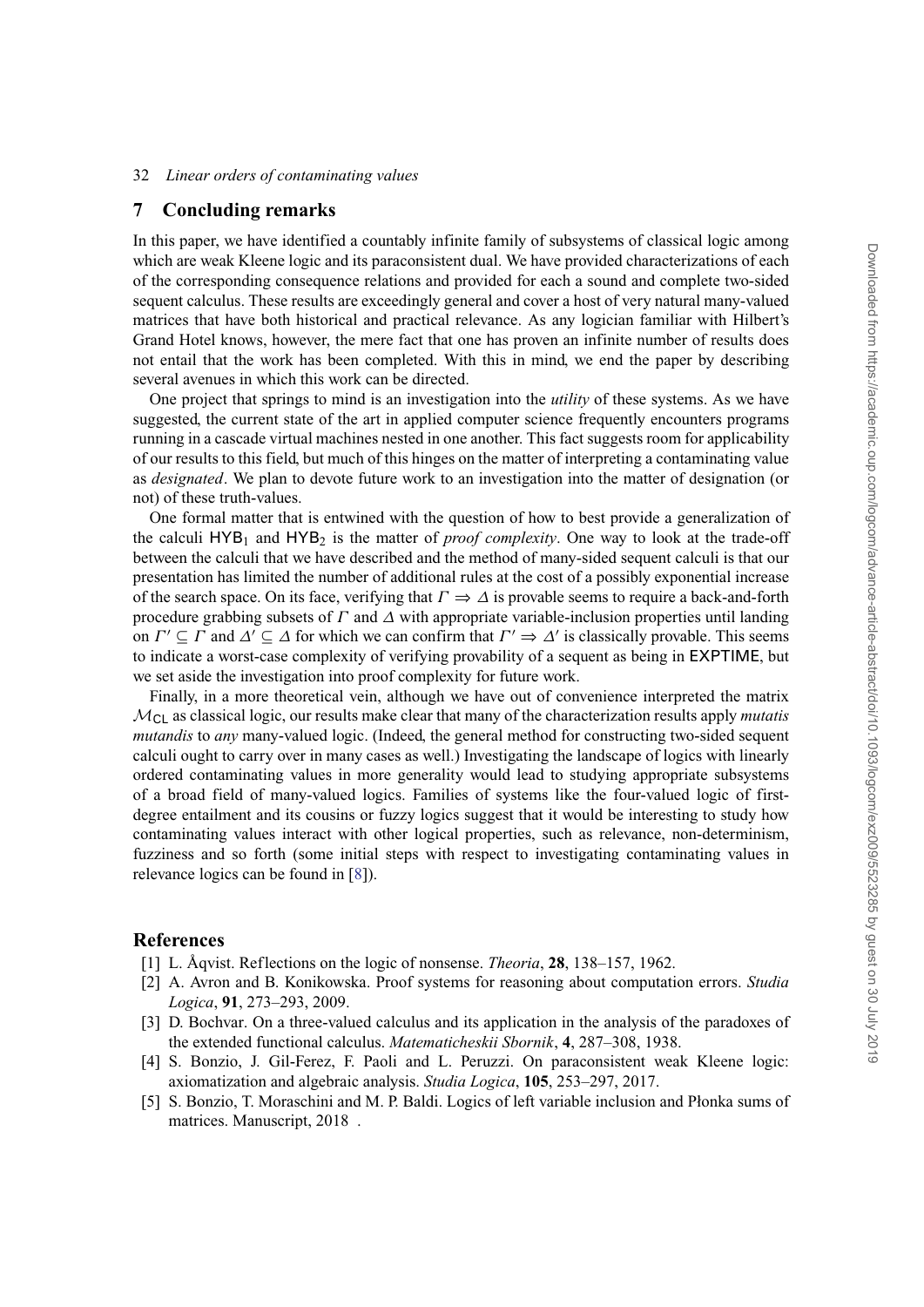# **7 Concluding remarks**

In this paper, we have identified a countably infinite family of subsystems of classical logic among which are weak Kleene logic and its paraconsistent dual. We have provided characterizations of each of the corresponding consequence relations and provided for each a sound and complete two-sided sequent calculus. These results are exceedingly general and cover a host of very natural many-valued matrices that have both historical and practical relevance. As any logician familiar with Hilbert's Grand Hotel knows, however, the mere fact that one has proven an infinite number of results does not entail that the work has been completed. With this in mind, we end the paper by describing several avenues in which this work can be directed.

One project that springs to mind is an investigation into the *utility* of these systems. As we have suggested, the current state of the art in applied computer science frequently encounters programs running in a cascade virtual machines nested in one another. This fact suggests room for applicability of our results to this field, but much of this hinges on the matter of interpreting a contaminating value as *designated*. We plan to devote future work to an investigation into the matter of designation (or not) of these truth-values.

One formal matter that is entwined with the question of how to best provide a generalization of the calculi  $HYB_1$  and  $HYB_2$  is the matter of *proof complexity*. One way to look at the trade-off between the calculi that we have described and the method of many-sided sequent calculi is that our presentation has limited the number of additional rules at the cost of a possibly exponential increase of the search space. On its face, verifying that  $\Gamma \Rightarrow \Delta$  is provable seems to require a back-and-forth procedure grabbing subsets of  $\Gamma$  and  $\Delta$  with appropriate variable-inclusion properties until landing on  $\Gamma' \subseteq \Gamma$  and  $\Delta' \subseteq \Delta$  for which we can confirm that  $\Gamma' \Rightarrow \Delta'$  is classically provable. This seems to indicate a worst-case complexity of verifying provability of a sequent as being in EXPTIME, but we set aside the investigation into proof complexity for future work.

Finally, in a more theoretical vein, although we have out of convenience interpreted the matrix *M*CL as classical logic, our results make clear that many of the characterization results apply *mutatis mutandis* to *any* many-valued logic. (Indeed, the general method for constructing two-sided sequent calculi ought to carry over in many cases as well.) Investigating the landscape of logics with linearly ordered contaminating values in more generality would lead to studying appropriate subsystems of a broad field of many-valued logics. Families of systems like the four-valued logic of firstdegree entailment and its cousins or fuzzy logics suggest that it would be interesting to study how contaminating values interact with other logical properties, such as relevance, non-determinism, fuzziness and so forth (some initial steps with respect to investigating contaminating values in relevance logics can be found in [8]).

# **References**

- [1] L. Åqvist. Reflections on the logic of nonsense. *Theoria*, **28**, 138–157, 1962.
- [2] A. Avron and B. Konikowska. Proof systems for reasoning about computation errors. *Studia Logica*, **91**, 273–293, 2009.
- [3] D. Bochvar. On a three-valued calculus and its application in the analysis of the paradoxes of the extended functional calculus. *Matematicheskii Sbornik*, **4**, 287–308, 1938.
- [4] S. Bonzio, J. Gil-Ferez, F. Paoli and L. Peruzzi. On paraconsistent weak Kleene logic: axiomatization and algebraic analysis. *Studia Logica*, **105**, 253–297, 2017.
- [5] S. Bonzio, T. Moraschini and M. P. Baldi. Logics of left variable inclusion and Płonka sums of matrices. Manuscript, 2018 .